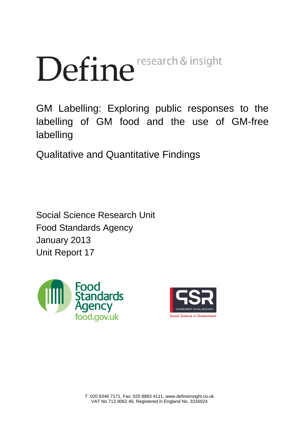# Define<sup>research & insight</sup>

GM Labelling: Exploring public responses to the labelling of GM food and the use of GM-free labelling

Qualitative and Quantitative Findings

Social Science Research Unit Food Standards Agency January 2013 Unit Report 17



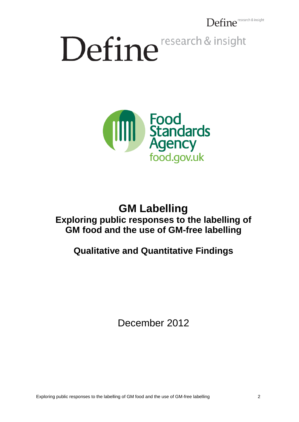Define<sup>research & insight</sup>

# Define research & insight



## **GM Labelling Exploring public responses to the labelling of GM food and the use of GM-free labelling**

## **Qualitative and Quantitative Findings**

December 2012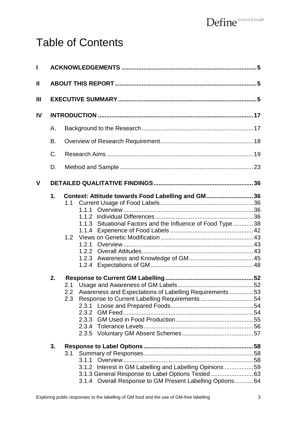# Table of Contents

| L  |          |                                                                                                                                                                                                                                                                                                                                         |  |  |  |  |
|----|----------|-----------------------------------------------------------------------------------------------------------------------------------------------------------------------------------------------------------------------------------------------------------------------------------------------------------------------------------------|--|--|--|--|
| Ш  |          |                                                                                                                                                                                                                                                                                                                                         |  |  |  |  |
| Ш  |          |                                                                                                                                                                                                                                                                                                                                         |  |  |  |  |
| IV |          |                                                                                                                                                                                                                                                                                                                                         |  |  |  |  |
|    | Α.       |                                                                                                                                                                                                                                                                                                                                         |  |  |  |  |
|    | В.       |                                                                                                                                                                                                                                                                                                                                         |  |  |  |  |
|    | C.       |                                                                                                                                                                                                                                                                                                                                         |  |  |  |  |
|    | D.       |                                                                                                                                                                                                                                                                                                                                         |  |  |  |  |
| V  |          |                                                                                                                                                                                                                                                                                                                                         |  |  |  |  |
|    | 1.<br>2. | Context: Attitude towards Food Labelling and GM36<br>1.1<br>1.1.1<br>1.1.2<br>1.1.3 Situational Factors and the Influence of Food Type38<br>1.1.4<br>1.2 <sub>1</sub><br>1.2.1<br>1.2.3<br>Awareness and Expectations of Labelling Requirements 53<br>2.2 <sub>2</sub><br>Response to Current Labelling Requirements 54<br>2.3<br>2.3.1 |  |  |  |  |
|    | 3.       | 3.1<br>3.1.1<br>3.1.2 Interest in GM Labelling and Labelling Opinions 59<br>3.1.3 General Response to Label Options Tested 63<br>3.1.4 Overall Response to GM Present Labelling Options64                                                                                                                                               |  |  |  |  |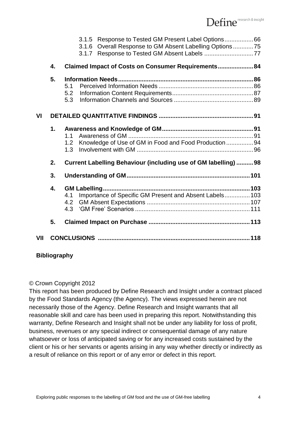|     |                                                                             | 3.1.5 Response to Tested GM Present Label Options66<br>Overall Response to GM Absent Labelling Options75<br>3.1.6<br>3.1.7 |  |  |
|-----|-----------------------------------------------------------------------------|----------------------------------------------------------------------------------------------------------------------------|--|--|
|     | 4.                                                                          | Claimed Impact of Costs on Consumer Requirements 84                                                                        |  |  |
|     | 5.                                                                          | 5.1<br>5.2<br>5.3                                                                                                          |  |  |
| VI  |                                                                             |                                                                                                                            |  |  |
|     | 1.                                                                          | 1.1<br>Knowledge of Use of GM in Food and Food Production 94<br>1.2<br>1.3                                                 |  |  |
|     | <b>Current Labelling Behaviour (including use of GM labelling) 98</b><br>2. |                                                                                                                            |  |  |
|     | 3.                                                                          |                                                                                                                            |  |  |
|     | 4.                                                                          | Importance of Specific GM Present and Absent Labels 103<br>4.1<br>4.2<br>4.3                                               |  |  |
|     | 5.                                                                          |                                                                                                                            |  |  |
| VII |                                                                             |                                                                                                                            |  |  |

#### **Bibliography**

#### © Crown Copyright 2012

This report has been produced by Define Research and Insight under a contract placed by the Food Standards Agency (the Agency). The views expressed herein are not necessarily those of the Agency. Define Research and Insight warrants that all reasonable skill and care has been used in preparing this report. Notwithstanding this warranty, Define Research and Insight shall not be under any liability for loss of profit, business, revenues or any special indirect or consequential damage of any nature whatsoever or loss of anticipated saving or for any increased costs sustained by the client or his or her servants or agents arising in any way whether directly or indirectly as a result of reliance on this report or of any error or defect in this report.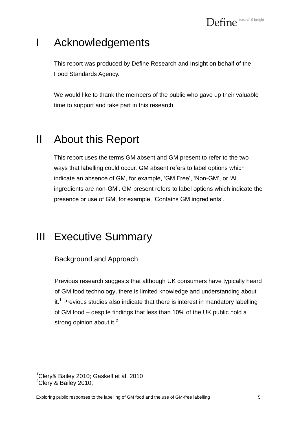# <span id="page-4-0"></span>I Acknowledgements

This report was produced by Define Research and Insight on behalf of the Food Standards Agency.

We would like to thank the members of the public who gave up their valuable time to support and take part in this research.

# <span id="page-4-1"></span>II About this Report

This report uses the terms GM absent and GM present to refer to the two ways that labelling could occur. GM absent refers to label options which indicate an absence of GM, for example, 'GM Free', 'Non-GM', or 'All ingredients are non-GM". GM present refers to label options which indicate the presence or use of GM, for example, "Contains GM ingredients".

# <span id="page-4-2"></span>III Executive Summary

Background and Approach

Previous research suggests that although UK consumers have typically heard of GM food technology, there is limited knowledge and understanding about  $it<sup>1</sup>$  Previous studies also indicate that there is interest in mandatory labelling of GM food – despite findings that less than 10% of the UK public hold a strong opinion about it.<sup>2</sup>

<sup>1</sup>Clery& Bailey 2010; Gaskell et al. 2010  $2$ Clery & Bailey 2010;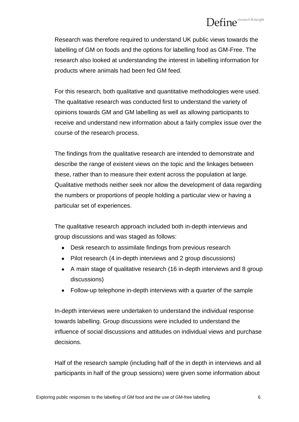Research was therefore required to understand UK public views towards the labelling of GM on foods and the options for labelling food as GM-Free. The research also looked at understanding the interest in labelling information for products where animals had been fed GM feed.

For this research, both qualitative and quantitative methodologies were used. The qualitative research was conducted first to understand the variety of opinions towards GM and GM labelling as well as allowing participants to receive and understand new information about a fairly complex issue over the course of the research process.

The findings from the qualitative research are intended to demonstrate and describe the range of existent views on the topic and the linkages between these, rather than to measure their extent across the population at large. Qualitative methods neither seek nor allow the development of data regarding the numbers or proportions of people holding a particular view or having a particular set of experiences.

The qualitative research approach included both in-depth interviews and group discussions and was staged as follows:

- Desk research to assimilate findings from previous research
- Pilot research (4 in-depth interviews and 2 group discussions)
- A main stage of qualitative research (16 in-depth interviews and 8 group discussions)
- Follow-up telephone in-depth interviews with a quarter of the sample

In-depth interviews were undertaken to understand the individual response towards labelling. Group discussions were included to understand the influence of social discussions and attitudes on individual views and purchase decisions.

Half of the research sample (including half of the in depth in interviews and all participants in half of the group sessions) were given some information about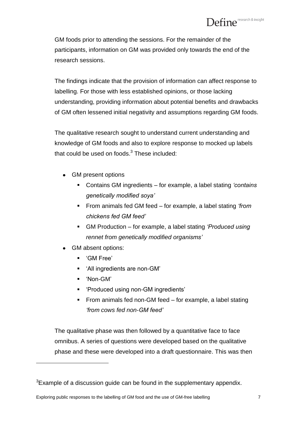GM foods prior to attending the sessions. For the remainder of the participants, information on GM was provided only towards the end of the research sessions.

The findings indicate that the provision of information can affect response to labelling. For those with less established opinions, or those lacking understanding, providing information about potential benefits and drawbacks of GM often lessened initial negativity and assumptions regarding GM foods.

The qualitative research sought to understand current understanding and knowledge of GM foods and also to explore response to mocked up labels that could be used on foods. $^3$  These included:

- GM present options
	- Contains GM ingredients for example, a label stating *'contains genetically modified soya'*
	- From animals fed GM feed for example, a label stating *'from chickens fed GM feed'*
	- GM Production for example, a label stating *'Produced using rennet from genetically modified organisms'*
- GM absent options:
	- "GM Free"
	- "All ingredients are non-GM"
	- "Non-GM"

 $\overline{a}$ 

- "Produced using non-GM ingredients"
- **From animals fed non-GM feed for example, a label stating** *'from cows fed non-GM feed'*

The qualitative phase was then followed by a quantitative face to face omnibus. A series of questions were developed based on the qualitative phase and these were developed into a draft questionnaire. This was then

 $3$ Example of a discussion guide can be found in the supplementary appendix.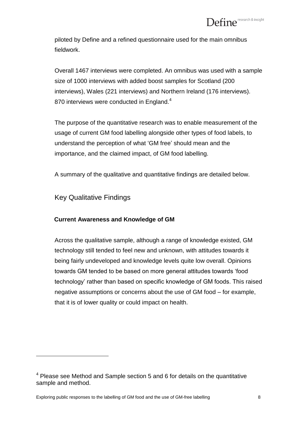piloted by Define and a refined questionnaire used for the main omnibus fieldwork.

Overall 1467 interviews were completed. An omnibus was used with a sample size of 1000 interviews with added boost samples for Scotland (200 interviews), Wales (221 interviews) and Northern Ireland (176 interviews). 870 interviews were conducted in England. $4$ 

The purpose of the quantitative research was to enable measurement of the usage of current GM food labelling alongside other types of food labels, to understand the perception of what "GM free" should mean and the importance, and the claimed impact, of GM food labelling.

A summary of the qualitative and quantitative findings are detailed below.

Key Qualitative Findings

 $\overline{a}$ 

#### **Current Awareness and Knowledge of GM**

Across the qualitative sample, although a range of knowledge existed, GM technology still tended to feel new and unknown, with attitudes towards it being fairly undeveloped and knowledge levels quite low overall. Opinions towards GM tended to be based on more general attitudes towards "food technology" rather than based on specific knowledge of GM foods. This raised negative assumptions or concerns about the use of GM food – for example, that it is of lower quality or could impact on health.

 $4$  Please see Method and Sample section 5 and 6 for details on the quantitative sample and method.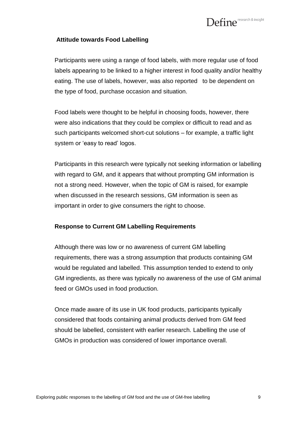#### **Attitude towards Food Labelling**

Participants were using a range of food labels, with more regular use of food labels appearing to be linked to a higher interest in food quality and/or healthy eating. The use of labels, however, was also reported to be dependent on the type of food, purchase occasion and situation.

Food labels were thought to be helpful in choosing foods, however, there were also indications that they could be complex or difficult to read and as such participants welcomed short-cut solutions – for example, a traffic light system or 'easy to read' logos.

Participants in this research were typically not seeking information or labelling with regard to GM, and it appears that without prompting GM information is not a strong need. However, when the topic of GM is raised, for example when discussed in the research sessions, GM information is seen as important in order to give consumers the right to choose.

#### **Response to Current GM Labelling Requirements**

Although there was low or no awareness of current GM labelling requirements, there was a strong assumption that products containing GM would be regulated and labelled. This assumption tended to extend to only GM ingredients, as there was typically no awareness of the use of GM animal feed or GMOs used in food production.

Once made aware of its use in UK food products, participants typically considered that foods containing animal products derived from GM feed should be labelled, consistent with earlier research. Labelling the use of GMOs in production was considered of lower importance overall.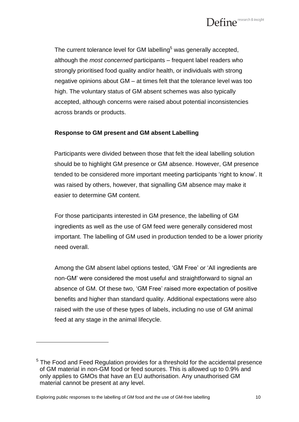

The current tolerance level for GM labelling<sup>5</sup> was generally accepted, although the *most concerned* participants – frequent label readers who strongly prioritised food quality and/or health, or individuals with strong negative opinions about GM – at times felt that the tolerance level was too high. The voluntary status of GM absent schemes was also typically accepted, although concerns were raised about potential inconsistencies across brands or products.

#### **Response to GM present and GM absent Labelling**

Participants were divided between those that felt the ideal labelling solution should be to highlight GM presence or GM absence. However, GM presence tended to be considered more important meeting participants "right to know". It was raised by others, however, that signalling GM absence may make it easier to determine GM content.

For those participants interested in GM presence, the labelling of GM ingredients as well as the use of GM feed were generally considered most important. The labelling of GM used in production tended to be a lower priority need overall.

Among the GM absent label options tested, 'GM Free' or 'All ingredients are non-GM" were considered the most useful and straightforward to signal an absence of GM. Of these two, "GM Free" raised more expectation of positive benefits and higher than standard quality. Additional expectations were also raised with the use of these types of labels, including no use of GM animal feed at any stage in the animal lifecycle.

Exploring public responses to the labelling of GM food and the use of GM-free labelling 10

<sup>&</sup>lt;sup>5</sup> The Food and Feed Regulation provides for a threshold for the accidental presence of GM material in non-GM food or feed sources. This is allowed up to 0.9% and only applies to GMOs that have an EU authorisation. Any unauthorised GM material cannot be present at any level.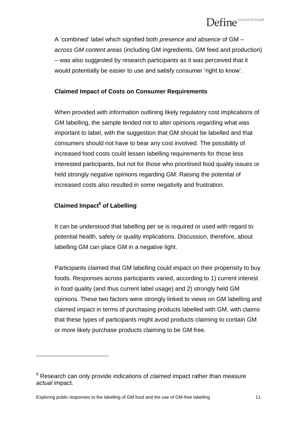# $\mathbf{Define}^{\scriptscriptstyle \text{research & insight}}$

A "combined" label which signified both *presence and absence* of GM – *across GM content areas* (including GM ingredients, GM feed and production) – was also suggested by research participants as it was perceived that it would potentially be easier to use and satisfy consumer "right to know".

#### **Claimed Impact of Costs on Consumer Requirements**

When provided with information outlining likely regulatory cost implications of GM labelling, the sample tended not to alter opinions regarding what was important to label, with the suggestion that GM should be labelled and that consumers should not have to bear any cost involved. The possibility of increased food costs could lessen labelling requirements for those less interested participants, but not for those who prioritised food quality issues or held strongly negative opinions regarding GM. Raising the potential of increased costs also resulted in some negativity and frustration.

#### **Claimed Impact<sup>6</sup> of Labelling**

 $\overline{a}$ 

It can be understood that labelling per se is required or used with regard to potential health, safety or quality implications. Discussion, therefore, about labelling GM can place GM in a negative light.

Participants claimed that GM labelling could impact on their propensity to buy foods. Responses across participants varied, according to 1) current interest in food quality (and thus current label usage) and 2) strongly held GM opinions. These two factors were strongly linked to views on GM labelling and claimed impact in terms of purchasing products labelled with GM, with claims that these types of participants might avoid products claiming to contain GM or more likely purchase products claiming to be GM free.

<sup>6</sup> Research can only provide indications of *claimed* impact rather than measure *actual* impact.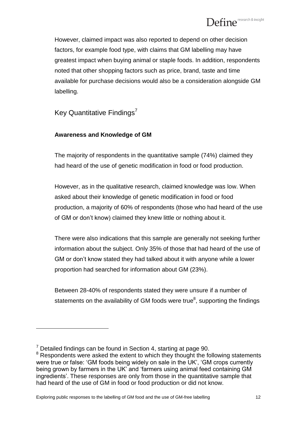However, claimed impact was also reported to depend on other decision factors, for example food type, with claims that GM labelling may have greatest impact when buying animal or staple foods. In addition, respondents noted that other shopping factors such as price, brand, taste and time available for purchase decisions would also be a consideration alongside GM labelling.

Key Quantitative Findings<sup>7</sup>

#### **Awareness and Knowledge of GM**

The majority of respondents in the quantitative sample (74%) claimed they had heard of the use of genetic modification in food or food production.

However, as in the qualitative research, claimed knowledge was low. When asked about their knowledge of genetic modification in food or food production, a majority of 60% of respondents (those who had heard of the use of GM or don"t know) claimed they knew little or nothing about it.

There were also indications that this sample are generally not seeking further information about the subject. Only 35% of those that had heard of the use of GM or don"t know stated they had talked about it with anyone while a lower proportion had searched for information about GM (23%).

Between 28-40% of respondents stated they were unsure if a number of statements on the availability of GM foods were true<sup>8</sup>, supporting the findings

 $\overline{a}$ 

Exploring public responses to the labelling of GM food and the use of GM-free labelling 12

 $7$  Detailed findings can be found in Section 4, starting at page 90.

 $8$  Respondents were asked the extent to which they thought the following statements were true or false: 'GM foods being widely on sale in the UK', 'GM crops currently being grown by farmers in the UK" and "farmers using animal feed containing GM ingredients". These responses are only from those in the quantitative sample that had heard of the use of GM in food or food production or did not know.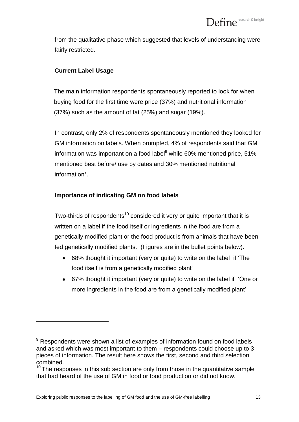from the qualitative phase which suggested that levels of understanding were fairly restricted.

#### **Current Label Usage**

 $\overline{a}$ 

The main information respondents spontaneously reported to look for when buying food for the first time were price (37%) and nutritional information (37%) such as the amount of fat (25%) and sugar (19%).

In contrast, only 2% of respondents spontaneously mentioned they looked for GM information on labels. When prompted, 4% of respondents said that GM information was important on a food label $9$  while 60% mentioned price, 51% mentioned best before/ use by dates and 30% mentioned nutritional information<sup>7</sup>.

#### **Importance of indicating GM on food labels**

Two-thirds of respondents<sup>10</sup> considered it very or quite important that it is written on a label if the food itself or ingredients in the food are from a genetically modified plant or the food product is from animals that have been fed genetically modified plants. (Figures are in the bullet points below).

- 68% thought it important (very or quite) to write on the label if "The food itself is from a genetically modified plant"
- 67% thought it important (very or quite) to write on the label if "One or more ingredients in the food are from a genetically modified plant"

 $9$  Respondents were shown a list of examples of information found on food labels and asked which was most important to them – respondents could choose up to 3 pieces of information. The result here shows the first, second and third selection combined.

 $10$  The responses in this sub section are only from those in the quantitative sample that had heard of the use of GM in food or food production or did not know.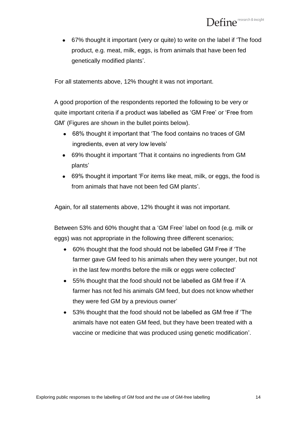67% thought it important (very or quite) to write on the label if "The food product, e.g. meat, milk, eggs, is from animals that have been fed genetically modified plants'.

For all statements above, 12% thought it was not important.

A good proportion of the respondents reported the following to be very or quite important criteria if a product was labelled as "GM Free" or "Free from GM" (Figures are shown in the bullet points below).

- 68% thought it important that "The food contains no traces of GM ingredients, even at very low levels'
- 69% thought it important "That it contains no ingredients from GM plants"
- 69% thought it important "For items like meat, milk, or eggs, the food is from animals that have not been fed GM plants'.

Again, for all statements above, 12% thought it was not important.

Between 53% and 60% thought that a "GM Free" label on food (e.g. milk or eggs) was not appropriate in the following three different scenarios;

- 60% thought that the food should not be labelled GM Free if "The farmer gave GM feed to his animals when they were younger, but not in the last few months before the milk or eggs were collected"
- 55% thought that the food should not be labelled as GM free if "A farmer has not fed his animals GM feed, but does not know whether they were fed GM by a previous owner"
- 53% thought that the food should not be labelled as GM free if "The animals have not eaten GM feed, but they have been treated with a vaccine or medicine that was produced using genetic modification".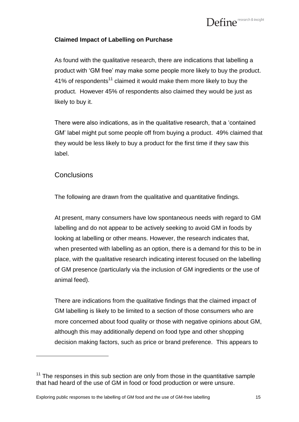#### **Claimed Impact of Labelling on Purchase**

As found with the qualitative research, there are indications that labelling a product with "GM free" may make some people more likely to buy the product. 41% of respondents<sup>11</sup> claimed it would make them more likely to buy the product. However 45% of respondents also claimed they would be just as likely to buy it.

There were also indications, as in the qualitative research, that a "contained GM" label might put some people off from buying a product. 49% claimed that they would be less likely to buy a product for the first time if they saw this label.

#### **Conclusions**

 $\overline{a}$ 

The following are drawn from the qualitative and quantitative findings.

At present, many consumers have low spontaneous needs with regard to GM labelling and do not appear to be actively seeking to avoid GM in foods by looking at labelling or other means. However, the research indicates that, when presented with labelling as an option, there is a demand for this to be in place, with the qualitative research indicating interest focused on the labelling of GM presence (particularly via the inclusion of GM ingredients or the use of animal feed).

There are indications from the qualitative findings that the claimed impact of GM labelling is likely to be limited to a section of those consumers who are more concerned about food quality or those with negative opinions about GM, although this may additionally depend on food type and other shopping decision making factors, such as price or brand preference. This appears to

 $11$  The responses in this sub section are only from those in the quantitative sample that had heard of the use of GM in food or food production or were unsure.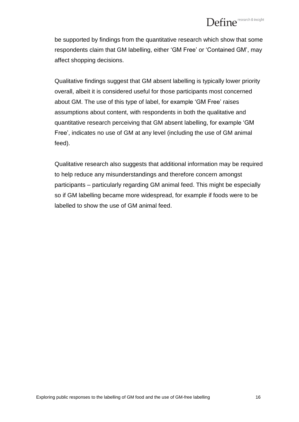be supported by findings from the quantitative research which show that some respondents claim that GM labelling, either "GM Free" or "Contained GM", may affect shopping decisions.

Qualitative findings suggest that GM absent labelling is typically lower priority overall, albeit it is considered useful for those participants most concerned about GM. The use of this type of label, for example "GM Free" raises assumptions about content, with respondents in both the qualitative and quantitative research perceiving that GM absent labelling, for example "GM Free", indicates no use of GM at any level (including the use of GM animal feed).

Qualitative research also suggests that additional information may be required to help reduce any misunderstandings and therefore concern amongst participants – particularly regarding GM animal feed. This might be especially so if GM labelling became more widespread, for example if foods were to be labelled to show the use of GM animal feed.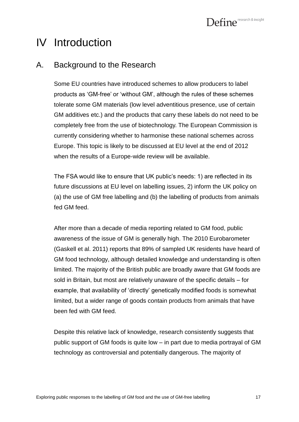# <span id="page-16-0"></span>IV Introduction

## <span id="page-16-1"></span>A. Background to the Research

Some EU countries have introduced schemes to allow producers to label products as "GM-free" or "without GM", although the rules of these schemes tolerate some GM materials (low level adventitious presence, use of certain GM additives etc.) and the products that carry these labels do not need to be completely free from the use of biotechnology. The European Commission is currently considering whether to harmonise these national schemes across Europe. This topic is likely to be discussed at EU level at the end of 2012 when the results of a Europe-wide review will be available.

The FSA would like to ensure that UK public's needs: 1) are reflected in its future discussions at EU level on labelling issues, 2) inform the UK policy on (a) the use of GM free labelling and (b) the labelling of products from animals fed GM feed.

After more than a decade of media reporting related to GM food, public awareness of the issue of GM is generally high. The 2010 Eurobarometer (Gaskell et al. 2011) reports that 89% of sampled UK residents have heard of GM food technology, although detailed knowledge and understanding is often limited. The majority of the British public are broadly aware that GM foods are sold in Britain, but most are relatively unaware of the specific details – for example, that availability of "directly" genetically modified foods is somewhat limited, but a wider range of goods contain products from animals that have been fed with GM feed.

Despite this relative lack of knowledge, research consistently suggests that public support of GM foods is quite low – in part due to media portrayal of GM technology as controversial and potentially dangerous. The majority of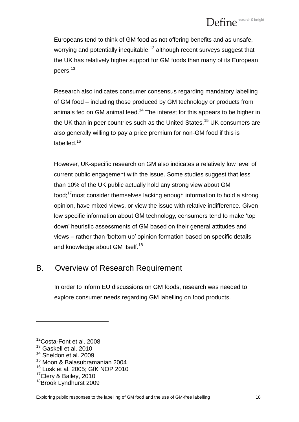Europeans tend to think of GM food as not offering benefits and as unsafe, worrying and potentially inequitable,<sup>12</sup> although recent surveys suggest that the UK has relatively higher support for GM foods than many of its European peers.<sup>13</sup>

Research also indicates consumer consensus regarding mandatory labelling of GM food – including those produced by GM technology or products from animals fed on GM animal feed.<sup>14</sup> The interest for this appears to be higher in the UK than in peer countries such as the United States.<sup>15</sup> UK consumers are also generally willing to pay a price premium for non-GM food if this is labelled.<sup>16</sup>

However, UK-specific research on GM also indicates a relatively low level of current public engagement with the issue. Some studies suggest that less than 10% of the UK public actually hold any strong view about GM food;<sup>17</sup>most consider themselves lacking enough information to hold a strong opinion, have mixed views, or view the issue with relative indifference. Given low specific information about GM technology, consumers tend to make "top down" heuristic assessments of GM based on their general attitudes and views – rather than "bottom up" opinion formation based on specific details and knowledge about GM itself.<sup>18</sup>

## <span id="page-17-0"></span>B. Overview of Research Requirement

In order to inform EU discussions on GM foods, research was needed to explore consumer needs regarding GM labelling on food products.

<sup>&</sup>lt;sup>12</sup>Costa-Font et al. 2008

<sup>&</sup>lt;sup>13</sup> Gaskell et al. 2010

<sup>&</sup>lt;sup>14</sup> Sheldon et al. 2009

<sup>15</sup> Moon & Balasubramanian 2004

<sup>&</sup>lt;sup>16</sup> Lusk et al. 2005; GfK NOP 2010

<sup>&</sup>lt;sup>17</sup>Clery & Bailey, 2010

<sup>&</sup>lt;sup>18</sup>Brook Lyndhurst 2009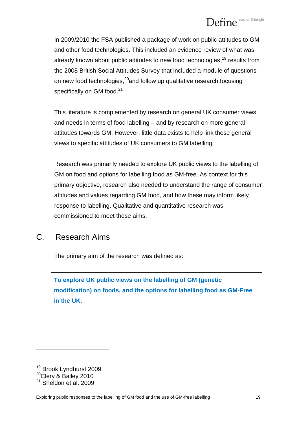In 2009/2010 the FSA published a package of work on public attitudes to GM and other food technologies. This included an evidence review of what was already known about public attitudes to new food technologies, <sup>19</sup> results from the 2008 British Social Attitudes Survey that included a module of questions on new food technologies,<sup>20</sup>and follow up qualitative research focusing specifically on GM food.<sup>21</sup>

This literature is complemented by research on general UK consumer views and needs in terms of food labelling – and by research on more general attitudes towards GM. However, little data exists to help link these general views to specific attitudes of UK consumers to GM labelling.

Research was primarily needed to explore UK public views to the labelling of GM on food and options for labelling food as GM-free. As context for this primary objective, research also needed to understand the range of consumer attitudes and values regarding GM food, and how these may inform likely response to labelling. Qualitative and quantitative research was commissioned to meet these aims.

## <span id="page-18-0"></span>C. Research Aims

The primary aim of the research was defined as:

**To explore UK public views on the labelling of GM (genetic modification) on foods, and the options for labelling food as GM-Free in the UK.**

<sup>&</sup>lt;sup>19</sup> Brook Lyndhurst 2009 <sup>20</sup>Clery & Bailey 2010 <sup>21</sup> Sheldon et al. 2009

Exploring public responses to the labelling of GM food and the use of GM-free labelling 19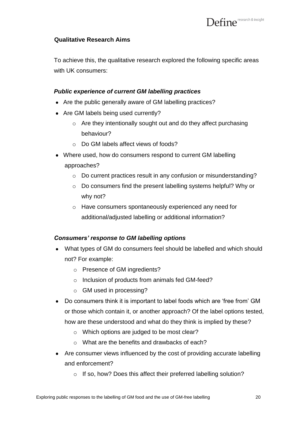#### **Qualitative Research Aims**

To achieve this, the qualitative research explored the following specific areas with UK consumers:

#### *Public experience of current GM labelling practices*

- Are the public generally aware of GM labelling practices?
- Are GM labels being used currently?
	- $\circ$  Are they intentionally sought out and do they affect purchasing behaviour?
	- o Do GM labels affect views of foods?
- Where used, how do consumers respond to current GM labelling approaches?
	- o Do current practices result in any confusion or misunderstanding?
	- o Do consumers find the present labelling systems helpful? Why or why not?
	- o Have consumers spontaneously experienced any need for additional/adjusted labelling or additional information?

#### *Consumers' response to GM labelling options*

- What types of GM do consumers feel should be labelled and which should not? For example:
	- o Presence of GM ingredients?
	- o Inclusion of products from animals fed GM-feed?
	- o GM used in processing?
- Do consumers think it is important to label foods which are "free from" GM or those which contain it, or another approach? Of the label options tested, how are these understood and what do they think is implied by these?
	- o Which options are judged to be most clear?
	- o What are the benefits and drawbacks of each?
- Are consumer views influenced by the cost of providing accurate labelling and enforcement?
	- o If so, how? Does this affect their preferred labelling solution?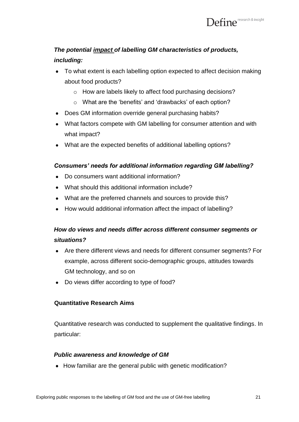## *The potential impact of labelling GM characteristics of products, including:*

- To what extent is each labelling option expected to affect decision making about food products?
	- o How are labels likely to affect food purchasing decisions?
	- o What are the "benefits" and "drawbacks" of each option?
- Does GM information override general purchasing habits?
- What factors compete with GM labelling for consumer attention and with what impact?
- What are the expected benefits of additional labelling options?

#### *Consumers' needs for additional information regarding GM labelling?*

- Do consumers want additional information?
- What should this additional information include?
- What are the preferred channels and sources to provide this?
- How would additional information affect the impact of labelling?

### *How do views and needs differ across different consumer segments or situations?*

- Are there different views and needs for different consumer segments? For example, across different socio-demographic groups, attitudes towards GM technology, and so on
- Do views differ according to type of food?

#### **Quantitative Research Aims**

Quantitative research was conducted to supplement the qualitative findings. In particular:

#### *Public awareness and knowledge of GM*

• How familiar are the general public with genetic modification?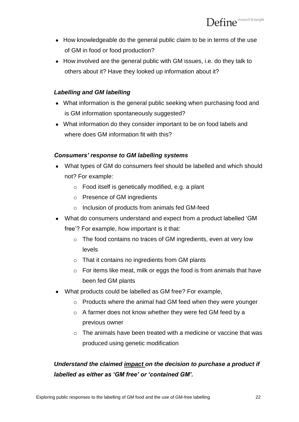- How knowledgeable do the general public claim to be in terms of the use of GM in food or food production?
- How involved are the general public with GM issues, i.e. do they talk to others about it? Have they looked up information about it?

#### *Labelling and GM labelling*

- What information is the general public seeking when purchasing food and is GM information spontaneously suggested?
- What information do they consider important to be on food labels and where does GM information fit with this?

#### *Consumers' response to GM labelling systems*

- What types of GM do consumers feel should be labelled and which should not? For example:
	- o Food itself is genetically modified, e.g. a plant
	- o Presence of GM ingredients
	- o Inclusion of products from animals fed GM-feed
- What do consumers understand and expect from a product labelled "GM free"? For example, how important is it that:
	- o The food contains no traces of GM ingredients, even at very low levels
	- o That it contains no ingredients from GM plants
	- $\circ$  For items like meat, milk or eggs the food is from animals that have been fed GM plants
- What products could be labelled as GM free? For example,
	- o Products where the animal had GM feed when they were younger
	- o A farmer does not know whether they were fed GM feed by a previous owner
	- $\circ$  The animals have been treated with a medicine or vaccine that was produced using genetic modification

## *Understand the claimed impact on the decision to purchase a product if labelled as either as 'GM free' or 'contained GM'.*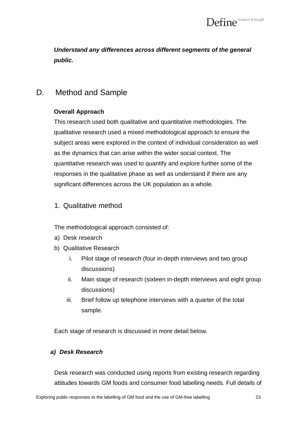*Understand any differences across different segments of the general public.*

## <span id="page-22-0"></span>D. Method and Sample

#### **Overall Approach**

This research used both qualitative and quantitative methodologies. The qualitative research used a mixed methodological approach to ensure the subject areas were explored in the context of individual consideration as well as the dynamics that can arise within the wider social context. The quantitative research was used to quantify and explore further some of the responses in the qualitative phase as well as understand if there are any significant differences across the UK population as a whole.

#### 1. Qualitative method

The methodological approach consisted of:

- a) Desk research
- b) Qualitative Research
	- i. Pilot stage of research (four in-depth interviews and two group discussions)
	- ii. Main stage of research (sixteen in-depth interviews and eight group discussions)
	- iii. Brief follow up telephone interviews with a quarter of the total sample.

Each stage of research is discussed in more detail below.

#### *a) Desk Research*

Desk research was conducted using reports from existing research regarding attitudes towards GM foods and consumer food labelling needs. Full details of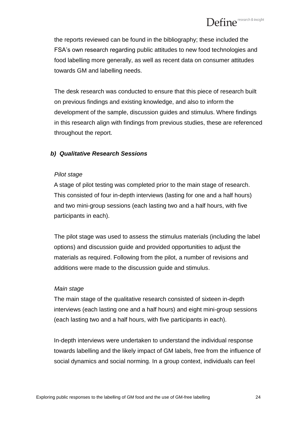the reports reviewed can be found in the bibliography; these included the FSA"s own research regarding public attitudes to new food technologies and food labelling more generally, as well as recent data on consumer attitudes towards GM and labelling needs.

The desk research was conducted to ensure that this piece of research built on previous findings and existing knowledge, and also to inform the development of the sample, discussion guides and stimulus. Where findings in this research align with findings from previous studies, these are referenced throughout the report.

#### *b) Qualitative Research Sessions*

#### *Pilot stage*

A stage of pilot testing was completed prior to the main stage of research. This consisted of four in-depth interviews (lasting for one and a half hours) and two mini-group sessions (each lasting two and a half hours, with five participants in each).

The pilot stage was used to assess the stimulus materials (including the label options) and discussion guide and provided opportunities to adjust the materials as required. Following from the pilot, a number of revisions and additions were made to the discussion guide and stimulus.

#### *Main stage*

The main stage of the qualitative research consisted of sixteen in-depth interviews (each lasting one and a half hours) and eight mini-group sessions (each lasting two and a half hours, with five participants in each).

In-depth interviews were undertaken to understand the individual response towards labelling and the likely impact of GM labels, free from the influence of social dynamics and social norming. In a group context, individuals can feel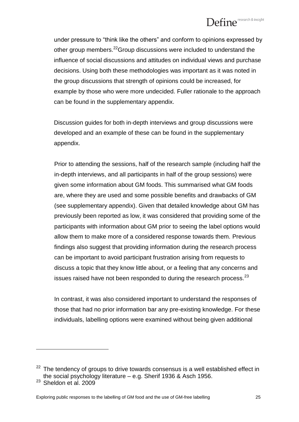under pressure to "think like the others" and conform to opinions expressed by other group members.<sup>22</sup>Group discussions were included to understand the influence of social discussions and attitudes on individual views and purchase decisions. Using both these methodologies was important as it was noted in the group discussions that strength of opinions could be increased, for example by those who were more undecided. Fuller rationale to the approach can be found in the supplementary appendix.

Discussion guides for both in-depth interviews and group discussions were developed and an example of these can be found in the supplementary appendix.

Prior to attending the sessions, half of the research sample (including half the in-depth interviews, and all participants in half of the group sessions) were given some information about GM foods. This summarised what GM foods are, where they are used and some possible benefits and drawbacks of GM (see supplementary appendix). Given that detailed knowledge about GM has previously been reported as low, it was considered that providing some of the participants with information about GM prior to seeing the label options would allow them to make more of a considered response towards them. Previous findings also suggest that providing information during the research process can be important to avoid participant frustration arising from requests to discuss a topic that they know little about, or a feeling that any concerns and issues raised have not been responded to during the research process.<sup>23</sup>

In contrast, it was also considered important to understand the responses of those that had no prior information bar any pre-existing knowledge. For these individuals, labelling options were examined without being given additional

 $22$  The tendency of groups to drive towards consensus is a well established effect in the social psychology literature – e.g. Sherif 1936 & Asch 1956.

 $23$  Sheldon et al. 2009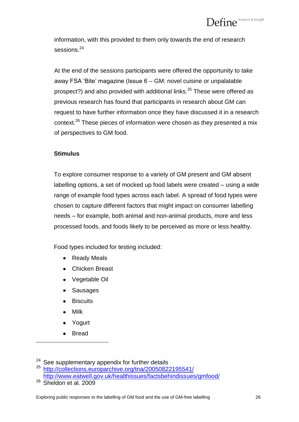information, with this provided to them only towards the end of research sessions.<sup>24</sup>

At the end of the sessions participants were offered the opportunity to take away FSA "Bite" magazine (Issue 6 – GM: novel cuisine or unpalatable prospect?) and also provided with additional links.<sup>25</sup> These were offered as previous research has found that participants in research about GM can request to have further information once they have discussed it in a research context.<sup>26</sup> These pieces of information were chosen as they presented a mix of perspectives to GM food.

#### **Stimulus**

To explore consumer response to a variety of GM present and GM absent labelling options, a set of mocked up food labels were created – using a wide range of example food types across each label. A spread of food types were chosen to capture different factors that might impact on consumer labelling needs – for example, both animal and non-animal products, more and less processed foods, and foods likely to be perceived as more or less healthy.

Food types included for testing included:

- $\bullet$ Ready Meals
- Chicken Breast
- Vegetable Oil
- Sausages  $\bullet$
- **Biscuits**
- Milk
- Yogurt
- Bread

<sup>&</sup>lt;sup>24</sup> See supplementary appendix for further details<br> $^{25}$  http://collections.ouroperchive.org/tpp/2005082 <sup>25</sup> <http://collections.europarchive.org/tna/20050822195541/>

<http://www.eatwell.gov.uk/healthissues/factsbehindissues/gmfood/>

<sup>&</sup>lt;sup>26</sup> Sheldon et al. 2009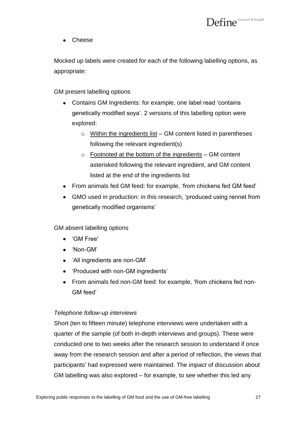Cheese  $\bullet$ 

Mocked up labels were created for each of the following labelling options, as appropriate:

GM present labelling options

- Contains GM Ingredients: for example, one label read "contains genetically modified soya". 2 versions of this labelling option were explored:
	- $\circ$  Within the ingredients list GM content listed in parentheses following the relevant ingredient(s)
	- $\circ$  Footnoted at the bottom of the ingredients GM content asterisked following the relevant ingredient, and GM content listed at the end of the ingredients list
- From animals fed GM feed: for example, 'from chickens fed GM feed'
- GMO used in production: in this research, "produced using rennet from genetically modified organisms"

GM absent labelling options

- 'GM Free'
- 'Non-GM'
- 'All ingredients are non-GM'
- 'Produced with non-GM ingredients'
- From animals fed non-GM feed: for example, "from chickens fed non-GM feed"

#### *Telephone follow-up interviews*

Short (ten to fifteen minute) telephone interviews were undertaken with a quarter of the sample (of both in-depth interviews and groups). These were conducted one to two weeks after the research session to understand if once away from the research session and after a period of reflection, the views that participants" had expressed were maintained. The *impact* of discussion about GM labelling was also explored – for example, to see whether this led any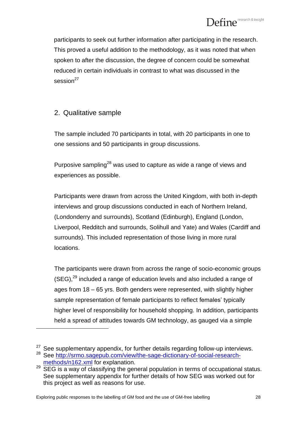participants to seek out further information after participating in the research. This proved a useful addition to the methodology, as it was noted that when spoken to after the discussion, the degree of concern could be somewhat reduced in certain individuals in contrast to what was discussed in the session<sup>27</sup>

#### 2. Qualitative sample

 $\overline{a}$ 

The sample included 70 participants in total, with 20 participants in one to one sessions and 50 participants in group discussions.

Purposive sampling<sup>28</sup> was used to capture as wide a range of views and experiences as possible.

Participants were drawn from across the United Kingdom, with both in-depth interviews and group discussions conducted in each of Northern Ireland, (Londonderry and surrounds), Scotland (Edinburgh), England (London, Liverpool, Redditch and surrounds, Solihull and Yate) and Wales (Cardiff and surrounds). This included representation of those living in more rural locations.

The participants were drawn from across the range of socio-economic groups  $(SEG),<sup>29</sup>$  included a range of education levels and also included a range of ages from 18 – 65 yrs. Both genders were represented, with slightly higher sample representation of female participants to reflect females' typically higher level of responsibility for household shopping. In addition, participants held a spread of attitudes towards GM technology, as gauged via a simple

 $27$  See supplementary appendix, for further details regarding follow-up interviews.

<sup>28</sup> See [http://srmo.sagepub.com/view/the-sage-dictionary-of-social-research](http://srmo.sagepub.com/view/the-sage-dictionary-of-social-research-methods/n162.xml)[methods/n162.xml](http://srmo.sagepub.com/view/the-sage-dictionary-of-social-research-methods/n162.xml) for explanation.

<sup>&</sup>lt;sup>29</sup> SEG is a way of classifying the general population in terms of occupational status. See supplementary appendix for further details of how SEG was worked out for this project as well as reasons for use.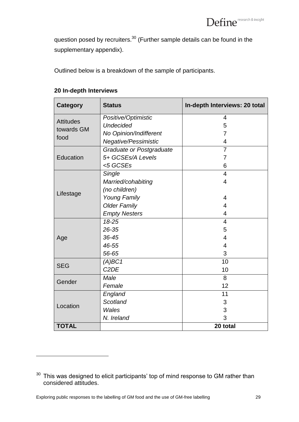question posed by recruiters.<sup>30</sup> (Further sample details can be found in the supplementary appendix).

Outlined below is a breakdown of the sample of participants.

| <b>Category</b>                | <b>Status</b>            | In-depth Interviews: 20 total |  |
|--------------------------------|--------------------------|-------------------------------|--|
|                                | Positive/Optimistic      | $\overline{4}$                |  |
| <b>Attitudes</b><br>towards GM | <b>Undecided</b>         | 5                             |  |
| food                           | No Opinion/Indifferent   | $\overline{7}$                |  |
|                                | Negative/Pessimistic     | $\overline{4}$                |  |
|                                | Graduate or Postgraduate | 7                             |  |
| Education                      | 5+ GCSEs/A Levels        | 7                             |  |
|                                | $<$ 5 GCSEs              | 6                             |  |
|                                | Single                   | $\overline{4}$                |  |
|                                | Married/cohabiting       | $\overline{4}$                |  |
| Lifestage                      | (no children)            |                               |  |
|                                | <b>Young Family</b>      | 4                             |  |
|                                | <b>Older Family</b>      | 4                             |  |
|                                | <b>Empty Nesters</b>     | 4                             |  |
|                                | 18-25                    | $\overline{4}$                |  |
|                                | 26-35                    | 5                             |  |
| Age                            | 36-45                    | 4                             |  |
|                                | 46-55                    | $\overline{4}$                |  |
|                                | 56-65                    | 3                             |  |
| <b>SEG</b>                     | (A)BC1                   | 10                            |  |
|                                | C <sub>2</sub> DE        | 10                            |  |
| Gender                         | Male                     | 8                             |  |
|                                | Female                   | 12                            |  |
|                                | England                  | 11                            |  |
| Location                       | Scotland                 | 3                             |  |
|                                | Wales                    | 3                             |  |
|                                | N. Ireland               | 3                             |  |
| <b>TOTAL</b>                   |                          | 20 total                      |  |

#### **20 In-depth Interviews**

 $30$  This was designed to elicit participants' top of mind response to GM rather than considered attitudes.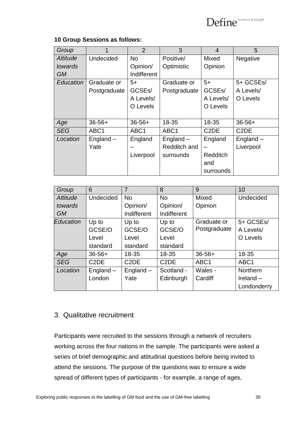#### **10 Group Sessions as follows:**

| Group                        |                  | $\overline{2}$      | 3                | $\overline{4}$                | 5                             |
|------------------------------|------------------|---------------------|------------------|-------------------------------|-------------------------------|
| <b>Undecided</b><br>Attitude |                  | <b>No</b>           | Positive/        | Mixed                         | Negative                      |
| towards                      |                  | Opinion/            | Optimistic       | Opinion                       |                               |
| <b>GM</b>                    |                  | Indifferent         |                  |                               |                               |
| Education                    | Graduate or      | $5+$                | Graduate or      | $5+$                          | 5+ GCSEs/                     |
|                              | Postgraduate     | GCSE <sub>s</sub> / | Postgraduate     | GCSE <sub>s</sub> /           | A Levels/                     |
|                              |                  | A Levels/           |                  | A Levels/                     | O Levels                      |
|                              |                  | O Levels            |                  | O Levels                      |                               |
|                              |                  |                     |                  |                               |                               |
| Age                          | $36 - 56 +$      | $36 - 56 +$         | 18-35            | 18-35                         | $36 - 56 +$                   |
| <b>SEG</b>                   | ABC <sub>1</sub> | ABC <sub>1</sub>    | ABC <sub>1</sub> | C <sub>2</sub> D <sub>E</sub> | C <sub>2</sub> D <sub>E</sub> |
| Location                     | England $-$      | England             | England $-$      | England                       | $England -$                   |
|                              | Yate             |                     | Redditch and     |                               | Liverpool                     |
|                              |                  | Liverpool           | surrounds        | <b>Redditch</b>               |                               |
|                              |                  |                     |                  | and                           |                               |
|                              |                  |                     |                  | surrounds                     |                               |

| Group      | 6                             | $\overline{7}$                | 8                             | 9                | 10               |
|------------|-------------------------------|-------------------------------|-------------------------------|------------------|------------------|
| Attitude   | <b>Undecided</b>              | <b>No</b>                     | <b>No</b>                     | <b>Mixed</b>     | <b>Undecided</b> |
| towards    |                               | Opinion/                      | Opinion/                      | Opinion          |                  |
| <b>GM</b>  |                               | Indifferent                   | Indifferent                   |                  |                  |
| Education  | Up to                         | Up to                         | Up to                         | Graduate or      | 5+ GCSEs/        |
|            | GCSE/O                        | GCSE/O                        | GCSE/O                        | Postgraduate     | A Levels/        |
|            | Level                         | Level                         | Level                         |                  | O Levels         |
|            | standard                      | standard                      | standard                      |                  |                  |
| Age        | $36 - 56 +$                   | 18-35                         | 18-35                         | $36 - 56 +$      | 18-35            |
| <b>SEG</b> | C <sub>2</sub> D <sub>E</sub> | C <sub>2</sub> D <sub>E</sub> | C <sub>2</sub> D <sub>E</sub> | ABC <sub>1</sub> | ABC <sub>1</sub> |
| Location   | England $-$                   | England $-$                   | Scotland -                    | Wales -          | <b>Northern</b>  |
|            | London                        | Yate                          | Edinburgh                     | Cardiff          | Ireland $-$      |
|            |                               |                               |                               |                  | Londonderry      |

#### 3. Qualitative recruitment

Participants were recruited to the sessions through a network of recruiters working across the four nations in the sample. The participants were asked a series of brief demographic and attitudinal questions before being invited to attend the sessions. The purpose of the questions was to ensure a wide spread of different types of participants - for example, a range of ages,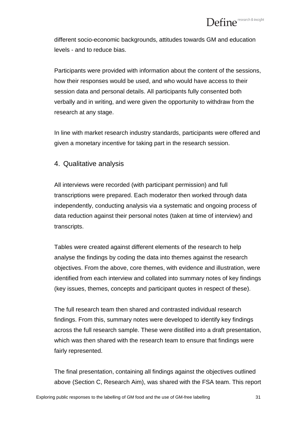different socio-economic backgrounds, attitudes towards GM and education levels - and to reduce bias.

Participants were provided with information about the content of the sessions, how their responses would be used, and who would have access to their session data and personal details. All participants fully consented both verbally and in writing, and were given the opportunity to withdraw from the research at any stage.

In line with market research industry standards, participants were offered and given a monetary incentive for taking part in the research session.

4. Qualitative analysis

All interviews were recorded (with participant permission) and full transcriptions were prepared. Each moderator then worked through data independently, conducting analysis via a systematic and ongoing process of data reduction against their personal notes (taken at time of interview) and transcripts.

Tables were created against different elements of the research to help analyse the findings by coding the data into themes against the research objectives. From the above, core themes, with evidence and illustration, were identified from each interview and collated into summary notes of key findings (key issues, themes, concepts and participant quotes in respect of these).

The full research team then shared and contrasted individual research findings. From this, summary notes were developed to identify key findings across the full research sample. These were distilled into a draft presentation, which was then shared with the research team to ensure that findings were fairly represented.

The final presentation, containing all findings against the objectives outlined above (Section C, Research Aim), was shared with the FSA team. This report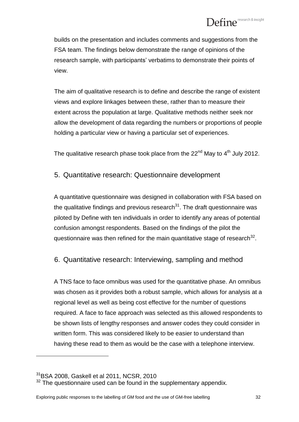builds on the presentation and includes comments and suggestions from the FSA team. The findings below demonstrate the range of opinions of the research sample, with participants" verbatims to demonstrate their points of view.

The aim of qualitative research is to define and describe the range of existent views and explore linkages between these, rather than to measure their extent across the population at large. Qualitative methods neither seek nor allow the development of data regarding the numbers or proportions of people holding a particular view or having a particular set of experiences.

The qualitative research phase took place from the  $22<sup>nd</sup>$  May to  $4<sup>th</sup>$  July 2012.

#### 5. Quantitative research: Questionnaire development

A quantitative questionnaire was designed in collaboration with FSA based on the qualitative findings and previous research $31$ . The draft questionnaire was piloted by Define with ten individuals in order to identify any areas of potential confusion amongst respondents. Based on the findings of the pilot the questionnaire was then refined for the main quantitative stage of research $^{32}$ .

#### 6. Quantitative research: Interviewing, sampling and method

A TNS face to face omnibus was used for the quantitative phase. An omnibus was chosen as it provides both a robust sample, which allows for analysis at a regional level as well as being cost effective for the number of questions required. A face to face approach was selected as this allowed respondents to be shown lists of lengthy responses and answer codes they could consider in written form. This was considered likely to be easier to understand than having these read to them as would be the case with a telephone interview.

<sup>31</sup>BSA 2008, Gaskell et al 2011, NCSR, 2010

 $32$  The questionnaire used can be found in the supplementary appendix.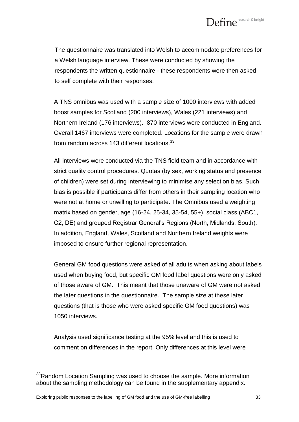

The questionnaire was translated into Welsh to accommodate preferences for a Welsh language interview. These were conducted by showing the respondents the written questionnaire - these respondents were then asked to self complete with their responses.

A TNS omnibus was used with a sample size of 1000 interviews with added boost samples for Scotland (200 interviews), Wales (221 interviews) and Northern Ireland (176 interviews). 870 interviews were conducted in England. Overall 1467 interviews were completed. Locations for the sample were drawn from random across 143 different locations. $^{33}$ 

All interviews were conducted via the TNS field team and in accordance with strict quality control procedures. Quotas (by sex, working status and presence of children) were set during interviewing to minimise any selection bias. Such bias is possible if participants differ from others in their sampling location who were not at home or unwilling to participate. The Omnibus used a weighting matrix based on gender, age (16-24, 25-34, 35-54, 55+), social class (ABC1, C2, DE) and grouped Registrar General"s Regions (North, Midlands, South). In addition, England, Wales, Scotland and Northern Ireland weights were imposed to ensure further regional representation.

General GM food questions were asked of all adults when asking about labels used when buying food, but specific GM food label questions were only asked of those aware of GM. This meant that those unaware of GM were not asked the later questions in the questionnaire. The sample size at these later questions (that is those who were asked specific GM food questions) was 1050 interviews.

Analysis used significance testing at the 95% level and this is used to comment on differences in the report. Only differences at this level were

<sup>&</sup>lt;sup>33</sup>Random Location Sampling was used to choose the sample. More information about the sampling methodology can be found in the supplementary appendix.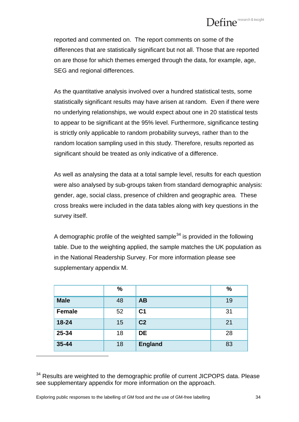# $\mathbf{Define}^{\mathsf{research\&insight}}$

reported and commented on. The report comments on some of the differences that are statistically significant but not all. Those that are reported on are those for which themes emerged through the data, for example, age, SEG and regional differences.

As the quantitative analysis involved over a hundred statistical tests, some statistically significant results may have arisen at random. Even if there were no underlying relationships, we would expect about one in 20 statistical tests to appear to be significant at the 95% level. Furthermore, significance testing is strictly only applicable to random probability surveys, rather than to the random location sampling used in this study. Therefore, results reported as significant should be treated as only indicative of a difference.

As well as analysing the data at a total sample level, results for each question were also analysed by sub-groups taken from standard demographic analysis: gender, age, social class, presence of children and geographic area. These cross breaks were included in the data tables along with key questions in the survey itself.

A demographic profile of the weighted sample $34$  is provided in the following table. Due to the weighting applied, the sample matches the UK population as in the National Readership Survey. For more information please see supplementary appendix M.

|               | %  |                | $\frac{0}{0}$ |
|---------------|----|----------------|---------------|
| <b>Male</b>   | 48 | <b>AB</b>      | 19            |
| <b>Female</b> | 52 | C <sub>1</sub> | 31            |
| 18-24         | 15 | C <sub>2</sub> | 21            |
| 25-34         | 18 | <b>DE</b>      | 28            |
| $35 - 44$     | 18 | <b>England</b> | 83            |

<sup>&</sup>lt;sup>34</sup> Results are weighted to the demographic profile of current JICPOPS data. Please see supplementary appendix for more information on the approach.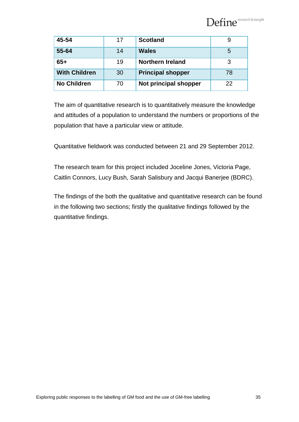

| 45-54                | 17 | <b>Scotland</b>          |    |
|----------------------|----|--------------------------|----|
| 55-64                | 14 | <b>Wales</b>             | 5  |
| $65+$                | 19 | <b>Northern Ireland</b>  | 3  |
| <b>With Children</b> | 30 | <b>Principal shopper</b> | 78 |
| <b>No Children</b>   | 70 | Not principal shopper    | 22 |

The aim of quantitative research is to quantitatively measure the knowledge and attitudes of a population to understand the numbers or proportions of the population that have a particular view or attitude.

Quantitative fieldwork was conducted between 21 and 29 September 2012.

The research team for this project included Joceline Jones, Victoria Page, Caitlin Connors, Lucy Bush, Sarah Salisbury and Jacqui Banerjee (BDRC).

The findings of the both the qualitative and quantitative research can be found in the following two sections; firstly the qualitative findings followed by the quantitative findings.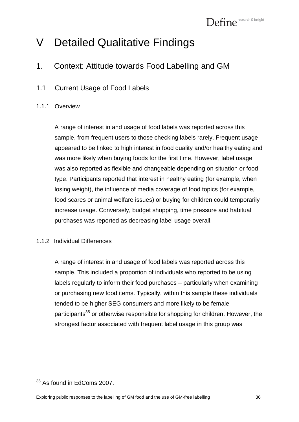# <span id="page-35-0"></span>V Detailed Qualitative Findings

- <span id="page-35-1"></span>1. Context: Attitude towards Food Labelling and GM
- <span id="page-35-2"></span>1.1 Current Usage of Food Labels

#### <span id="page-35-3"></span>1.1.1 Overview

A range of interest in and usage of food labels was reported across this sample, from frequent users to those checking labels rarely. Frequent usage appeared to be linked to high interest in food quality and/or healthy eating and was more likely when buying foods for the first time. However, label usage was also reported as flexible and changeable depending on situation or food type. Participants reported that interest in healthy eating (for example, when losing weight), the influence of media coverage of food topics (for example, food scares or animal welfare issues) or buying for children could temporarily increase usage. Conversely, budget shopping, time pressure and habitual purchases was reported as decreasing label usage overall.

#### <span id="page-35-4"></span>1.1.2 Individual Differences

A range of interest in and usage of food labels was reported across this sample. This included a proportion of individuals who reported to be using labels regularly to inform their food purchases – particularly when examining or purchasing new food items. Typically, within this sample these individuals tended to be higher SEG consumers and more likely to be female participants<sup>35</sup> or otherwise responsible for shopping for children. However, the strongest factor associated with frequent label usage in this group was

 $35$  As found in EdComs 2007.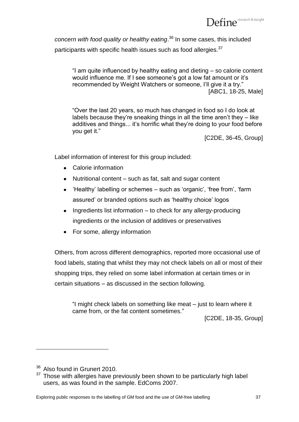Define<sup>research & insight</sup>

*concern with food quality or healthy eating*. <sup>36</sup> In some cases, this included participants with specific health issues such as food allergies.<sup>37</sup>

"I am quite influenced by healthy eating and dieting – so calorie content would influence me. If I see someone's got a low fat amount or it's recommended by Weight Watchers or someone, I'll give it a try." [ABC1, 18-25, Male]

"Over the last 20 years, so much has changed in food so I do look at labels because they"re sneaking things in all the time aren"t they – like additives and things... it's horrific what they're doing to your food before you get it."

[C2DE, 36-45, Group]

Label information of interest for this group included:

- Calorie information
- Nutritional content such as fat, salt and sugar content
- 'Healthy' labelling or schemes such as 'organic', 'free from', 'farm assured" or branded options such as "healthy choice" logos
- Ingredients list information  $-$  to check for any allergy-producing ingredients or the inclusion of additives or preservatives
- For some, allergy information

Others, from across different demographics, reported more occasional use of food labels, stating that whilst they may not check labels on all or most of their shopping trips, they relied on some label information at certain times or in certain situations – as discussed in the section following.

"I might check labels on something like meat – just to learn where it came from, or the fat content sometimes."

[C2DE, 18-35, Group]

<sup>&</sup>lt;sup>36</sup> Also found in Grunert 2010.

 $37$  Those with allergies have previously been shown to be particularly high label users, as was found in the sample. EdComs 2007.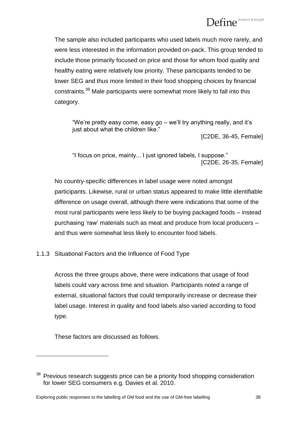# Define<sup>research & insight</sup>

The sample also included participants who used labels much more rarely, and were less interested in the information provided on-pack. This group tended to include those primarily focused on price and those for whom food quality and healthy eating were relatively low priority. These participants tended to be lower SEG and thus more limited in their food shopping choices by financial constraints.<sup>38</sup> Male participants were somewhat more likely to fall into this category.

"We"re pretty easy come, easy go – we"ll try anything really, and it"s just about what the children like." [C2DE, 36-45, Female]

"I focus on price, mainly... I just ignored labels, I suppose." [C2DE, 26-35, Female]

No country-specific differences in label usage were noted amongst participants. Likewise, rural or urban status appeared to make little identifiable difference on usage overall, although there were indications that some of the most rural participants were less likely to be buying packaged foods – instead purchasing "raw" materials such as meat and produce from local producers – and thus were somewhat less likely to encounter food labels.

# 1.1.3 Situational Factors and the Influence of Food Type

Across the three groups above, there were indications that usage of food labels could vary across time and situation. Participants noted a range of external, situational factors that could temporarily increase or decrease their label usage. Interest in quality and food labels also varied according to food type.

These factors are discussed as follows.

<sup>&</sup>lt;sup>38</sup> Previous research suggests price can be a priority food shopping consideration for lower SEG consumers e.g. Davies et al. 2010.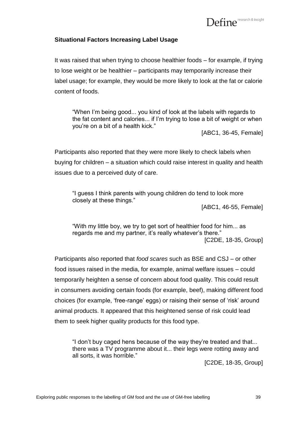

### **Situational Factors Increasing Label Usage**

It was raised that when trying to choose healthier foods – for example, if trying to lose weight or be healthier – participants may temporarily increase their label usage; for example, they would be more likely to look at the fat or calorie content of foods.

"When I"m being good... you kind of look at the labels with regards to the fat content and calories... if I"m trying to lose a bit of weight or when you"re on a bit of a health kick."

[ABC1, 36-45, Female]

Participants also reported that they were more likely to check labels when buying for children – a situation which could raise interest in quality and health issues due to a perceived duty of care.

"I guess I think parents with young children do tend to look more closely at these things."

[ABC1, 46-55, Female]

"With my little boy, we try to get sort of healthier food for him... as regards me and my partner, it's really whatever's there." [C2DE, 18-35, Group]

Participants also reported that *food scares* such as BSE and CSJ – or other food issues raised in the media, for example, animal welfare issues – could temporarily heighten a sense of concern about food quality. This could result in consumers avoiding certain foods (for example, beef), making different food choices (for example, "free-range" eggs) or raising their sense of "risk" around animal products. It appeared that this heightened sense of risk could lead them to seek higher quality products for this food type.

"I don"t buy caged hens because of the way they"re treated and that... there was a TV programme about it... their legs were rotting away and all sorts, it was horrible."

[C2DE, 18-35, Group]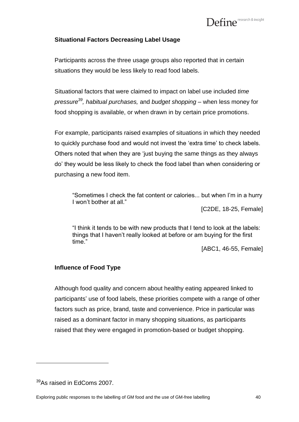

### **Situational Factors Decreasing Label Usage**

Participants across the three usage groups also reported that in certain situations they would be less likely to read food labels.

Situational factors that were claimed to impact on label use included *time pressure<sup>39</sup>, habitual purchases,* and *budget shopping –* when less money for food shopping is available, or when drawn in by certain price promotions.

For example, participants raised examples of situations in which they needed to quickly purchase food and would not invest the "extra time" to check labels. Others noted that when they are "just buying the same things as they always do" they would be less likely to check the food label than when considering or purchasing a new food item.

"Sometimes I check the fat content or calories... but when I"m in a hurry I won"t bother at all."

[C2DE, 18-25, Female]

"I think it tends to be with new products that I tend to look at the labels: things that I haven"t really looked at before or am buying for the first time."

[ABC1, 46-55, Female]

### **Influence of Food Type**

Although food quality and concern about healthy eating appeared linked to participants' use of food labels, these priorities compete with a range of other factors such as price, brand, taste and convenience. Price in particular was raised as a dominant factor in many shopping situations, as participants raised that they were engaged in promotion-based or budget shopping.

 $39$ As raised in EdComs 2007.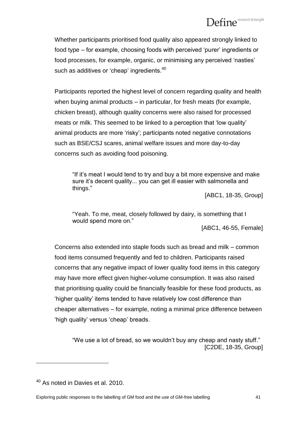Whether participants prioritised food quality also appeared strongly linked to food type – for example, choosing foods with perceived "purer" ingredients or food processes, for example, organic, or minimising any perceived 'nasties' such as additives or 'cheap' ingredients. $^{\rm 40}$ 

Participants reported the highest level of concern regarding quality and health when buying animal products – in particular, for fresh meats (for example, chicken breast), although quality concerns were also raised for processed meats or milk. This seemed to be linked to a perception that "low quality" animal products are more "risky"; participants noted negative connotations such as BSE/CSJ scares, animal welfare issues and more day-to-day concerns such as avoiding food poisoning.

"If it"s meat I would tend to try and buy a bit more expensive and make sure it"s decent quality... you can get ill easier with salmonella and things."

[ABC1, 18-35, Group]

"Yeah. To me, meat, closely followed by dairy, is something that I would spend more on."

[ABC1, 46-55, Female]

Concerns also extended into staple foods such as bread and milk – common food items consumed frequently and fed to children. Participants raised concerns that any negative impact of lower quality food items in this category may have more effect given higher-volume consumption. It was also raised that prioritising quality could be financially feasible for these food products, as "higher quality" items tended to have relatively low cost difference than cheaper alternatives – for example, noting a minimal price difference between 'high quality' versus 'cheap' breads.

"We use a lot of bread, so we wouldn"t buy any cheap and nasty stuff." [C2DE, 18-35, Group]

 $40$  As noted in Davies et al. 2010.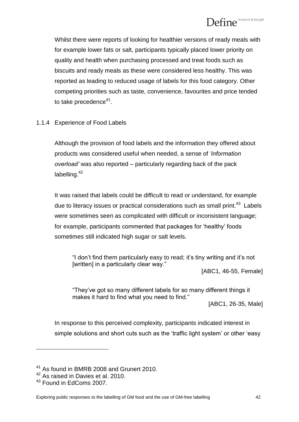Whilst there were reports of looking for healthier versions of ready meals with for example lower fats or salt, participants typically placed lower priority on quality and health when purchasing processed and treat foods such as biscuits and ready meals as these were considered less healthy. This was reported as leading to reduced usage of labels for this food category. Other competing priorities such as taste, convenience, favourites and price tended to take precedence $^{\rm 41}.$ 

# 1.1.4 Experience of Food Labels

Although the provision of food labels and the information they offered about products was considered useful when needed, a sense of *'information overload'* was also reported – particularly regarding back of the pack labelling.<sup>42</sup>

It was raised that labels could be difficult to read or understand, for example due to literacy issues or practical considerations such as small print.<sup>43</sup> Labels were sometimes seen as complicated with difficult or inconsistent language; for example, participants commented that packages for "healthy" foods sometimes still indicated high sugar or salt levels.

"I don"t find them particularly easy to read; it"s tiny writing and it"s not [written] in a particularly clear way."

[ABC1, 46-55, Female]

"They"ve got so many different labels for so many different things it makes it hard to find what you need to find."

[ABC1, 26-35, Male]

In response to this perceived complexity, participants indicated interest in simple solutions and short cuts such as the "traffic light system" or other "easy

<sup>41</sup> As found in BMRB 2008 and Grunert 2010.

<sup>42</sup> As raised in Davies et al. 2010.

<sup>&</sup>lt;sup>43</sup> Found in EdComs 2007.

Exploring public responses to the labelling of GM food and the use of GM-free labelling 42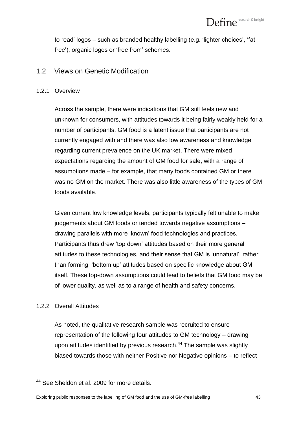to read" logos – such as branded healthy labelling (e.g. "lighter choices", "fat free'), organic logos or 'free from' schemes.

# 1.2 Views on Genetic Modification

# 1.2.1 Overview

Across the sample, there were indications that GM still feels new and unknown for consumers, with attitudes towards it being fairly weakly held for a number of participants. GM food is a latent issue that participants are not currently engaged with and there was also low awareness and knowledge regarding current prevalence on the UK market. There were mixed expectations regarding the amount of GM food for sale, with a range of assumptions made – for example, that many foods contained GM or there was no GM on the market. There was also little awareness of the types of GM foods available.

Given current low knowledge levels, participants typically felt unable to make judgements about GM foods or tended towards negative assumptions – drawing parallels with more "known" food technologies and practices. Participants thus drew "top down" attitudes based on their more general attitudes to these technologies, and their sense that GM is "unnatural", rather than forming "bottom up" attitudes based on specific knowledge about GM itself. These top-down assumptions could lead to beliefs that GM food may be of lower quality, as well as to a range of health and safety concerns.

# 1.2.2 Overall Attitudes

 $\overline{a}$ 

As noted, the qualitative research sample was recruited to ensure representation of the following four attitudes to GM technology – drawing upon attitudes identified by previous research.<sup>44</sup> The sample was slightly biased towards those with neither Positive nor Negative opinions – to reflect

<sup>&</sup>lt;sup>44</sup> See Sheldon et al. 2009 for more details.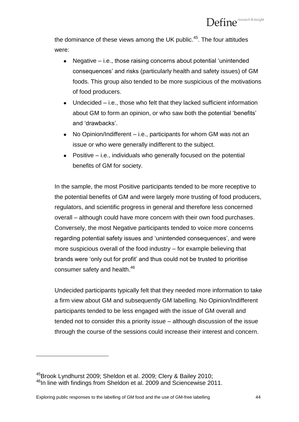the dominance of these views among the UK public. $45$ . The four attitudes were:

- Negative i.e., those raising concerns about potential "unintended consequences" and risks (particularly health and safety issues) of GM foods. This group also tended to be more suspicious of the motivations of food producers.
- Undecided i.e., those who felt that they lacked sufficient information about GM to form an opinion, or who saw both the potential "benefits" and "drawbacks".
- No Opinion/Indifferent i.e., participants for whom GM was not an issue or who were generally indifferent to the subject.
- Positive i.e., individuals who generally focused on the potential benefits of GM for society.

In the sample, the most Positive participants tended to be more receptive to the potential benefits of GM and were largely more trusting of food producers, regulators, and scientific progress in general and therefore less concerned overall – although could have more concern with their own food purchases. Conversely, the most Negative participants tended to voice more concerns regarding potential safety issues and "unintended consequences", and were more suspicious overall of the food industry – for example believing that brands were "only out for profit" and thus could not be trusted to prioritise consumer safety and health.<sup>46</sup>

Undecided participants typically felt that they needed more information to take a firm view about GM and subsequently GM labelling. No Opinion/Indifferent participants tended to be less engaged with the issue of GM overall and tended not to consider this a priority issue – although discussion of the issue through the course of the sessions could increase their interest and concern.

<sup>45</sup>Brook Lyndhurst 2009; Sheldon et al. 2009; Clery & Bailey 2010; <sup>46</sup>In line with findings from Sheldon et al. 2009 and Sciencewise 2011.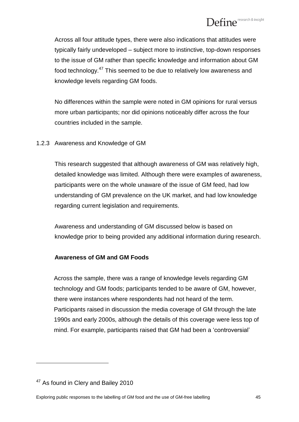Across all four attitude types, there were also indications that attitudes were typically fairly undeveloped – subject more to instinctive, top-down responses to the issue of GM rather than specific knowledge and information about GM food technology.<sup>47</sup> This seemed to be due to relatively low awareness and knowledge levels regarding GM foods.

No differences within the sample were noted in GM opinions for rural versus more urban participants; nor did opinions noticeably differ across the four countries included in the sample.

# 1.2.3 Awareness and Knowledge of GM

This research suggested that although awareness of GM was relatively high, detailed knowledge was limited. Although there were examples of awareness, participants were on the whole unaware of the issue of GM feed, had low understanding of GM prevalence on the UK market, and had low knowledge regarding current legislation and requirements.

Awareness and understanding of GM discussed below is based on knowledge prior to being provided any additional information during research.

# **Awareness of GM and GM Foods**

Across the sample, there was a range of knowledge levels regarding GM technology and GM foods; participants tended to be aware of GM, however, there were instances where respondents had not heard of the term. Participants raised in discussion the media coverage of GM through the late 1990s and early 2000s, although the details of this coverage were less top of mind. For example, participants raised that GM had been a "controversial"

<sup>&</sup>lt;sup>47</sup> As found in Clery and Bailey 2010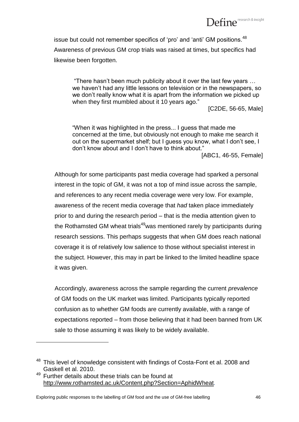

issue but could not remember specifics of 'pro' and 'anti' GM positions.<sup>48</sup> Awareness of previous GM crop trials was raised at times, but specifics had likewise been forgotten.

"There hasn"t been much publicity about it over the last few years … we haven"t had any little lessons on television or in the newspapers, so we don"t really know what it is apart from the information we picked up when they first mumbled about it 10 years ago."

[C2DE, 56-65, Male]

"When it was highlighted in the press... I guess that made me concerned at the time, but obviously not enough to make me search it out on the supermarket shelf; but I guess you know, what I don"t see, I don"t know about and I don"t have to think about."

[ABC1, 46-55, Female]

Although for some participants past media coverage had sparked a personal interest in the topic of GM, it was not a top of mind issue across the sample, and references to any recent media coverage were very low. For example, awareness of the recent media coverage that *had* taken place immediately prior to and during the research period – that is the media attention given to the Rothamsted GM wheat trials<sup>49</sup>was mentioned rarely by participants during research sessions. This perhaps suggests that when GM does reach national coverage it is of relatively low salience to those without specialist interest in the subject. However, this may in part be linked to the limited headline space it was given.

Accordingly, awareness across the sample regarding the current *prevalence* of GM foods on the UK market was limited. Participants typically reported confusion as to whether GM foods are currently available, with a range of expectations reported – from those believing that it had been banned from UK sale to those assuming it was likely to be widely available.

 $\overline{a}$ 

Exploring public responses to the labelling of GM food and the use of GM-free labelling 46

<sup>&</sup>lt;sup>48</sup> This level of knowledge consistent with findings of Costa-Font et al. 2008 and Gaskell et al. 2010.

<sup>&</sup>lt;sup>49</sup> Further details about these trials can be found at <http://www.rothamsted.ac.uk/Content.php?Section=AphidWheat>*.*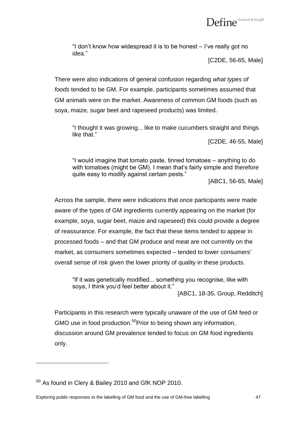

"I don"t know how widespread it is to be honest – I"ve really got no idea."

[C2DE, 56-65, Male]

There were also indications of general confusion regarding *what types of foods* tended to be GM. For example, participants sometimes assumed that GM animals were on the market. Awareness of common GM foods (such as soya, maize, sugar beet and rapeseed products) was limited.

"I thought it was growing... like to make cucumbers straight and things like that."

[C2DE, 46-55, Male]

"I would imagine that tomato paste, tinned tomatoes – anything to do with tomatoes (might be GM). I mean that's fairly simple and therefore quite easy to modify against certain pests."

[ABC1, 56-65, Male]

Across the sample, there were indications that once participants were made aware of the types of GM ingredients currently appearing on the market (for example, soya, sugar beet, maize and rapeseed) this could provide a degree of reassurance. For example, the fact that these items tended to appear in processed foods – and that GM produce and meat are not currently on the market, as consumers sometimes expected – tended to lower consumers" overall sense of risk given the lower priority of quality in these products.

"If it was genetically modified... something you recognise, like with soya, I think you'd feel better about it." [ABC1, 18-35, Group, Redditch]

Participants in this research were typically unaware of the use of GM feed or GMO use in food production.<sup>50</sup>Prior to being shown any information, discussion around GM prevalence tended to focus on GM food ingredients only.

 $50$  As found in Clery & Bailey 2010 and GfK NOP 2010.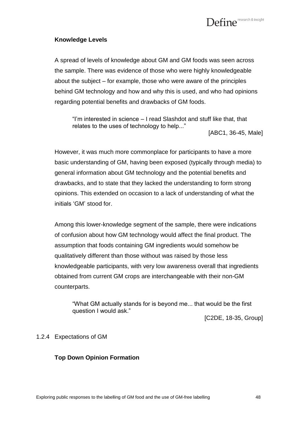

### **Knowledge Levels**

A spread of levels of knowledge about GM and GM foods was seen across the sample. There was evidence of those who were highly knowledgeable about the subject – for example, those who were aware of the principles behind GM technology and how and why this is used, and who had opinions regarding potential benefits and drawbacks of GM foods.

"I"m interested in science – I read Slashdot and stuff like that, that relates to the uses of technology to help..."

[ABC1, 36-45, Male]

However, it was much more commonplace for participants to have a more basic understanding of GM, having been exposed (typically through media) to general information about GM technology and the potential benefits and drawbacks, and to state that they lacked the understanding to form strong opinions. This extended on occasion to a lack of understanding of what the initials "GM" stood for.

Among this lower-knowledge segment of the sample, there were indications of confusion about how GM technology would affect the final product. The assumption that foods containing GM ingredients would somehow be qualitatively different than those without was raised by those less knowledgeable participants, with very low awareness overall that ingredients obtained from current GM crops are interchangeable with their non-GM counterparts.

"What GM actually stands for is beyond me... that would be the first question I would ask."

[C2DE, 18-35, Group]

# 1.2.4 Expectations of GM

# **Top Down Opinion Formation**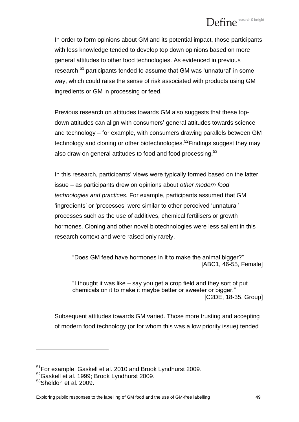# $\mathbf{Define}^{\scriptscriptstyle \text{research\&insight}}$

In order to form opinions about GM and its potential impact, those participants with less knowledge tended to develop top down opinions based on more general attitudes to other food technologies. As evidenced in previous research,<sup>51</sup> participants tended to assume that GM was 'unnatural' in some way, which could raise the sense of risk associated with products using GM ingredients or GM in processing or feed.

Previous research on attitudes towards GM also suggests that these topdown attitudes can align with consumers' general attitudes towards science and technology – for example, with consumers drawing parallels between GM technology and cloning or other biotechnologies.<sup>52</sup>Findings suggest they may also draw on general attitudes to food and food processing.<sup>53</sup>

In this research, participants" views were typically formed based on the latter issue – as participants drew on opinions about *other modern food technologies and practices.* For example, participants assumed that GM "ingredients" or "processes" were similar to other perceived "unnatural" processes such as the use of additives, chemical fertilisers or growth hormones. Cloning and other novel biotechnologies were less salient in this research context and were raised only rarely.

"Does GM feed have hormones in it to make the animal bigger?" [ABC1, 46-55, Female]

"I thought it was like – say you get a crop field and they sort of put chemicals on it to make it maybe better or sweeter or bigger." [C2DE, 18-35, Group]

Subsequent attitudes towards GM varied. Those more trusting and accepting of modern food technology (or for whom this was a low priority issue) tended

<sup>&</sup>lt;sup>51</sup>For example, Gaskell et al. 2010 and Brook Lyndhurst 2009.

<sup>52</sup>Gaskell et al. 1999; Brook Lyndhurst 2009.

 $53$ Sheldon et al. 2009.

Exploring public responses to the labelling of GM food and the use of GM-free labelling 49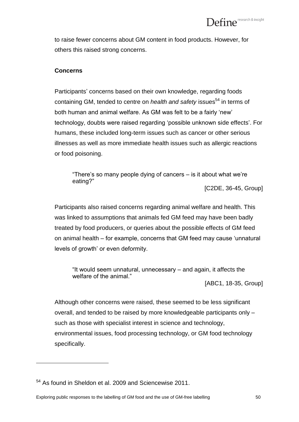to raise fewer concerns about GM content in food products. However, for others this raised strong concerns.

# **Concerns**

Participants' concerns based on their own knowledge, regarding foods containing GM, tended to centre on *health and safety* issues<sup>54</sup> in terms of both human and animal welfare. As GM was felt to be a fairly 'new' technology, doubts were raised regarding "possible unknown side effects". For humans, these included long-term issues such as cancer or other serious illnesses as well as more immediate health issues such as allergic reactions or food poisoning.

"There's so many people dying of cancers  $-$  is it about what we're eating?"

[C2DE, 36-45, Group]

Participants also raised concerns regarding animal welfare and health. This was linked to assumptions that animals fed GM feed may have been badly treated by food producers, or queries about the possible effects of GM feed on animal health – for example, concerns that GM feed may cause "unnatural levels of growth' or even deformity.

"It would seem unnatural, unnecessary – and again, it affects the welfare of the animal."

[ABC1, 18-35, Group]

Although other concerns were raised, these seemed to be less significant overall, and tended to be raised by more knowledgeable participants only – such as those with specialist interest in science and technology, environmental issues, food processing technology, or GM food technology specifically.

<sup>54</sup> As found in Sheldon et al. 2009 and Sciencewise 2011.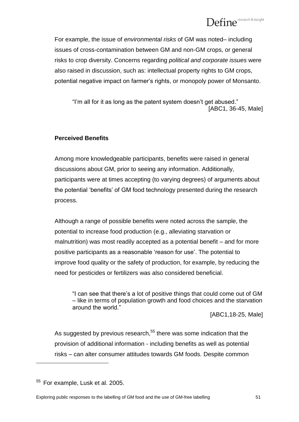For example, the issue of *environmental risks* of GM was noted– including issues of cross-contamination between GM and non-GM crops, or general risks to crop diversity. Concerns regarding *political and corporate issues* were also raised in discussion, such as: intellectual property rights to GM crops, potential negative impact on farmer"s rights, or monopoly power of Monsanto.

"I"m all for it as long as the patent system doesn"t get abused." [ABC1, 36-45, Male]

# **Perceived Benefits**

Among more knowledgeable participants, benefits were raised in general discussions about GM, prior to seeing any information. Additionally, participants were at times accepting (to varying degrees) of arguments about the potential "benefits" of GM food technology presented during the research process.

Although a range of possible benefits were noted across the sample, the potential to increase food production (e.g., alleviating starvation or malnutrition) was most readily accepted as a potential benefit – and for more positive participants as a reasonable "reason for use". The potential to improve food quality or the safety of production, for example, by reducing the need for pesticides or fertilizers was also considered beneficial.

"I can see that there"s a lot of positive things that could come out of GM – like in terms of population growth and food choices and the starvation around the world."

[ABC1,18-25, Male]

As suggested by previous research.<sup>55</sup> there was some indication that the provision of additional information - including benefits as well as potential risks – can alter consumer attitudes towards GM foods. Despite common

<sup>&</sup>lt;sup>55</sup> For example, Lusk et al. 2005.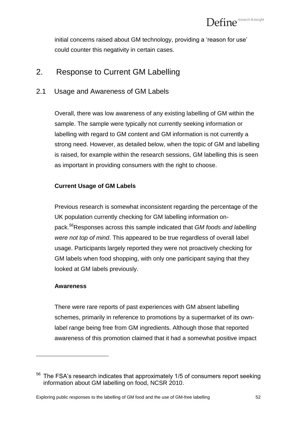initial concerns raised about GM technology, providing a 'reason for use' could counter this negativity in certain cases.

# 2. Response to Current GM Labelling

# 2.1 Usage and Awareness of GM Labels

Overall, there was low awareness of any existing labelling of GM within the sample. The sample were typically not currently seeking information or labelling with regard to GM content and GM information is not currently a strong need. However, as detailed below, when the topic of GM and labelling is raised, for example within the research sessions, GM labelling this is seen as important in providing consumers with the right to choose.

# **Current Usage of GM Labels**

Previous research is somewhat inconsistent regarding the percentage of the UK population currently checking for GM labelling information onpack.*<sup>56</sup>*Responses across this sample indicated that *GM foods and labelling were not top of mind*. This appeared to be true regardless of overall label usage. Participants largely reported they were not proactively checking for GM labels when food shopping, with only one participant saying that they looked at GM labels previously.

# **Awareness**

 $\overline{a}$ 

There were rare reports of past experiences with GM absent labelling schemes, primarily in reference to promotions by a supermarket of its ownlabel range being free from GM ingredients. Although those that reported awareness of this promotion claimed that it had a somewhat positive impact

 $56$  The FSA's research indicates that approximately 1/5 of consumers report seeking information about GM labelling on food, NCSR 2010.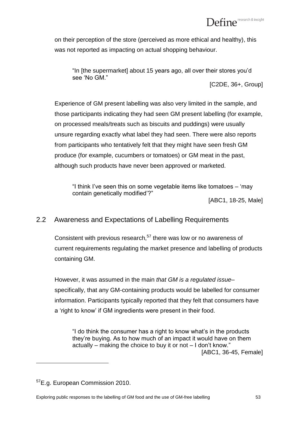on their perception of the store (perceived as more ethical and healthy), this was not reported as impacting on actual shopping behaviour.

"In [the supermarket] about 15 years ago, all over their stores you"d see "No GM."

[C2DE, 36+, Group]

Experience of GM present labelling was also very limited in the sample, and those participants indicating they had seen GM present labelling (for example, on processed meals/treats such as biscuits and puddings) were usually unsure regarding exactly what label they had seen. There were also reports from participants who tentatively felt that they might have seen fresh GM produce (for example, cucumbers or tomatoes) or GM meat in the past, although such products have never been approved or marketed.

"I think I"ve seen this on some vegetable items like tomatoes – "may contain genetically modified"?"

[ABC1, 18-25, Male]

# 2.2 Awareness and Expectations of Labelling Requirements

Consistent with previous research, $57$  there was low or no awareness of current requirements regulating the market presence and labelling of products containing GM.

However, it was assumed in the main *that GM is a regulated issue*– specifically, that any GM-containing products would be labelled for consumer information. Participants typically reported that they felt that consumers have a "right to know" if GM ingredients were present in their food.

"I do think the consumer has a right to know what"s in the products they"re buying. As to how much of an impact it would have on them actually – making the choice to buy it or not – I don"t know." [ABC1, 36-45, Female]

<sup>57</sup>E.g. European Commission 2010.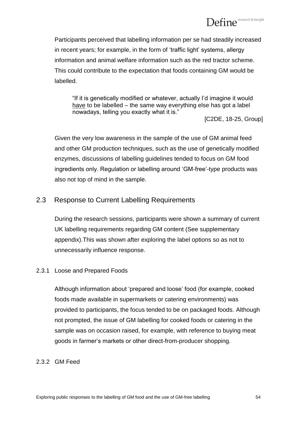Participants perceived that labelling information per se had steadily increased in recent years; for example, in the form of "traffic light" systems, allergy information and animal welfare information such as the red tractor scheme. This could contribute to the expectation that foods containing GM would be labelled.

"If it is genetically modified or whatever, actually I"d imagine it would have to be labelled – the same way everything else has got a label nowadays, telling you exactly what it is."

[C2DE, 18-25, Group]

Given the very low awareness in the sample of the use of GM animal feed and other GM production techniques, such as the use of genetically modified enzymes, discussions of labelling guidelines tended to focus on GM food ingredients only. Regulation or labelling around "GM-free"-type products was also not top of mind in the sample.

# 2.3 Response to Current Labelling Requirements

During the research sessions, participants were shown a summary of current UK labelling requirements regarding GM content (See supplementary appendix).This was shown after exploring the label options so as not to unnecessarily influence response.

# 2.3.1 Loose and Prepared Foods

Although information about "prepared and loose" food (for example, cooked foods made available in supermarkets or catering environments) was provided to participants, the focus tended to be on packaged foods. Although not prompted, the issue of GM labelling for cooked foods or catering in the sample was on occasion raised, for example, with reference to buying meat goods in farmer"s markets or other direct-from-producer shopping.

# 2.3.2 GM Feed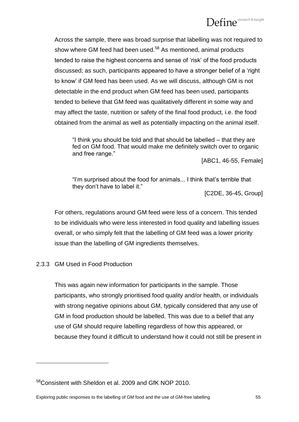Across the sample, there was broad surprise that labelling was not required to show where GM feed had been used. $58$  As mentioned, animal products tended to raise the highest concerns and sense of "risk" of the food products discussed; as such, participants appeared to have a stronger belief of a "right to know" if GM feed has been used. As we will discuss, although GM is not detectable in the end product when GM feed has been used, participants tended to believe that GM feed was qualitatively different in some way and may affect the taste, nutrition or safety of the final food product, i.e. the food obtained from the animal as well as potentially impacting on the animal itself.

"I think you should be told and that should be labelled – that they are fed on GM food. That would make me definitely switch over to organic and free range."

[ABC1, 46-55, Female]

"I"m surprised about the food for animals... I think that"s terrible that they don"t have to label it."

[C2DE, 36-45, Group]

For others, regulations around GM feed were less of a concern. This tended to be individuals who were less interested in food quality and labelling issues overall, or who simply felt that the labelling of GM feed was a lower priority issue than the labelling of GM ingredients themselves.

# 2.3.3 GM Used in Food Production

 $\overline{a}$ 

This was again new information for participants in the sample. Those participants, who strongly prioritised food quality and/or health, or individuals with strong negative opinions about GM, typically considered that any use of GM in food production should be labelled. This was due to a belief that any use of GM should require labelling regardless of how this appeared, or because they found it difficult to understand how it could not still be present in

<sup>&</sup>lt;sup>58</sup>Consistent with Sheldon et al. 2009 and GfK NOP 2010.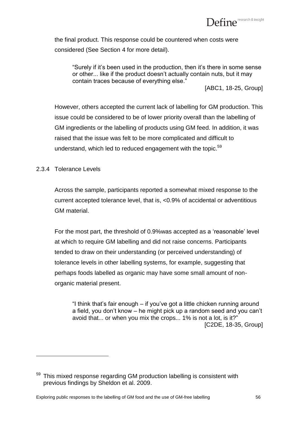

the final product. This response could be countered when costs were considered (See Section 4 for more detail).

"Surely if it"s been used in the production, then it"s there in some sense or other... like if the product doesn"t actually contain nuts, but it may contain traces because of everything else."

[ABC1, 18-25, Group]

However, others accepted the current lack of labelling for GM production. This issue could be considered to be of lower priority overall than the labelling of GM ingredients or the labelling of products using GM feed. In addition, it was raised that the issue was felt to be more complicated and difficult to understand, which led to reduced engagement with the topic.<sup>59</sup>

# 2.3.4 Tolerance Levels

 $\overline{a}$ 

Across the sample, participants reported a somewhat mixed response to the current accepted tolerance level, that is, <0.9% of accidental or adventitious GM material.

For the most part, the threshold of 0.9%was accepted as a "reasonable" level at which to require GM labelling and did not raise concerns. Participants tended to draw on their understanding (or perceived understanding) of tolerance levels in other labelling systems, for example, suggesting that perhaps foods labelled as organic may have some small amount of nonorganic material present.

"I think that"s fair enough – if you"ve got a little chicken running around a field, you don"t know – he might pick up a random seed and you can"t avoid that... or when you mix the crops... 1% is not a lot, is it?" [C2DE, 18-35, Group]

<sup>&</sup>lt;sup>59</sup> This mixed response regarding GM production labelling is consistent with previous findings by Sheldon et al. 2009.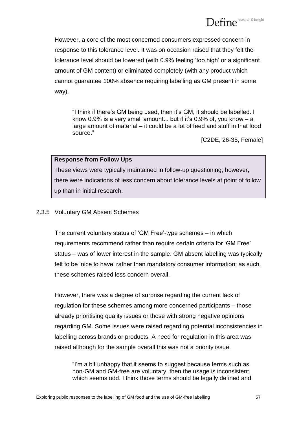However, a core of the most concerned consumers expressed concern in response to this tolerance level. It was on occasion raised that they felt the tolerance level should be lowered (with 0.9% feeling "too high" or a significant amount of GM content) or eliminated completely (with any product which cannot guarantee 100% absence requiring labelling as GM present in some way).

"I think if there"s GM being used, then it"s GM, it should be labelled. I know 0.9% is a very small amount... but if it's 0.9% of, you know  $- a$ large amount of material – it could be a lot of feed and stuff in that food source."

[C2DE, 26-35, Female]

# **Response from Follow Ups**

These views were typically maintained in follow-up questioning; however, there were indications of less concern about tolerance levels at point of follow up than in initial research.

# 2.3.5 Voluntary GM Absent Schemes

The current voluntary status of "GM Free"-type schemes – in which requirements recommend rather than require certain criteria for "GM Free" status – was of lower interest in the sample. GM absent labelling was typically felt to be 'nice to have' rather than mandatory consumer information; as such, these schemes raised less concern overall.

However, there was a degree of surprise regarding the current lack of regulation for these schemes among more concerned participants – those already prioritising quality issues or those with strong negative opinions regarding GM. Some issues were raised regarding potential inconsistencies in labelling across brands or products. A need for regulation in this area was raised although for the sample overall this was not a priority issue.

"I"m a bit unhappy that it seems to suggest because terms such as non-GM and GM-free are voluntary, then the usage is inconsistent, which seems odd. I think those terms should be legally defined and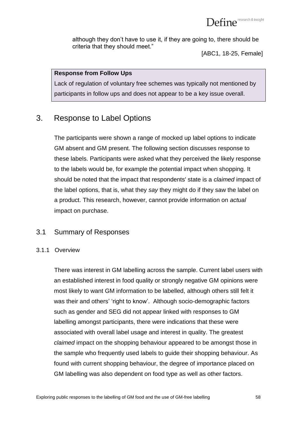although they don"t have to use it, if they are going to, there should be criteria that they should meet."

[ABC1, 18-25, Female]

# **Response from Follow Ups**

Lack of regulation of voluntary free schemes was typically not mentioned by participants in follow ups and does not appear to be a key issue overall.

# 3. Response to Label Options

The participants were shown a range of mocked up label options to indicate GM absent and GM present. The following section discusses response to these labels. Participants were asked what they perceived the likely response to the labels would be, for example the potential impact when shopping. It should be noted that the impact that respondents' state is a *claimed* impact of the label options, that is, what they *say* they might do if they saw the label on a product. This research, however, cannot provide information on *actual*  impact on purchase.

# 3.1 Summary of Responses

# 3.1.1 Overview

There was interest in GM labelling across the sample. Current label users with an established interest in food quality or strongly negative GM opinions were most likely to want GM information to be labelled, although others still felt it was their and others' 'right to know'. Although socio-demographic factors such as gender and SEG did not appear linked with responses to GM labelling amongst participants, there were indications that these were associated with overall label usage and interest in quality. The greatest *claimed* impact on the shopping behaviour appeared to be amongst those in the sample who frequently used labels to guide their shopping behaviour. As found with current shopping behaviour, the degree of importance placed on GM labelling was also dependent on food type as well as other factors.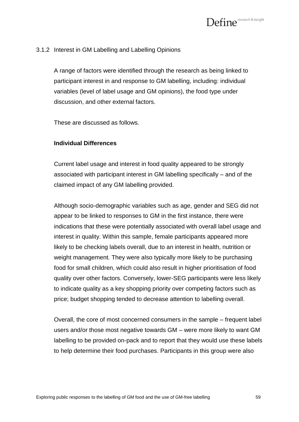# 3.1.2 Interest in GM Labelling and Labelling Opinions

A range of factors were identified through the research as being linked to participant interest in and response to GM labelling, including: individual variables (level of label usage and GM opinions), the food type under discussion, and other external factors.

These are discussed as follows.

# **Individual Differences**

Current label usage and interest in food quality appeared to be strongly associated with participant interest in GM labelling specifically – and of the claimed impact of any GM labelling provided.

Although socio-demographic variables such as age, gender and SEG did not appear to be linked to responses to GM in the first instance, there were indications that these were potentially associated with overall label usage and interest in quality. Within this sample, female participants appeared more likely to be checking labels overall, due to an interest in health, nutrition or weight management. They were also typically more likely to be purchasing food for small children, which could also result in higher prioritisation of food quality over other factors. Conversely, lower-SEG participants were less likely to indicate quality as a key shopping priority over competing factors such as price; budget shopping tended to decrease attention to labelling overall.

Overall, the core of most concerned consumers in the sample – frequent label users and/or those most negative towards GM – were more likely to want GM labelling to be provided on-pack and to report that they would use these labels to help determine their food purchases. Participants in this group were also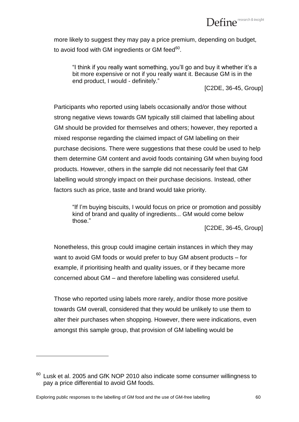more likely to suggest they may pay a price premium, depending on budget, to avoid food with GM ingredients or GM feed $^{\rm 60}.$ 

"I think if you really want something, you"ll go and buy it whether it"s a bit more expensive or not if you really want it. Because GM is in the end product, I would - definitely."

[C2DE, 36-45, Group]

Participants who reported using labels occasionally and/or those without strong negative views towards GM typically still claimed that labelling about GM should be provided for themselves and others; however, they reported a mixed response regarding the claimed impact of GM labelling on their purchase decisions. There were suggestions that these could be used to help them determine GM content and avoid foods containing GM when buying food products. However, others in the sample did not necessarily feel that GM labelling would strongly impact on their purchase decisions. Instead, other factors such as price, taste and brand would take priority.

"If I"m buying biscuits, I would focus on price or promotion and possibly kind of brand and quality of ingredients... GM would come below those."

[C2DE, 36-45, Group]

Nonetheless, this group could imagine certain instances in which they may want to avoid GM foods or would prefer to buy GM absent products – for example, if prioritising health and quality issues, or if they became more concerned about GM – and therefore labelling was considered useful.

Those who reported using labels more rarely, and/or those more positive towards GM overall, considered that they would be unlikely to use them to alter their purchases when shopping. However, there were indications, even amongst this sample group, that provision of GM labelling would be

 $60$  Lusk et al. 2005 and GfK NOP 2010 also indicate some consumer willingness to pay a price differential to avoid GM foods.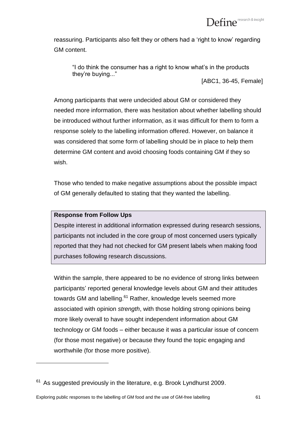reassuring. Participants also felt they or others had a "right to know" regarding GM content.

"I do think the consumer has a right to know what"s in the products they"re buying..."

[ABC1, 36-45, Female]

Among participants that were undecided about GM or considered they needed more information, there was hesitation about whether labelling should be introduced without further information, as it was difficult for them to form a response solely to the labelling information offered. However, on balance it was considered that some form of labelling should be in place to help them determine GM content and avoid choosing foods containing GM if they so wish.

Those who tended to make negative assumptions about the possible impact of GM generally defaulted to stating that they wanted the labelling.

# **Response from Follow Ups**

 $\overline{a}$ 

Despite interest in additional information expressed during research sessions, participants not included in the core group of most concerned users typically reported that they had not checked for GM present labels when making food purchases following research discussions.

Within the sample, there appeared to be no evidence of strong links between participants" reported general knowledge levels about GM and their attitudes towards GM and labelling.<sup>61</sup> Rather, knowledge levels seemed more associated with opinion *strength*, with those holding strong opinions being more likely overall to have sought independent information about GM technology or GM foods – either because it was a particular issue of concern (for those most negative) or because they found the topic engaging and worthwhile (for those more positive).

 $61$  As suggested previously in the literature, e.g. Brook Lyndhurst 2009.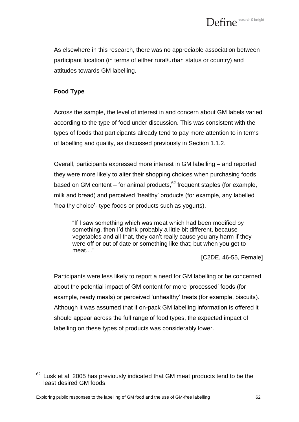As elsewhere in this research, there was no appreciable association between participant location (in terms of either rural/urban status or country) and attitudes towards GM labelling.

# **Food Type**

 $\overline{a}$ 

Across the sample, the level of interest in and concern about GM labels varied according to the type of food under discussion. This was consistent with the types of foods that participants already tend to pay more attention to in terms of labelling and quality, as discussed previously in Section 1.1.2.

Overall, participants expressed more interest in GM labelling – and reported they were more likely to alter their shopping choices when purchasing foods based on GM content – for animal products,  $62$  frequent staples (for example, milk and bread) and perceived "healthy" products (for example, any labelled "healthy choice"- type foods or products such as yogurts).

"If I saw something which was meat which had been modified by something, then I'd think probably a little bit different, because vegetables and all that, they can't really cause you any harm if they were off or out of date or something like that; but when you get to meat...."

[C2DE, 46-55, Female]

Participants were less likely to report a need for GM labelling or be concerned about the potential impact of GM content for more "processed" foods (for example, ready meals) or perceived 'unhealthy' treats (for example, biscuits). Although it was assumed that if on-pack GM labelling information is offered it should appear across the full range of food types, the expected impact of labelling on these types of products was considerably lower.

 $62$  Lusk et al. 2005 has previously indicated that GM meat products tend to be the least desired GM foods.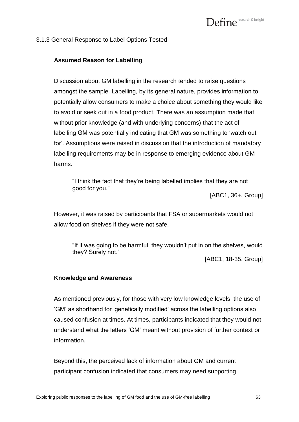

#### 3.1.3 General Response to Label Options Tested

#### **Assumed Reason for Labelling**

Discussion about GM labelling in the research tended to raise questions amongst the sample. Labelling, by its general nature, provides information to potentially allow consumers to make a choice about something they would like to avoid or seek out in a food product. There was an assumption made that, without prior knowledge (and with underlying concerns) that the act of labelling GM was potentially indicating that GM was something to "watch out for". Assumptions were raised in discussion that the introduction of mandatory labelling requirements may be in response to emerging evidence about GM harms.

"I think the fact that they"re being labelled implies that they are not good for you."

[ABC1, 36+, Group]

However, it was raised by participants that FSA or supermarkets would not allow food on shelves if they were not safe.

"If it was going to be harmful, they wouldn"t put in on the shelves, would they? Surely not."

[ABC1, 18-35, Group]

#### **Knowledge and Awareness**

As mentioned previously, for those with very low knowledge levels, the use of "GM" as shorthand for "genetically modified" across the labelling options also caused confusion at times. At times, participants indicated that they would not understand what the letters "GM" meant without provision of further context or information.

Beyond this, the perceived lack of information about GM and current participant confusion indicated that consumers may need supporting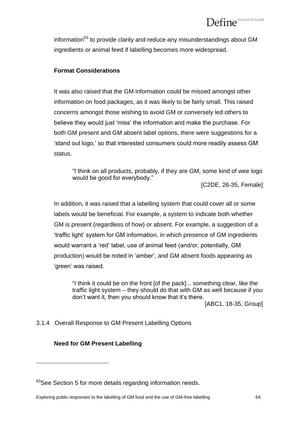information<sup>63</sup> to provide clarity and reduce any misunderstandings about GM ingredients or animal feed if labelling becomes more widespread.

# **Format Considerations**

It was also raised that the GM information could be missed amongst other information on food packages, as it was likely to be fairly small. This raised concerns amongst those wishing to avoid GM or conversely led others to believe they would just "miss" the information and make the purchase. For both GM present and GM absent label options, there were suggestions for a "stand out logo," so that interested consumers could more readily assess GM status.

"I think on all products, probably, if they are GM, some kind of wee logo would be good for everybody."

[C2DE, 26-35, Female]

In addition, it was raised that a labelling system that could cover all or some labels would be beneficial. For example, a system to indicate both whether GM is present (regardless of how) or absent. For example, a suggestion of a "traffic light" system for GM information, in which presence of GM ingredients would warrant a "red" label, use of animal feed (and/or, potentially, GM production) would be noted in "amber", and GM absent foods appearing as 'green' was raised.

"I think it could be on the front [of the pack]... something clear, like the traffic light system – they should do that with GM as well because if you don"t want it, then you should know that it"s there.

[ABC1, 18-35, Group]

# 3.1.4 Overall Response to GM Present Labelling Options

# **Need for GM Present Labelling**

<sup>&</sup>lt;sup>63</sup>See Section 5 for more details regarding information needs.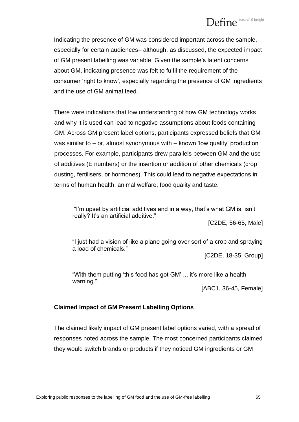Indicating the presence of GM was considered important across the sample, especially for certain audiences– although, as discussed, the expected impact of GM present labelling was variable. Given the sample"s latent concerns about GM, indicating presence was felt to fulfil the requirement of the consumer "right to know", especially regarding the presence of GM ingredients and the use of GM animal feed.

There were indications that low understanding of how GM technology works and why it is used can lead to negative assumptions about foods containing GM. Across GM present label options, participants expressed beliefs that GM was similar to – or, almost synonymous with – known "low quality" production processes. For example, participants drew parallels between GM and the use of additives (E numbers) or the insertion or addition of other chemicals (crop dusting, fertilisers, or hormones). This could lead to negative expectations in terms of human health, animal welfare, food quality and taste.

"I"m upset by artificial additives and in a way, that"s what GM is, isn"t really? It's an artificial additive."

[C2DE, 56-65, Male]

"I just had a vision of like a plane going over sort of a crop and spraying a load of chemicals."

[C2DE, 18-35, Group]

"With them putting "this food has got GM" ... it"s more like a health warning."

[ABC1, 36-45, Female]

# **Claimed Impact of GM Present Labelling Options**

The claimed likely impact of GM present label options varied, with a spread of responses noted across the sample. The most concerned participants claimed they would switch brands or products if they noticed GM ingredients or GM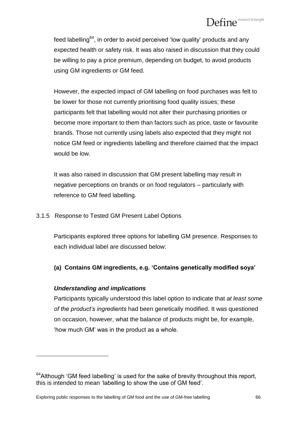feed labelling<sup>64</sup>, in order to avoid perceived 'low quality' products and any expected health or safety risk. It was also raised in discussion that they could be willing to pay a price premium, depending on budget, to avoid products using GM ingredients or GM feed.

However, the expected impact of GM labelling on food purchases was felt to be lower for those not currently prioritising food quality issues; these participants felt that labelling would not alter their purchasing priorities or become more important to them than factors such as price, taste or favourite brands. Those not currently using labels also expected that they might not notice GM feed or ingredients labelling and therefore claimed that the impact would be low.

It was also raised in discussion that GM present labelling may result in negative perceptions on brands or on food regulators – particularly with reference to GM feed labelling.

# 3.1.5 Response to Tested GM Present Label Options

Participants explored three options for labelling GM presence. Responses to each individual label are discussed below:

# **(a) Contains GM ingredients, e.g. 'Contains genetically modified soya'**

# *Understanding and implications*

 $\overline{a}$ 

Participants typically understood this label option to indicate that *at least some of the product's ingredients* had been genetically modified. It was questioned on occasion, however, what the balance of products might be, for example, "how much GM" was in the product as a whole.

 $64$ Although 'GM feed labelling' is used for the sake of brevity throughout this report, this is intended to mean "labelling to show the use of GM feed".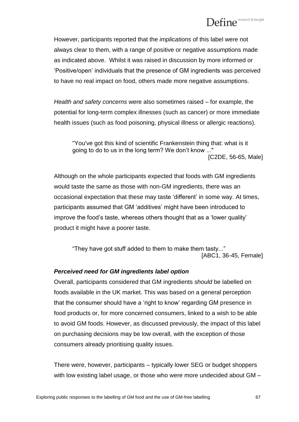# Define<sup>research & insight</sup>

However, participants reported that the *implications* of this label were not always clear to them, with a range of positive or negative assumptions made as indicated above. Whilst it was raised in discussion by more informed or "Positive/open" individuals that the presence of GM ingredients was perceived to have no real impact on food, others made more negative assumptions.

*Health and safety concerns* were also sometimes raised – for example, the potential for long-term complex illnesses (such as cancer) or more immediate health issues (such as food poisoning, physical illness or allergic reactions).

"You've got this kind of scientific Frankenstein thing that: what is it going to do to us in the long term? We don"t know ..." [C2DE, 56-65, Male]

Although on the whole participants expected that foods with GM ingredients would taste the same as those with non-GM ingredients, there was an occasional expectation that these may taste "different" in some way. At times, participants assumed that GM "additives" might have been introduced to improve the food"s taste, whereas others thought that as a "lower quality" product it might have a poorer taste.

"They have got stuff added to them to make them tasty..." [ABC1, 36-45, Female]

# *Perceived need for GM ingredients label option*

Overall, participants considered that GM ingredients *should* be labelled on foods available in the UK market. This was based on a general perception that the consumer should have a "right to know" regarding GM presence in food products or, for more concerned consumers, linked to a wish to be able to avoid GM foods. However, as discussed previously, the impact of this label on purchasing decisions may be low overall, with the exception of those consumers already prioritising quality issues.

There were, however, participants – typically lower SEG or budget shoppers with low existing label usage, or those who were more undecided about GM –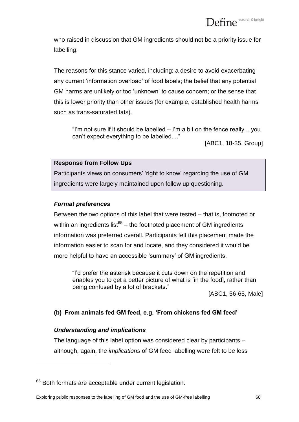who raised in discussion that GM ingredients should not be a priority issue for labelling.

The reasons for this stance varied, including: a desire to avoid exacerbating any current "information overload" of food labels; the belief that any potential GM harms are unlikely or too "unknown" to cause concern; or the sense that this is lower priority than other issues (for example, established health harms such as trans-saturated fats).

"I"m not sure if it should be labelled – I"m a bit on the fence really... you can"t expect everything to be labelled...."

[ABC1, 18-35, Group]

# **Response from Follow Ups**

Participants views on consumers' 'right to know' regarding the use of GM ingredients were largely maintained upon follow up questioning.

# *Format preferences*

Between the two options of this label that were tested – that is, footnoted or within an ingredients list $^{65}$  – the footnoted placement of GM ingredients information was preferred overall. Participants felt this placement made the information easier to scan for and locate, and they considered it would be more helpful to have an accessible "summary" of GM ingredients.

"I"d prefer the asterisk because it cuts down on the repetition and enables you to get a better picture of what is [in the food], rather than being confused by a lot of brackets."

[ABC1, 56-65, Male]

# **(b) From animals fed GM feed, e.g. 'From chickens fed GM feed'**

#### *Understanding and implications*

 $\overline{a}$ 

The language of this label option was considered clear by participants – although, again, the *implications* of GM feed labelling were felt to be less

<sup>&</sup>lt;sup>65</sup> Both formats are acceptable under current legislation.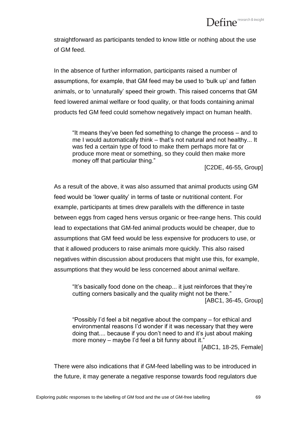straightforward as participants tended to know little or nothing about the use of GM feed.

In the absence of further information, participants raised a number of assumptions, for example, that GM feed may be used to "bulk up" and fatten animals, or to "unnaturally" speed their growth. This raised concerns that GM feed lowered animal welfare or food quality, or that foods containing animal products fed GM feed could somehow negatively impact on human health.

"It means they"ve been fed something to change the process – and to me I would automatically think – that"s not natural and not healthy... It was fed a certain type of food to make them perhaps more fat or produce more meat or something, so they could then make more money off that particular thing."

[C2DE, 46-55, Group]

As a result of the above, it was also assumed that animal products using GM feed would be "lower quality" in terms of taste or nutritional content. For example, participants at times drew parallels with the difference in taste between eggs from caged hens versus organic or free-range hens. This could lead to expectations that GM-fed animal products would be cheaper, due to assumptions that GM feed would be less expensive for producers to use, or that it allowed producers to raise animals more quickly. This also raised negatives within discussion about producers that might use this, for example, assumptions that they would be less concerned about animal welfare.

"It"s basically food done on the cheap... it just reinforces that they"re cutting corners basically and the quality might not be there." [ABC1, 36-45, Group]

"Possibly I"d feel a bit negative about the company – for ethical and environmental reasons I"d wonder if it was necessary that they were doing that.... because if you don"t need to and it"s just about making more money – maybe I'd feel a bit funny about it.' [ABC1, 18-25, Female]

There were also indications that if GM-feed labelling was to be introduced in the future, it may generate a negative response towards food regulators due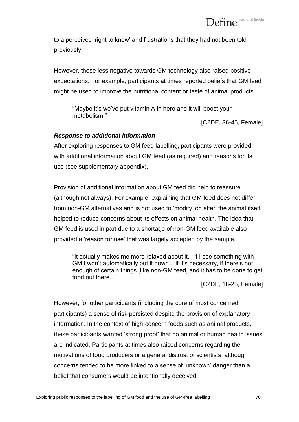to a perceived "right to know" and frustrations that they had not been told previously.

However, those less negative towards GM technology also raised positive expectations. For example, participants at times reported beliefs that GM feed might be used to improve the nutritional content or taste of animal products.

"Maybe it's we've put vitamin A in here and it will boost your metabolism."

[C2DE, 36-45, Female]

# *Response to additional information*

After exploring responses to GM feed labelling, participants were provided with additional information about GM feed (as required) and reasons for its use (see supplementary appendix).

Provision of additional information about GM feed did help to reassure (although not always). For example, explaining that GM feed does not differ from non-GM alternatives and is not used to "modify" or "alter" the animal itself helped to reduce concerns about its effects on animal health. The idea that GM feed is used in part due to a shortage of non-GM feed available also provided a "reason for use" that was largely accepted by the sample.

"It actually makes me more relaxed about it... if I see something with GM I won't automatically put it down... if it's necessary, if there's not enough of certain things [like non-GM feed] and it has to be done to get food out there..."

[C2DE, 18-25, Female]

However, for other participants (including the core of most concerned participants) a sense of risk persisted despite the provision of explanatory information. In the context of high-concern foods such as animal products, these participants wanted "strong proof" that no animal or human health issues are indicated. Participants at times also raised concerns regarding the motivations of food producers or a general distrust of scientists, although concerns tended to be more linked to a sense of "unknown" danger than a belief that consumers would be intentionally deceived.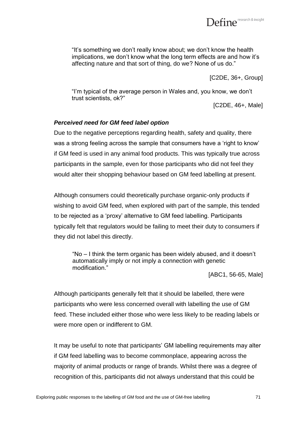

"It"s something we don"t really know about; we don"t know the health implications, we don't know what the long term effects are and how it's affecting nature and that sort of thing, do we? None of us do."

[C2DE, 36+, Group]

"I"m typical of the average person in Wales and, you know, we don"t trust scientists, ok?"

[C2DE, 46+, Male]

### *Perceived need for GM feed label option*

Due to the negative perceptions regarding health, safety and quality, there was a strong feeling across the sample that consumers have a "right to know" if GM feed is used in any animal food products. This was typically true across participants in the sample, even for those participants who did not feel they would alter their shopping behaviour based on GM feed labelling at present.

Although consumers could theoretically purchase organic-only products if wishing to avoid GM feed, when explored with part of the sample, this tended to be rejected as a "proxy" alternative to GM feed labelling. Participants typically felt that regulators would be failing to meet their duty to consumers if they did not label this directly.

"No – I think the term organic has been widely abused, and it doesn"t automatically imply or not imply a connection with genetic modification."

[ABC1, 56-65, Male]

Although participants generally felt that it should be labelled, there were participants who were less concerned overall with labelling the use of GM feed. These included either those who were less likely to be reading labels or were more open or indifferent to GM.

It may be useful to note that participants' GM labelling requirements may alter if GM feed labelling was to become commonplace, appearing across the majority of animal products or range of brands. Whilst there was a degree of recognition of this, participants did not always understand that this could be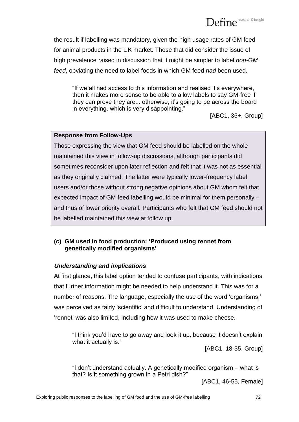

the result if labelling was mandatory, given the high usage rates of GM feed for animal products in the UK market. Those that did consider the issue of high prevalence raised in discussion that it might be simpler to label *non-GM feed*, obviating the need to label foods in which GM feed *had* been used.

"If we all had access to this information and realised it"s everywhere, then it makes more sense to be able to allow labels to say GM-free if they can prove they are... otherwise, it"s going to be across the board in everything, which is very disappointing."

[ABC1, 36+, Group]

# **Response from Follow-Ups**

Those expressing the view that GM feed should be labelled on the whole maintained this view in follow-up discussions, although participants did sometimes reconsider upon later reflection and felt that it was not as essential as they originally claimed. The latter were typically lower-frequency label users and/or those without strong negative opinions about GM whom felt that expected impact of GM feed labelling would be minimal for them personally – and thus of lower priority overall. Participants who felt that GM feed should not be labelled maintained this view at follow up.

# **(c) GM used in food production: 'Produced using rennet from genetically modified organisms'**

# *Understanding and implications*

At first glance, this label option tended to confuse participants, with indications that further information might be needed to help understand it. This was for a number of reasons. The language, especially the use of the word 'organisms,' was perceived as fairly 'scientific' and difficult to understand. Understanding of "rennet" was also limited, including how it was used to make cheese.

"I think you"d have to go away and look it up, because it doesn"t explain what it actually is."

[ABC1, 18-35, Group]

"I don"t understand actually. A genetically modified organism – what is that? Is it something grown in a Petri dish?"

[ABC1, 46-55, Female]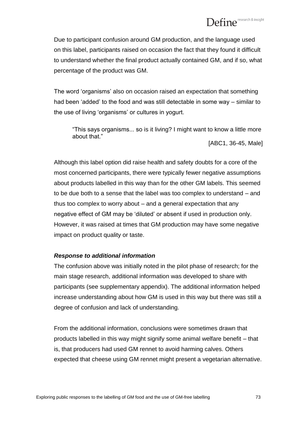Due to participant confusion around GM production, and the language used on this label, participants raised on occasion the fact that they found it difficult to understand whether the final product actually contained GM, and if so, what percentage of the product was GM.

The word "organisms" also on occasion raised an expectation that something had been "added" to the food and was still detectable in some way – similar to the use of living "organisms" or cultures in yogurt.

"This says organisms... so is it living? I might want to know a little more about that."

[ABC1, 36-45, Male]

Although this label option did raise health and safety doubts for a core of the most concerned participants, there were typically fewer negative assumptions about products labelled in this way than for the other GM labels. This seemed to be due both to a sense that the label was too complex to understand – and thus too complex to worry about – and a general expectation that any negative effect of GM may be "diluted" or absent if used in production only. However, it was raised at times that GM production may have some negative impact on product quality or taste.

#### *Response to additional information*

The confusion above was initially noted in the pilot phase of research; for the main stage research, additional information was developed to share with participants (see supplementary appendix). The additional information helped increase understanding about how GM is used in this way but there was still a degree of confusion and lack of understanding.

From the additional information, conclusions were sometimes drawn that products labelled in this way might signify some animal welfare benefit – that is, that producers had used GM rennet to avoid harming calves. Others expected that cheese using GM rennet might present a vegetarian alternative.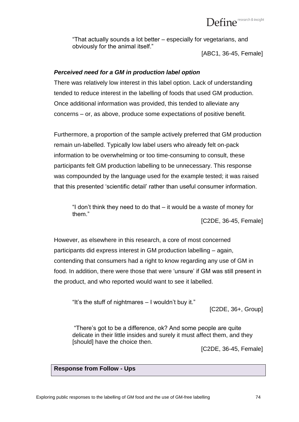"That actually sounds a lot better – especially for vegetarians, and obviously for the animal itself."

[ABC1, 36-45, Female]

#### *Perceived need for a GM in production label option*

There was relatively low interest in this label option. Lack of understanding tended to reduce interest in the labelling of foods that used GM production. Once additional information was provided, this tended to alleviate any concerns – or, as above, produce some expectations of positive benefit.

Furthermore, a proportion of the sample actively preferred that GM production remain un-labelled. Typically low label users who already felt on-pack information to be overwhelming or too time-consuming to consult, these participants felt GM production labelling to be unnecessary. This response was compounded by the language used for the example tested; it was raised that this presented "scientific detail" rather than useful consumer information.

"I don"t think they need to do that – it would be a waste of money for them."

[C2DE, 36-45, Female]

However, as elsewhere in this research, a core of most concerned participants did express interest in GM production labelling – again, contending that consumers had a right to know regarding any use of GM in food. In addition, there were those that were 'unsure' if GM was still present in the product, and who reported would want to see it labelled.

"It's the stuff of nightmares  $-1$  wouldn't buy it."

[C2DE, 36+, Group]

"There"s got to be a difference, ok? And some people are quite delicate in their little insides and surely it must affect them, and they [should] have the choice then.

[C2DE, 36-45, Female]

#### **Response from Follow - Ups**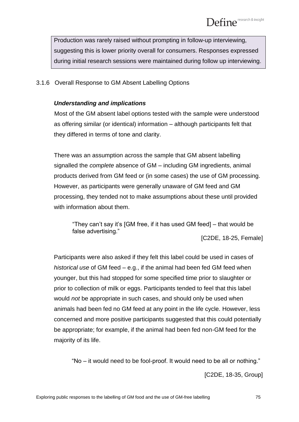Production was rarely raised without prompting in follow-up interviewing, suggesting this is lower priority overall for consumers. Responses expressed during initial research sessions were maintained during follow up interviewing.

#### 3.1.6 Overall Response to GM Absent Labelling Options

#### *Understanding and implications*

Most of the GM absent label options tested with the sample were understood as offering similar (or identical) information – although participants felt that they differed in terms of tone and clarity.

There was an assumption across the sample that GM absent labelling signalled the *complete* absence of GM – including GM ingredients, animal products derived from GM feed or (in some cases) the use of GM processing. However, as participants were generally unaware of GM feed and GM processing, they tended not to make assumptions about these until provided with information about them.

"They can"t say it"s [GM free, if it has used GM feed] – that would be false advertising."

[C2DE, 18-25, Female]

Participants were also asked if they felt this label could be used in cases of *historical use* of GM feed – e.g., if the animal had been fed GM feed when younger, but this had stopped for some specified time prior to slaughter or prior to collection of milk or eggs. Participants tended to feel that this label would *not* be appropriate in such cases, and should only be used when animals had been fed no GM feed at any point in the life cycle. However, less concerned and more positive participants suggested that this could potentially be appropriate; for example, if the animal had been fed non-GM feed for the majority of its life.

"No – it would need to be fool-proof. It would need to be all or nothing."

[C2DE, 18-35, Group]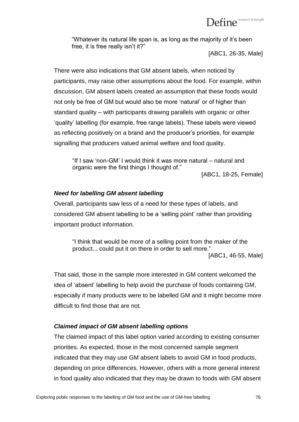

"Whatever its natural life span is, as long as the majority of it"s been free, it is free really isn't it?"

[ABC1, 26-35, Male]

There were also indications that GM absent labels, when noticed by participants, may raise other assumptions about the food. For example, within discussion, GM absent labels created an assumption that these foods would not only be free of GM but would also be more "natural" or of higher than standard quality – with participants drawing parallels with organic or other "quality" labelling (for example, free range labels). These labels were viewed as reflecting positively on a brand and the producer"s priorities, for example signalling that producers valued animal welfare and food quality.

"If I saw "non-GM" I would think it was more natural – natural and organic were the first things I thought of."

[ABC1, 18-25, Female]

#### *Need for labelling GM absent labelling*

Overall, participants saw less of a need for these types of labels, and considered GM absent labelling to be a "selling point" rather than providing important product information.

"I think that would be more of a selling point from the maker of the product... could put it on there in order to sell more."

[ABC1, 46-55, Male]

That said, those in the sample more interested in GM content welcomed the idea of "absent" labelling to help avoid the purchase of foods containing GM, especially if many products were to be labelled GM and it might become more difficult to find those that are not.

#### *Claimed impact of GM absent labelling options*

The claimed impact of this label option varied according to existing consumer priorities. As expected, those in the most concerned sample segment indicated that they may use GM absent labels to avoid GM in food products, depending on price differences. However, others with a more general interest in food quality also indicated that they may be drawn to foods with GM absent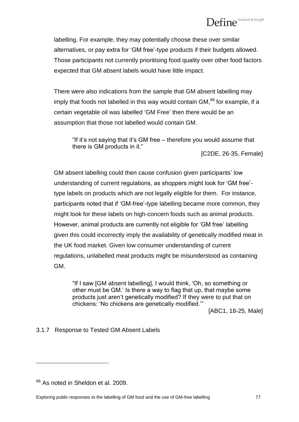# Define<sup>research & insight</sup>

labelling. For example, they may potentially choose these over similar alternatives, or pay extra for "GM free"-type products if their budgets allowed. Those participants not currently prioritising food quality over other food factors expected that GM absent labels would have little impact.

There were also indications from the sample that GM absent labelling may imply that foods not labelled in this way would contain GM, $66$  for example, if a certain vegetable oil was labelled "GM Free" then there would be an assumption that those not labelled would contain GM.

"If it"s not saying that it"s GM free – therefore you would assume that there is GM products in it." [C2DE, 26-35, Female]

GM absent labelling could then cause confusion given participants" low understanding of current regulations, as shoppers might look for "GM free" type labels on products which are not legally eligible for them. For instance, participants noted that if "GM-free"-type labelling became more common, they might look for these labels on high-concern foods such as animal products. However, animal products are currently not eligible for "GM free" labelling given this could incorrectly imply the availability of genetically modified meat in the UK food market. Given low consumer understanding of current regulations, unlabelled meat products might be misunderstood as containing GM.

"If I saw [GM absent labelling], I would think, "Oh, so something or other must be GM." Is there a way to flag that up, that maybe some products just aren"t genetically modified? If they were to put that on chickens: "No chickens are genetically modified.""

[ABC1, 18-25, Male]

3.1.7 Response to Tested GM Absent Labels

 $66$  As noted in Sheldon et al. 2009.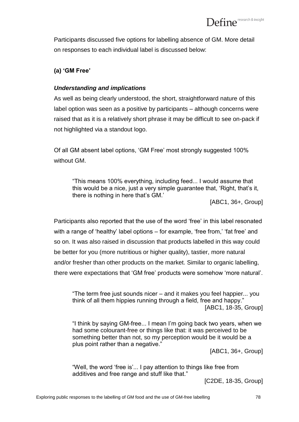Participants discussed five options for labelling absence of GM. More detail on responses to each individual label is discussed below:

#### **(a) 'GM Free'**

#### *Understanding and implications*

As well as being clearly understood, the short, straightforward nature of this label option was seen as a positive by participants – although concerns were raised that as it is a relatively short phrase it may be difficult to see on-pack if not highlighted via a standout logo.

Of all GM absent label options, "GM Free" most strongly suggested 100% without GM.

"This means 100% everything, including feed... I would assume that this would be a nice, just a very simple guarantee that, 'Right, that's it, there is nothing in here that's GM.'

[ABC1, 36+, Group]

Participants also reported that the use of the word "free" in this label resonated with a range of 'healthy' label options – for example, 'free from,' 'fat free' and so on. It was also raised in discussion that products labelled in this way could be better for you (more nutritious or higher quality), tastier, more natural and/or fresher than other products on the market. Similar to organic labelling, there were expectations that "GM free" products were somehow "more natural".

"The term free just sounds nicer – and it makes you feel happier... you think of all them hippies running through a field, free and happy." [ABC1, 18-35, Group]

"I think by saying GM-free... I mean I"m going back two years, when we had some colourant-free or things like that: it was perceived to be something better than not, so my perception would be it would be a plus point rather than a negative."

[ABC1, 36+, Group]

"Well, the word 'free is'... I pay attention to things like free from additives and free range and stuff like that."

[C2DE, 18-35, Group]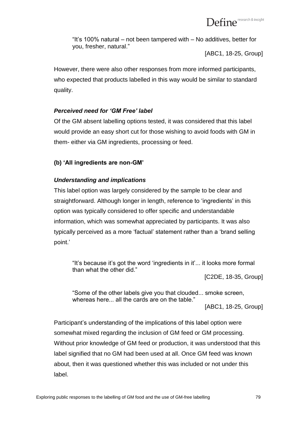"It"s 100% natural – not been tampered with – No additives, better for you, fresher, natural."

[ABC1, 18-25, Group]

However, there were also other responses from more informed participants, who expected that products labelled in this way would be similar to standard quality.

# *Perceived need for 'GM Free' label*

Of the GM absent labelling options tested, it was considered that this label would provide an easy short cut for those wishing to avoid foods with GM in them- either via GM ingredients, processing or feed.

### **(b) 'All ingredients are non-GM'**

### *Understanding and implications*

This label option was largely considered by the sample to be clear and straightforward. Although longer in length, reference to "ingredients" in this option was typically considered to offer specific and understandable information, which was somewhat appreciated by participants. It was also typically perceived as a more "factual" statement rather than a "brand selling point."

"It"s because it"s got the word "ingredients in it"... it looks more formal than what the other did."

[C2DE, 18-35, Group]

"Some of the other labels give you that clouded... smoke screen, whereas here... all the cards are on the table."

[ABC1, 18-25, Group]

Participant's understanding of the implications of this label option were somewhat mixed regarding the inclusion of GM feed or GM processing. Without prior knowledge of GM feed or production, it was understood that this label signified that no GM had been used at all. Once GM feed was known about, then it was questioned whether this was included or not under this label.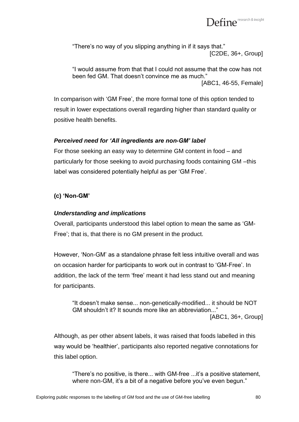

"There's no way of you slipping anything in if it says that." [C2DE, 36+, Group]

"I would assume from that that I could not assume that the cow has not been fed GM. That doesn't convince me as much." [ABC1, 46-55, Female]

In comparison with "GM Free", the more formal tone of this option tended to result in lower expectations overall regarding higher than standard quality or positive health benefits.

#### *Perceived need for 'All ingredients are non-GM' label*

For those seeking an easy way to determine GM content in food – and particularly for those seeking to avoid purchasing foods containing GM –this label was considered potentially helpful as per "GM Free".

#### **(c) 'Non-GM'**

#### *Understanding and implications*

Overall, participants understood this label option to mean the same as "GM-Free'; that is, that there is no GM present in the product.

However, "Non-GM" as a standalone phrase felt less intuitive overall and was on occasion harder for participants to work out in contrast to "GM-Free". In addition, the lack of the term 'free' meant it had less stand out and meaning for participants.

"It doesn"t make sense... non-genetically-modified... it should be NOT GM shouldn"t it? It sounds more like an abbreviation..." [ABC1, 36+, Group]

Although, as per other absent labels, it was raised that foods labelled in this way would be "healthier", participants also reported negative connotations for this label option.

"There's no positive, is there... with GM-free ...it's a positive statement, where non-GM, it's a bit of a negative before you've even begun."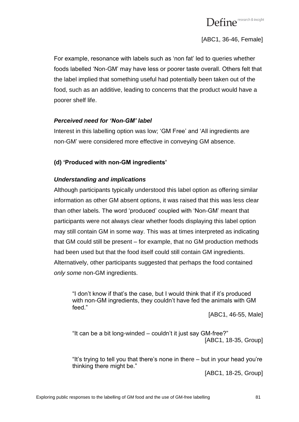

[ABC1, 36-46, Female]

For example, resonance with labels such as "non fat" led to queries whether foods labelled "Non-GM" may have less or poorer taste overall. Others felt that the label implied that something useful had potentially been taken out of the food, such as an additive, leading to concerns that the product would have a poorer shelf life.

#### *Perceived need for 'Non-GM' label*

Interest in this labelling option was low; 'GM Free' and 'All ingredients are non-GM" were considered more effective in conveying GM absence.

# **(d) 'Produced with non-GM ingredients'**

### *Understanding and implications*

Although participants typically understood this label option as offering similar information as other GM absent options, it was raised that this was less clear than other labels. The word "produced" coupled with "Non-GM" meant that participants were not always clear whether foods displaying this label option may still contain GM in some way. This was at times interpreted as indicating that GM could still be present – for example, that no GM production methods had been used but that the food itself could still contain GM ingredients. Alternatively, other participants suggested that perhaps the food contained *only some* non-GM ingredients.

"I don"t know if that"s the case, but I would think that if it"s produced with non-GM ingredients, they couldn't have fed the animals with GM feed."

[ABC1, 46-55, Male]

"It can be a bit long-winded – couldn"t it just say GM-free?" [ABC1, 18-35, Group]

"It"s trying to tell you that there"s none in there – but in your head you"re thinking there might be."

[ABC1, 18-25, Group]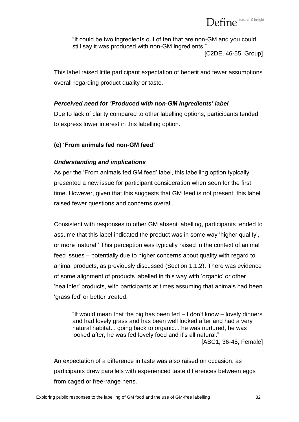

"It could be two ingredients out of ten that are non-GM and you could still say it was produced with non-GM ingredients."

[C2DE, 46-55, Group]

This label raised little participant expectation of benefit and fewer assumptions overall regarding product quality or taste.

#### *Perceived need for 'Produced with non-GM ingredients' label*

Due to lack of clarity compared to other labelling options, participants tended to express lower interest in this labelling option.

#### **(e) 'From animals fed non-GM feed'**

#### *Understanding and implications*

As per the "From animals fed GM feed" label, this labelling option typically presented a new issue for participant consideration when seen for the first time. However, given that this suggests that GM feed is not present, this label raised fewer questions and concerns overall.

Consistent with responses to other GM absent labelling, participants tended to assume that this label indicated the product was in some way "higher quality", or more "natural." This perception was typically raised in the context of animal feed issues – potentially due to higher concerns about quality with regard to animal products, as previously discussed (Section 1.1.2). There was evidence of some alignment of products labelled in this way with "organic" or other "healthier" products, with participants at times assuming that animals had been "grass fed" or better treated.

"It would mean that the pig has been fed – I don"t know – lovely dinners and had lovely grass and has been well looked after and had a very natural habitat... going back to organic... he was nurtured, he was looked after, he was fed lovely food and it's all natural." [ABC1, 36-45, Female]

An expectation of a difference in taste was also raised on occasion, as participants drew parallels with experienced taste differences between eggs from caged or free-range hens.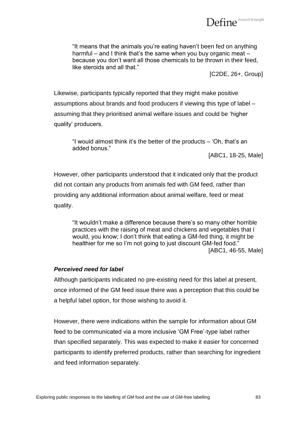

"It means that the animals you"re eating haven"t been fed on anything harmful – and I think that's the same when you buy organic meat – because you don"t want all those chemicals to be thrown in their feed, like steroids and all that."

[C2DE, 26+, Group]

Likewise, participants typically reported that they might make positive assumptions about brands and food producers if viewing this type of label – assuming that they prioritised animal welfare issues and could be "higher quality" producers.

"I would almost think it"s the better of the products – "Oh, that"s an added bonus."

[ABC1, 18-25, Male]

However, other participants understood that it indicated only that the product did not contain any products from animals fed with GM feed, rather than providing any additional information about animal welfare, feed or meat quality.

"It wouldn"t make a difference because there"s so many other horrible practices with the raising of meat and chickens and vegetables that I would, you know; I don"t think that eating a GM-fed thing, it might be healthier for me so I'm not going to just discount GM-fed food." [ABC1, 46-55, Male]

#### *Perceived need for label*

Although participants indicated no pre-existing need for this label at present, once informed of the GM feed issue there was a perception that this could be a helpful label option, for those wishing to avoid it.

However, there were indications within the sample for information about GM feed to be communicated via a more inclusive "GM Free"-type label rather than specified separately. This was expected to make it easier for concerned participants to identify preferred products, rather than searching for ingredient and feed information separately.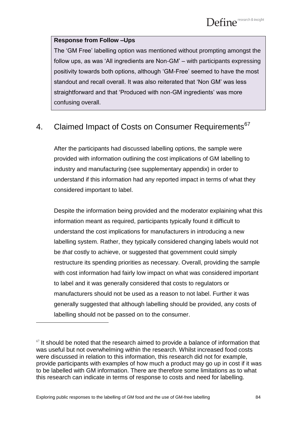#### **Response from Follow –Ups**

The "GM Free" labelling option was mentioned without prompting amongst the follow ups, as was "All ingredients are Non-GM" – with participants expressing positivity towards both options, although "GM-Free" seemed to have the most standout and recall overall. It was also reiterated that "Non GM" was less straightforward and that 'Produced with non-GM ingredients' was more confusing overall.

# 4. Claimed Impact of Costs on Consumer Requirements<sup>67</sup>

After the participants had discussed labelling options, the sample were provided with information outlining the cost implications of GM labelling to industry and manufacturing (see supplementary appendix) in order to understand if this information had any reported impact in terms of what they considered important to label.

Despite the information being provided and the moderator explaining what this information meant as required, participants typically found it difficult to understand the cost implications for manufacturers in introducing a new labelling system. Rather, they typically considered changing labels would not be *that* costly to achieve, or suggested that government could simply restructure its spending priorities as necessary. Overall, providing the sample with cost information had fairly low impact on what was considered important to label and it was generally considered that costs to regulators or manufacturers should not be used as a reason to not label. Further it was generally suggested that although labelling should be provided, any costs of labelling should not be passed on to the consumer.

 $67$  It should be noted that the research aimed to provide a balance of information that was useful but not overwhelming within the research. Whilst increased food costs were discussed in relation to this information, this research did not for example, provide participants with examples of how much a product may go up in cost if it was to be labelled with GM information. There are therefore some limitations as to what this research can indicate in terms of response to costs and need for labelling.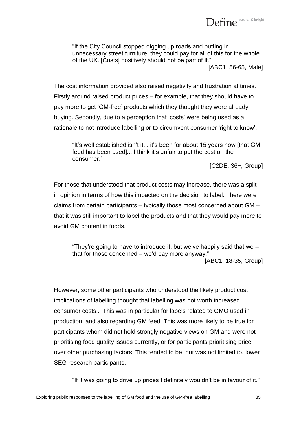

"If the City Council stopped digging up roads and putting in unnecessary street furniture, they could pay for all of this for the whole of the UK. [Costs] positively should not be part of it." [ABC1, 56-65, Male]

The cost information provided also raised negativity and frustration at times. Firstly around raised product prices – for example, that they should have to pay more to get "GM-free" products which they thought they were already buying. Secondly, due to a perception that "costs" were being used as a rationale to not introduce labelling or to circumvent consumer "right to know".

"It"s well established isn"t it... it"s been for about 15 years now [that GM feed has been used]... I think it's unfair to put the cost on the consumer."

[C2DE, 36+, Group]

For those that understood that product costs may increase, there was a split in opinion in terms of how this impacted on the decision to label. There were claims from certain participants – typically those most concerned about GM – that it was still important to label the products and that they would pay more to avoid GM content in foods.

"They're going to have to introduce it, but we've happily said that we  $$ that for those concerned – we"d pay more anyway." [ABC1, 18-35, Group]

However, some other participants who understood the likely product cost implications of labelling thought that labelling was not worth increased consumer costs.. This was in particular for labels related to GMO used in production, and also regarding GM feed. This was more likely to be true for participants whom did not hold strongly negative views on GM and were not prioritising food quality issues currently, or for participants prioritising price over other purchasing factors. This tended to be, but was not limited to, lower SEG research participants.

"If it was going to drive up prices I definitely wouldn"t be in favour of it."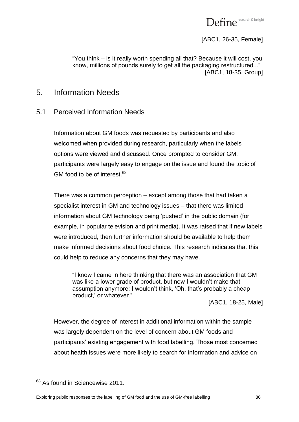

[ABC1, 26-35, Female]

"You think – is it really worth spending all that? Because it will cost, you know, millions of pounds surely to get all the packaging restructured..." [ABC1, 18-35, Group]

# 5. Information Needs

# 5.1 Perceived Information Needs

Information about GM foods was requested by participants and also welcomed when provided during research, particularly when the labels options were viewed and discussed. Once prompted to consider GM, participants were largely easy to engage on the issue and found the topic of GM food to be of interest. $68$ 

There was a common perception – except among those that had taken a specialist interest in GM and technology issues – that there was limited information about GM technology being "pushed" in the public domain (for example, in popular television and print media). It was raised that if new labels were introduced, then further information should be available to help them make informed decisions about food choice. This research indicates that this could help to reduce any concerns that they may have.

"I know I came in here thinking that there was an association that GM was like a lower grade of product, but now I wouldn"t make that assumption anymore; I wouldn"t think, "Oh, that"s probably a cheap product,' or whatever."

[ABC1, 18-25, Male]

However, the degree of interest in additional information within the sample was largely dependent on the level of concern about GM foods and participants' existing engagement with food labelling. Those most concerned about health issues were more likely to search for information and advice on

<sup>&</sup>lt;sup>68</sup> As found in Sciencewise 2011.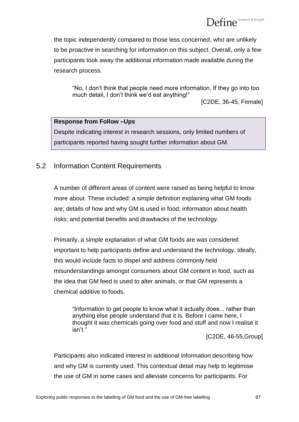the topic independently compared to those less concerned, who are unlikely to be proactive in searching for information on this subject. Overall, only a few participants took away the additional information made available during the research process.

"No, I don"t think that people need more information. If they go into too much detail, I don't think we'd eat anything!"

[C2DE, 36-45, Female]

#### **Response from Follow –Ups**

Despite indicating interest in research sessions, only limited numbers of participants reported having sought further information about GM.

# 5.2 Information Content Requirements

A number of different areas of content were raised as being helpful to know more about. These included: a simple definition explaining what GM foods are; details of how and why GM is used in food; information about health risks; and potential benefits and drawbacks of the technology.

Primarily, a simple explanation of what GM foods are was considered important to help participants define and understand the technology. Ideally, this would include facts to dispel and address commonly held misunderstandings amongst consumers about GM content in food, such as the idea that GM feed is used to alter animals, or that GM represents a chemical additive to foods.

"Information to get people to know what it actually does... rather than anything else people understand that it is. Before I came here, I thought it was chemicals going over food and stuff and now I realise it isn"t."

[C2DE, 46-55,Group]

Participants also indicated interest in additional information describing how and why GM is currently used. This contextual detail may help to legitimise the use of GM in some cases and alleviate concerns for participants. For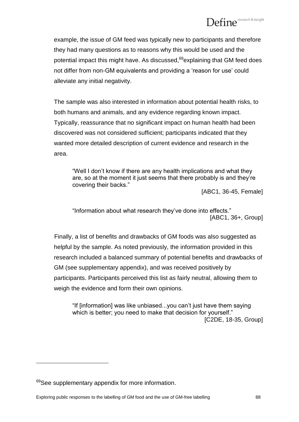example, the issue of GM feed was typically new to participants and therefore they had many questions as to reasons why this would be used and the potential impact this might have. As discussed,<sup>69</sup>explaining that GM feed does not differ from non-GM equivalents and providing a "reason for use" could alleviate any initial negativity.

The sample was also interested in information about potential health risks, to both humans and animals, and any evidence regarding known impact. Typically, reassurance that no significant impact on human health had been discovered was not considered sufficient; participants indicated that they wanted more detailed description of current evidence and research in the area.

"Well I don"t know if there are any health implications and what they are, so at the moment it just seems that there probably is and they"re covering their backs."

[ABC1, 36-45, Female]

"Information about what research they"ve done into effects." [ABC1, 36+, Group]

Finally, a list of benefits and drawbacks of GM foods was also suggested as helpful by the sample. As noted previously, the information provided in this research included a balanced summary of potential benefits and drawbacks of GM (see supplementary appendix), and was received positively by participants. Participants perceived this list as fairly neutral, allowing them to weigh the evidence and form their own opinions.

"If [information] was like unbiased...you can"t just have them saying which is better; you need to make that decision for yourself." [C2DE, 18-35, Group]

<sup>&</sup>lt;sup>69</sup>See supplementary appendix for more information.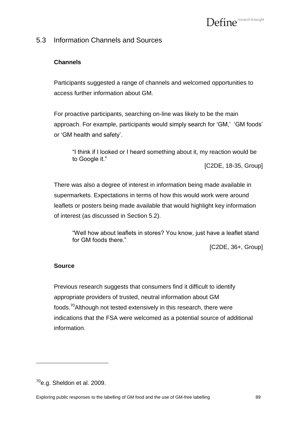# 5.3 Information Channels and Sources

#### **Channels**

Participants suggested a range of channels and welcomed opportunities to access further information about GM.

For proactive participants, searching on-line was likely to be the main approach. For example, participants would simply search for 'GM,' 'GM foods' or "GM health and safety".

"I think if I looked or I heard something about it, my reaction would be to Google it."

[C2DE, 18-35, Group]

There was also a degree of interest in information being made available in supermarkets. Expectations in terms of how this would work were around leaflets or posters being made available that would highlight key information of interest (as discussed in Section 5.2).

"Well how about leaflets in stores? You know, just have a leaflet stand for GM foods there."

[C2DE, 36+, Group]

#### **Source**

Previous research suggests that consumers find it difficult to identify appropriate providers of trusted, neutral information about GM foods.<sup>70</sup>Although not tested extensively in this research, there were indications that the FSA were welcomed as a potential source of additional information.

 $70$ e.g. Sheldon et al. 2009.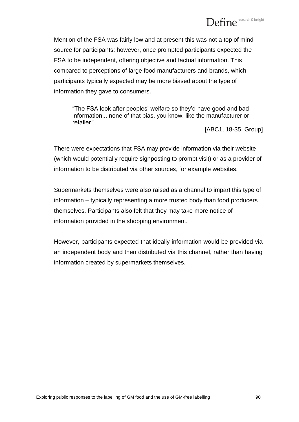# Define<sup>research & insight</sup>

Mention of the FSA was fairly low and at present this was not a top of mind source for participants; however, once prompted participants expected the FSA to be independent, offering objective and factual information. This compared to perceptions of large food manufacturers and brands, which participants typically expected may be more biased about the type of information they gave to consumers.

"The FSA look after peoples" welfare so they"d have good and bad information... none of that bias, you know, like the manufacturer or retailer."

[ABC1, 18-35, Group]

There were expectations that FSA may provide information via their website (which would potentially require signposting to prompt visit) or as a provider of information to be distributed via other sources, for example websites.

Supermarkets themselves were also raised as a channel to impart this type of information – typically representing a more trusted body than food producers themselves. Participants also felt that they may take more notice of information provided in the shopping environment.

However, participants expected that ideally information would be provided via an independent body and then distributed via this channel, rather than having information created by supermarkets themselves.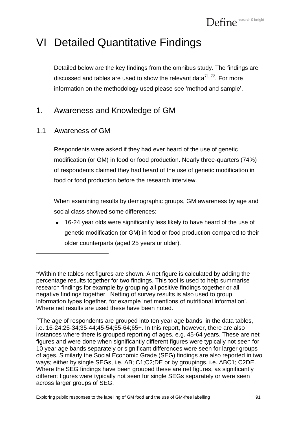# VI Detailed Quantitative Findings

Detailed below are the key findings from the omnibus study. The findings are discussed and tables are used to show the relevant data<sup>71 72</sup>. For more information on the methodology used please see "method and sample".

# 1. Awareness and Knowledge of GM

# 1.1 Awareness of GM

 $\overline{a}$ 

Respondents were asked if they had ever heard of the use of genetic modification (or GM) in food or food production. Nearly three-quarters (74%) of respondents claimed they had heard of the use of genetic modification in food or food production before the research interview.

When examining results by demographic groups, GM awareness by age and social class showed some differences:

16-24 year olds were significantly less likely to have heard of the use of genetic modification (or GM) in food or food production compared to their older counterparts (aged 25 years or older).

<sup>71</sup>Within the tables net figures are shown. A net figure is calculated by adding the percentage results together for two findings. This tool is used to help summarise research findings for example by grouping all positive findings together or all negative findings together. Netting of survey results is also used to group information types together, for example 'net mentions of nutritional information'. Where net results are used these have been noted.

 $72$ The age of respondents are grouped into ten year age bands in the data tables, i.e. 16-24;25-34;35-44;45-54;55-64;65+. In this report, however, there are also instances where there is grouped reporting of ages, e.g. 45-64 years. These are net figures and were done when significantly different figures were typically not seen for 10 year age bands separately or significant differences were seen for larger groups of ages. Similarly the Social Economic Grade (SEG) findings are also reported in two ways; either by single SEGs, i.e. AB; C1;C2;DE or by groupings, i.e. ABC1; C2DE. Where the SEG findings have been grouped these are net figures, as significantly different figures were typically not seen for single SEGs separately or were seen across larger groups of SEG.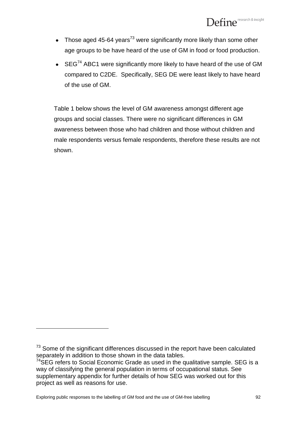- Those aged 45-64 years<sup>73</sup> were significantly more likely than some other age groups to be have heard of the use of GM in food or food production.
- $\bullet$  SEG<sup>74</sup> ABC1 were significantly more likely to have heard of the use of GM compared to C2DE. Specifically, SEG DE were least likely to have heard of the use of GM.

Table 1 below shows the level of GM awareness amongst different age groups and social classes. There were no significant differences in GM awareness between those who had children and those without children and male respondents versus female respondents, therefore these results are not shown.

 $73$  Some of the significant differences discussed in the report have been calculated separately in addition to those shown in the data tables.

<sup>74</sup>SEG refers to Social Economic Grade as used in the qualitative sample. SEG is a way of classifying the general population in terms of occupational status. See supplementary appendix for further details of how SEG was worked out for this project as well as reasons for use.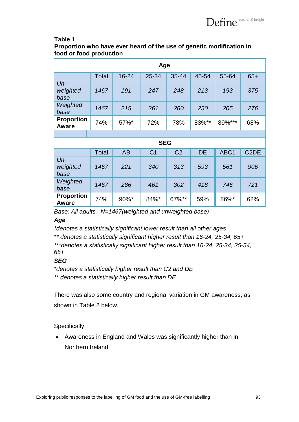#### **Table 1**

**Proportion who have ever heard of the use of genetic modification in food or food production**

| Age                               |              |           |                |                |           |                  |                   |
|-----------------------------------|--------------|-----------|----------------|----------------|-----------|------------------|-------------------|
|                                   | Total        | 16-24     | 25-34          | 35-44          | 45-54     | 55-64            | $65+$             |
| $Un-$<br>weighted<br>base         | 1467         | 191       | 247            | 248            | 213       | 193              | 375               |
| Weighted<br>base                  | 1467         | 215       | 261            | 260            | 250       | 205              | 276               |
| <b>Proportion</b><br>Aware        | 74%          | 57%*      | 72%            | 78%            | 83%**     | 89%***           | 68%               |
|                                   |              |           |                |                |           |                  |                   |
|                                   |              |           | <b>SEG</b>     |                |           |                  |                   |
|                                   | <b>Total</b> | <b>AB</b> | C <sub>1</sub> | C <sub>2</sub> | <b>DE</b> | ABC <sub>1</sub> | C <sub>2</sub> DE |
| $Un-$<br>weighted<br>base         | 1467         | 221       | 340            | 313            | 593       | 561              | 906               |
| Weighted<br>base                  | 1467         | 286       | 461            | 302            | 418       | 746              | 721               |
| <b>Proportion</b><br><b>Aware</b> | 74%          | 90%*      | 84%*           | 67%**          | 59%       | 86%*             | 62%               |

*Base: All adults. N=1467(weighted and unweighted base)*

#### *Age*

*\*denotes a statistically significant lower result than all other ages*

*\*\* denotes a statistically significant higher result than 16-24, 25-34, 65+*

*\*\*\*denotes a statistically significant higher result than 16-24, 25-34, 35-54, 65+*

#### *SEG*

*\*denotes a statistically higher result than C2 and DE \*\* denotes a statistically higher result than DE*

There was also some country and regional variation in GM awareness, as shown in Table 2 below.

Specifically:

Awareness in England and Wales was significantly higher than in Northern Ireland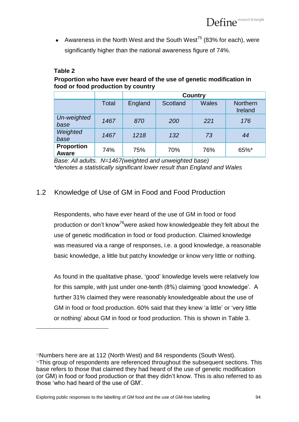• Awareness in the North West and the South West<sup>75</sup> (83% for each), were significantly higher than the national awareness figure of 74%.

#### **Table 2**

 $\overline{a}$ 

#### **Proportion who have ever heard of the use of genetic modification in food or food production by country**

|                            |       | <b>Country</b> |          |              |                            |
|----------------------------|-------|----------------|----------|--------------|----------------------------|
|                            | Total | England        | Scotland | <b>Wales</b> | <b>Northern</b><br>Ireland |
| Un-weighted<br>base        | 1467  | 870            | 200      | 221          | 176                        |
| Weighted<br>base           | 1467  | 1218           | 132      | 73           | 44                         |
| <b>Proportion</b><br>Aware | 74%   | 75%            | 70%      | 76%          | 65%*                       |

*Base: All adults. N=1467(weighted and unweighted base) \*denotes a statistically significant lower result than England and Wales*

# 1.2 Knowledge of Use of GM in Food and Food Production

Respondents, who have ever heard of the use of GM in food or food production or don't know<sup>76</sup>were asked how knowledgeable they felt about the use of genetic modification in food or food production. Claimed knowledge was measured via a range of responses, i.e. a good knowledge, a reasonable basic knowledge, a little but patchy knowledge or know very little or nothing.

As found in the qualitative phase, "good" knowledge levels were relatively low for this sample, with just under one-tenth (8%) claiming "good knowledge". A further 31% claimed they were reasonably knowledgeable about the use of GM in food or food production. 60% said that they knew 'a little' or 'very little or nothing" about GM in food or food production. This is shown in Table 3.

<sup>75</sup>Numbers here are at 112 (North West) and 84 respondents (South West). 76This group of respondents are referenced throughout the subsequent sections. This base refers to those that claimed they had heard of the use of genetic modification (or GM) in food or food production or that they didn"t know. This is also referred to as those "who had heard of the use of GM".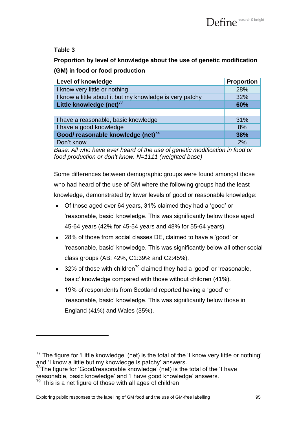## **Table 3**

**Proportion by level of knowledge about the use of genetic modification (GM) in food or food production**

| <b>Level of knowledge</b>                                | <b>Proportion</b> |
|----------------------------------------------------------|-------------------|
| I know very little or nothing                            | 28%               |
| I know a little about it but my knowledge is very patchy | 32%               |
| Little knowledge (net) $77$                              | 60%               |
|                                                          |                   |
| I have a reasonable, basic knowledge                     | 31%               |
| I have a good knowledge                                  | 8%                |
| Good/ reasonable knowledge (net) <sup>78</sup>           | 38%               |
| Don't know                                               | 2%                |

*Base: All who have ever heard of the use of genetic modification in food or food production or don't know. N=1111 (weighted base)*

Some differences between demographic groups were found amongst those who had heard of the use of GM where the following groups had the least knowledge, demonstrated by lower levels of good or reasonable knowledge:

- Of those aged over 64 years, 31% claimed they had a "good" or "reasonable, basic" knowledge. This was significantly below those aged 45-64 years (42% for 45-54 years and 48% for 55-64 years).
- 28% of those from social classes DE, claimed to have a 'good' or "reasonable, basic" knowledge. This was significantly below all other social class groups (AB: 42%, C1:39% and C2:45%).
- 32% of those with children<sup>79</sup> claimed they had a 'good' or 'reasonable, basic" knowledge compared with those without children (41%).
- 19% of respondents from Scotland reported having a "good" or  $\bullet$ "reasonable, basic" knowledge. This was significantly below those in England (41%) and Wales (35%).

 $77$  The figure for 'Little knowledge' (net) is the total of the 'I know very little or nothing' and 'I know a little but my knowledge is patchy' answers.

<sup>&</sup>lt;sup>78</sup>The figure for 'Good/reasonable knowledge' (net) is the total of the 'I have reasonable, basic knowledge" and "I have good knowledge" answers.

 $79$  This is a net figure of those with all ages of children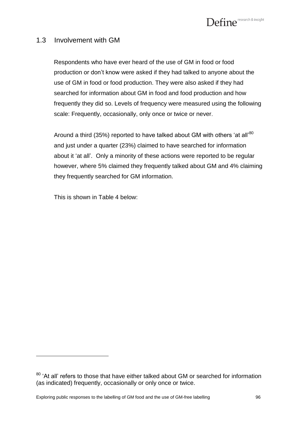

#### 1.3 Involvement with GM

Respondents who have ever heard of the use of GM in food or food production or don"t know were asked if they had talked to anyone about the use of GM in food or food production. They were also asked if they had searched for information about GM in food and food production and how frequently they did so. Levels of frequency were measured using the following scale: Frequently, occasionally, only once or twice or never.

Around a third (35%) reported to have talked about GM with others 'at all'<sup>80</sup> and just under a quarter (23%) claimed to have searched for information about it "at all". Only a minority of these actions were reported to be regular however, where 5% claimed they frequently talked about GM and 4% claiming they frequently searched for GM information.

This is shown in Table 4 below:

<sup>&</sup>lt;sup>80</sup> 'At all' refers to those that have either talked about GM or searched for information (as indicated) frequently, occasionally or only once or twice.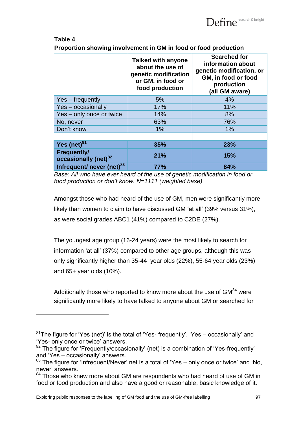

#### **Table 4**

l

**Proportion showing involvement in GM in food or food production** 

|                                                        | <b>Talked with anyone</b><br>about the use of<br>genetic modification<br>or GM, in food or<br>food production | <b>Searched for</b><br>information about<br>genetic modification, or<br>GM, in food or food<br>production<br>(all GM aware) |
|--------------------------------------------------------|---------------------------------------------------------------------------------------------------------------|-----------------------------------------------------------------------------------------------------------------------------|
| Yes - frequently                                       | 5%                                                                                                            | 4%                                                                                                                          |
| Yes - occasionally                                     | 17%                                                                                                           | 11%                                                                                                                         |
| Yes - only once or twice                               | 14%                                                                                                           | 8%                                                                                                                          |
| No, never                                              | 63%                                                                                                           | 76%                                                                                                                         |
| Don't know                                             | 1%                                                                                                            | $1\%$                                                                                                                       |
|                                                        |                                                                                                               |                                                                                                                             |
| Yes $(net)^{81}$                                       | 35%                                                                                                           | 23%                                                                                                                         |
| <b>Frequently/</b><br>occasionally (net) <sup>82</sup> | 21%                                                                                                           | 15%                                                                                                                         |
| Infrequent/ never (net) <sup>83</sup>                  | <b>77%</b>                                                                                                    | 84%                                                                                                                         |

*Base: All who have ever heard of the use of genetic modification in food or food production or don't know. N=1111 (weighted base)*

Amongst those who had heard of the use of GM, men were significantly more likely than women to claim to have discussed GM "at all" (39% versus 31%), as were social grades ABC1 (41%) compared to C2DE (27%).

The youngest age group (16-24 years) were the most likely to search for information "at all" (37%) compared to other age groups, although this was only significantly higher than 35-44 year olds (22%), 55-64 year olds (23%) and 65+ year olds (10%).

Additionally those who reported to know more about the use of  $GM<sup>84</sup>$  were significantly more likely to have talked to anyone about GM or searched for

Exploring public responses to the labelling of GM food and the use of GM-free labelling 97

 $81$ The figure for 'Yes (net)' is the total of 'Yes- frequently', 'Yes – occasionally' and 'Yes- only once or twice' answers.

<sup>&</sup>lt;sup>82</sup> The figure for 'Frequently/occasionally' (net) is a combination of 'Yes-frequently' and "Yes – occasionally" answers.

<sup>83</sup> The figure for 'Infrequent/Never' net is a total of 'Yes – only once or twice' and 'No, never" answers.

<sup>&</sup>lt;sup>84</sup> Those who knew more about GM are respondents who had heard of use of GM in food or food production and also have a good or reasonable, basic knowledge of it.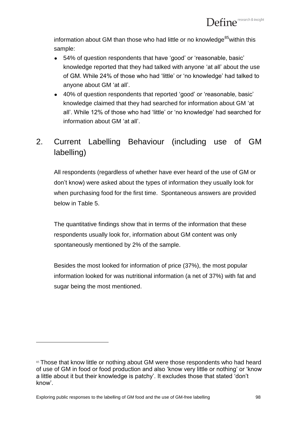information about GM than those who had little or no knowledge<sup>85</sup> within this sample:

- 54% of question respondents that have "good" or "reasonable, basic" knowledge reported that they had talked with anyone "at all" about the use of GM. While 24% of those who had "little" or "no knowledge" had talked to anyone about GM "at all".
- 40% of question respondents that reported 'good' or 'reasonable, basic' knowledge claimed that they had searched for information about GM "at all". While 12% of those who had "little" or "no knowledge" had searched for information about GM "at all".

# 2. Current Labelling Behaviour (including use of GM labelling)

All respondents (regardless of whether have ever heard of the use of GM or don"t know) were asked about the types of information they usually look for when purchasing food for the first time. Spontaneous answers are provided below in Table 5.

The quantitative findings show that in terms of the information that these respondents usually look for, information about GM content was only spontaneously mentioned by 2% of the sample.

Besides the most looked for information of price (37%), the most popular information looked for was nutritional information (a net of 37%) with fat and sugar being the most mentioned.

<sup>85</sup> Those that know little or nothing about GM were those respondents who had heard of use of GM in food or food production and also "know very little or nothing" or "know a little about it but their knowledge is patchy". It excludes those that stated "don"t know".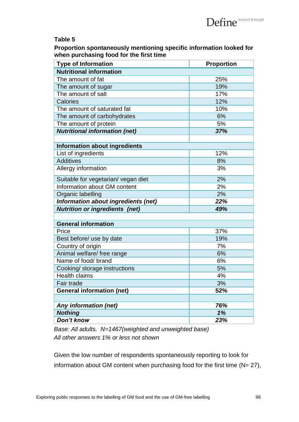#### **Table 5**

**Proportion spontaneously mentioning specific information looked for when purchasing food for the first time**

| <b>Type of Information</b>            | Proportion |
|---------------------------------------|------------|
| <b>Nutritional information</b>        |            |
| The amount of fat                     | 25%        |
| The amount of sugar                   | 19%        |
| The amount of salt                    | 17%        |
| Calories                              | 12%        |
| The amount of saturated fat           | 10%        |
| The amount of carbohydrates           | 6%         |
| The amount of protein                 | 5%         |
| <b>Nutritional information (net)</b>  | 37%        |
|                                       |            |
| <b>Information about ingredients</b>  |            |
| List of ingredients                   | 12%        |
| <b>Additives</b>                      | 8%         |
| Allergy information                   | 3%         |
| Suitable for vegetarian/ vegan diet   | 2%         |
| Information about GM content          | 2%         |
| Organic labelling                     | 2%         |
| Information about ingredients (net)   | 22%        |
| <b>Nutrition or ingredients (net)</b> | 49%        |
|                                       |            |
| <b>General information</b>            |            |
| Price                                 | 37%        |
| Best before/ use by date              | 19%        |
| Country of origin                     | 7%         |
| Animal welfare/ free range            | 6%         |
| Name of food/ brand                   | 6%         |
| Cooking/ storage instructions         | 5%         |
| <b>Health claims</b>                  | 4%         |
| Fair trade                            | 3%         |
| <b>General information (net)</b>      | 52%        |
|                                       |            |
| Any information (net)                 | 76%        |
| <b>Nothing</b>                        | 1%         |
| Don't know                            | 23%        |

*Base: All adults. N=1467(weighted and unweighted base) All other answers 1% or less not shown*

Given the low number of respondents spontaneously reporting to look for information about GM content when purchasing food for the first time  $(N= 27)$ ,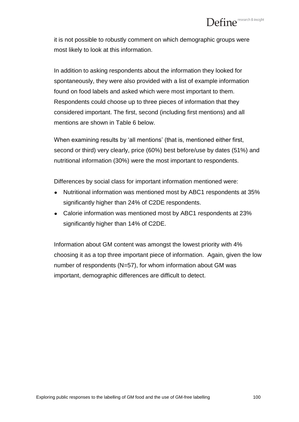it is not possible to robustly comment on which demographic groups were most likely to look at this information.

In addition to asking respondents about the information they looked for spontaneously, they were also provided with a list of example information found on food labels and asked which were most important to them. Respondents could choose up to three pieces of information that they considered important. The first, second (including first mentions) and all mentions are shown in Table 6 below.

When examining results by 'all mentions' (that is, mentioned either first, second or third) very clearly, price (60%) best before/use by dates (51%) and nutritional information (30%) were the most important to respondents.

Differences by social class for important information mentioned were:

- Nutritional information was mentioned most by ABC1 respondents at 35% significantly higher than 24% of C2DE respondents.
- Calorie information was mentioned most by ABC1 respondents at 23% significantly higher than 14% of C2DE.

Information about GM content was amongst the lowest priority with 4% choosing it as a top three important piece of information. Again, given the low number of respondents (N=57), for whom information about GM was important, demographic differences are difficult to detect.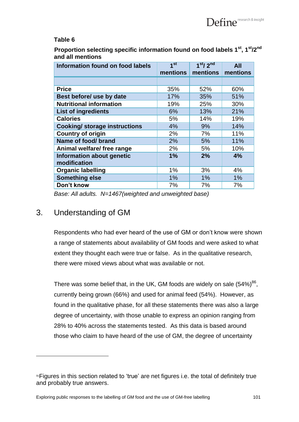#### **Table 6**

**Proportion selecting specific information found on food labels 1st, 1st/2nd and all mentions**

| <b>Information found on food labels</b> | 1 <sup>st</sup> | 1 <sup>st</sup> /2 <sup>nd</sup> | <b>All</b> |
|-----------------------------------------|-----------------|----------------------------------|------------|
|                                         | mentions        | mentions                         | mentions   |
|                                         |                 |                                  |            |
| <b>Price</b>                            | 35%             | 52%                              | 60%        |
| Best before/ use by date                | 17%             | 35%                              | 51%        |
| <b>Nutritional information</b>          | 19%             | 25%                              | 30%        |
| <b>List of ingredients</b>              | 6%              | 13%                              | 21%        |
| <b>Calories</b>                         | 5%              | 14%                              | 19%        |
| <b>Cooking/ storage instructions</b>    | 4%              | 9%                               | 14%        |
| <b>Country of origin</b>                | 2%              | 7%                               | 11%        |
| Name of food/ brand                     | 2%              | 5%                               | 11%        |
| Animal welfare/ free range              | 2%              | 5%                               | 10%        |
| Information about genetic               | 1%              | 2%                               | 4%         |
| modification                            |                 |                                  |            |
| <b>Organic labelling</b>                | 1%              | 3%                               | 4%         |
| <b>Something else</b>                   | 1%              | 1%                               | 1%         |
| Don't know                              | 7%              | 7%                               | 7%         |

*Base: All adults. N=1467(weighted and unweighted base)*

# 3. Understanding of GM

 $\overline{a}$ 

Respondents who had ever heard of the use of GM or don"t know were shown a range of statements about availability of GM foods and were asked to what extent they thought each were true or false. As in the qualitative research, there were mixed views about what was available or not.

There was some belief that, in the UK, GM foods are widely on sale  $(54\%)^{86}$ , currently being grown (66%) and used for animal feed (54%). However, as found in the qualitative phase, for all these statements there was also a large degree of uncertainty, with those unable to express an opinion ranging from 28% to 40% across the statements tested. As this data is based around those who claim to have heard of the use of GM, the degree of uncertainty

<sup>&</sup>lt;sup>86</sup>Figures in this section related to 'true' are net figures i.e. the total of definitely true and probably true answers.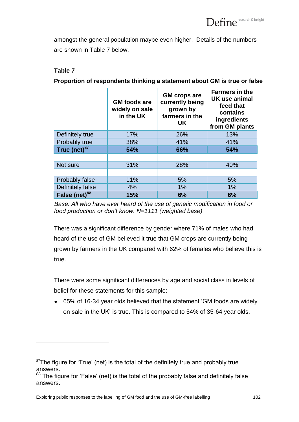amongst the general population maybe even higher. Details of the numbers are shown in Table 7 below.

## **Table 7**

 $\overline{a}$ 

**Proportion of respondents thinking a statement about GM is true or false**

|                           | <b>GM</b> foods are<br>widely on sale<br>in the UK | <b>GM</b> crops are<br>currently being<br>grown by<br>farmers in the<br><b>UK</b> | <b>Farmers in the</b><br>UK use animal<br>feed that<br>contains<br>ingredients<br>from GM plants |
|---------------------------|----------------------------------------------------|-----------------------------------------------------------------------------------|--------------------------------------------------------------------------------------------------|
| Definitely true           | 17%                                                | 26%                                                                               | 13%                                                                                              |
| Probably true             | 38%                                                | 41%                                                                               | 41%                                                                                              |
| True (net) $87$           | 54%                                                | 66%                                                                               | 54%                                                                                              |
|                           |                                                    |                                                                                   |                                                                                                  |
| Not sure                  | 31%                                                | 28%                                                                               | 40%                                                                                              |
|                           |                                                    |                                                                                   |                                                                                                  |
| <b>Probably false</b>     | 11%                                                | 5%                                                                                | 5%                                                                                               |
| Definitely false          | 4%                                                 | 1%                                                                                | 1%                                                                                               |
| False (net) <sup>88</sup> | 15%                                                | 6%                                                                                | 6%                                                                                               |

*Base: All who have ever heard of the use of genetic modification in food or food production or don't know. N=1111 (weighted base)*

There was a significant difference by gender where 71% of males who had heard of the use of GM believed it true that GM crops are currently being grown by farmers in the UK compared with 62% of females who believe this is true.

There were some significant differences by age and social class in levels of belief for these statements for this sample:

65% of 16-34 year olds believed that the statement "GM foods are widely on sale in the UK" is true. This is compared to 54% of 35-64 year olds.

 $87$ The figure for 'True' (net) is the total of the definitely true and probably true answers.

 $88$  The figure for 'False' (net) is the total of the probably false and definitely false answers.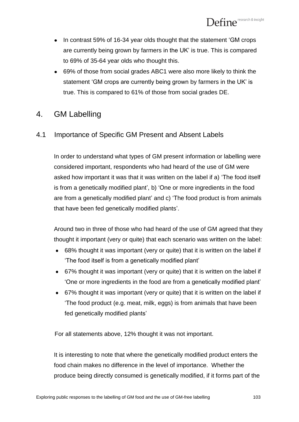- In contrast 59% of 16-34 year olds thought that the statement "GM crops are currently being grown by farmers in the UK" is true. This is compared to 69% of 35-64 year olds who thought this.
- 69% of those from social grades ABC1 were also more likely to think the statement 'GM crops are currently being grown by farmers in the UK' is true. This is compared to 61% of those from social grades DE.

# 4. GM Labelling

# 4.1 Importance of Specific GM Present and Absent Labels

In order to understand what types of GM present information or labelling were considered important, respondents who had heard of the use of GM were asked how important it was that it was written on the label if a) "The food itself is from a genetically modified plant', b) 'One or more ingredients in the food are from a genetically modified plant" and c) "The food product is from animals that have been fed genetically modified plants".

Around two in three of those who had heard of the use of GM agreed that they thought it important (very or quite) that each scenario was written on the label:

- 68% thought it was important (very or quite) that it is written on the label if "The food itself is from a genetically modified plant"
- 67% thought it was important (very or quite) that it is written on the label if "One or more ingredients in the food are from a genetically modified plant"
- 67% thought it was important (very or quite) that it is written on the label if "The food product (e.g. meat, milk, eggs) is from animals that have been fed genetically modified plants'

For all statements above, 12% thought it was not important.

It is interesting to note that where the genetically modified product enters the food chain makes no difference in the level of importance. Whether the produce being directly consumed is genetically modified, if it forms part of the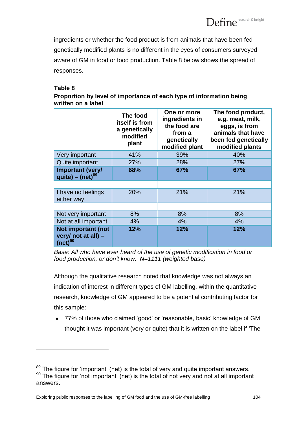ingredients or whether the food product is from animals that have been fed genetically modified plants is no different in the eyes of consumers surveyed aware of GM in food or food production. Table 8 below shows the spread of responses.

#### **Table 8**

 $\overline{a}$ 

| Proportion by level of importance of each type of information being |  |
|---------------------------------------------------------------------|--|
| written on a label                                                  |  |

|                                                           | The food<br>itself is from<br>a genetically<br>modified<br>plant | One or more<br>ingredients in<br>the food are<br>from a<br>genetically<br>modified plant | The food product,<br>e.g. meat, milk,<br>eggs, is from<br>animals that have<br>been fed genetically<br>modified plants |
|-----------------------------------------------------------|------------------------------------------------------------------|------------------------------------------------------------------------------------------|------------------------------------------------------------------------------------------------------------------------|
| Very important                                            | 41%                                                              | 39%                                                                                      | 40%                                                                                                                    |
| Quite important                                           | 27%                                                              | 28%                                                                                      | 27%                                                                                                                    |
| <b>Important (very/</b><br>quite) – $(net)^{89}$          | 68%                                                              | 67%                                                                                      | 67%                                                                                                                    |
|                                                           |                                                                  |                                                                                          |                                                                                                                        |
| I have no feelings<br>either way                          | 20%                                                              | 21%                                                                                      | 21%                                                                                                                    |
|                                                           |                                                                  |                                                                                          |                                                                                                                        |
| Not very important                                        | 8%                                                               | 8%                                                                                       | 8%                                                                                                                     |
| Not at all important                                      | 4%                                                               | 4%                                                                                       | 4%                                                                                                                     |
| Not important (not<br>very/ not at all) -<br>$(net)^{90}$ | 12%                                                              | 12%                                                                                      | 12%                                                                                                                    |

*Base: All who have ever heard of the use of genetic modification in food or food production, or don't know. N=1111 (weighted base)*

Although the qualitative research noted that knowledge was not always an indication of interest in different types of GM labelling, within the quantitative research, knowledge of GM appeared to be a potential contributing factor for this sample:

77% of those who claimed "good" or "reasonable, basic" knowledge of GM  $\bullet$ thought it was important (very or quite) that it is written on the label if "The

<sup>&</sup>lt;sup>89</sup> The figure for 'important' (net) is the total of very and quite important answers.  $90$  The figure for 'not important' (net) is the total of not very and not at all important answers.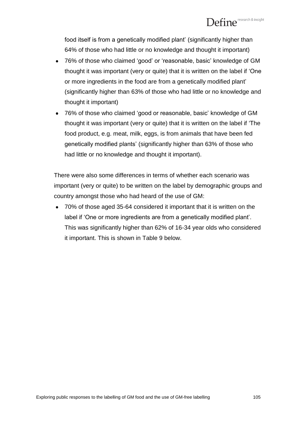food itself is from a genetically modified plant' (significantly higher than 64% of those who had little or no knowledge and thought it important)

- 76% of those who claimed "good" or "reasonable, basic" knowledge of GM thought it was important (very or quite) that it is written on the label if "One or more ingredients in the food are from a genetically modified plant" (significantly higher than 63% of those who had little or no knowledge and thought it important)
- 76% of those who claimed "good or reasonable, basic" knowledge of GM thought it was important (very or quite) that it is written on the label if "The food product, e.g. meat, milk, eggs, is from animals that have been fed genetically modified plants" (significantly higher than 63% of those who had little or no knowledge and thought it important).

There were also some differences in terms of whether each scenario was important (very or quite) to be written on the label by demographic groups and country amongst those who had heard of the use of GM:

70% of those aged 35-64 considered it important that it is written on the label if "One or more ingredients are from a genetically modified plant". This was significantly higher than 62% of 16-34 year olds who considered it important. This is shown in Table 9 below.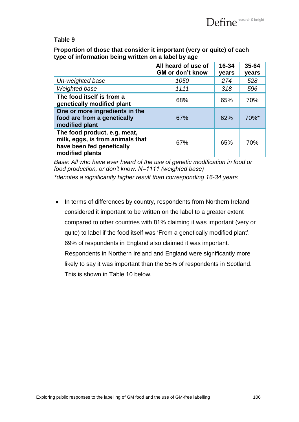#### **Table 9**

**Proportion of those that consider it important (very or quite) of each type of information being written on a label by age**

|                                                                                                                  | All heard of use of<br><b>GM or don't know</b> | 16-34<br>years | 35-64<br>years |
|------------------------------------------------------------------------------------------------------------------|------------------------------------------------|----------------|----------------|
| Un-weighted base                                                                                                 | 1050                                           | 274            | 528            |
| Weighted base                                                                                                    | 1111                                           | 318            | 596            |
| The food itself is from a<br>genetically modified plant                                                          | 68%                                            | 65%            | 70%            |
| One or more ingredients in the<br>food are from a genetically<br>modified plant                                  | 67%                                            | 62%            | 70%*           |
| The food product, e.g. meat,<br>milk, eggs, is from animals that<br>have been fed genetically<br>modified plants | 67%                                            | 65%            | 70%            |

*Base: All who have ever heard of the use of genetic modification in food or food production, or don't know. N=1111 (weighted base) \*denotes a significantly higher result than corresponding 16-34 years*

In terms of differences by country, respondents from Northern Ireland  $\bullet$ considered it important to be written on the label to a greater extent compared to other countries with 81% claiming it was important (very or quite) to label if the food itself was "From a genetically modified plant". 69% of respondents in England also claimed it was important. Respondents in Northern Ireland and England were significantly more likely to say it was important than the 55% of respondents in Scotland. This is shown in Table 10 below.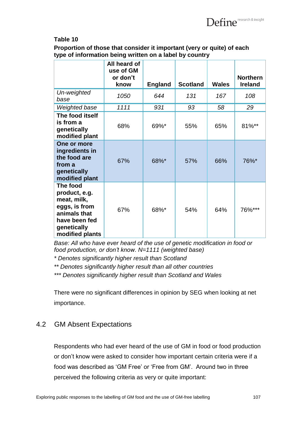

#### **Table 10**

**Proportion of those that consider it important (very or quite) of each type of information being written on a label by country**

|                                                                                                                              | All heard of<br>use of GM<br>or don't<br>know | <b>England</b> | <b>Scotland</b> | <b>Wales</b> | <b>Northern</b><br><b>Ireland</b> |
|------------------------------------------------------------------------------------------------------------------------------|-----------------------------------------------|----------------|-----------------|--------------|-----------------------------------|
| Un-weighted<br>base                                                                                                          | 1050                                          | 644            | 131             | 167          | 108                               |
| <b>Weighted base</b>                                                                                                         | 1111                                          | 931            | 93              | 58           | 29                                |
| The food itself<br>is from a<br>genetically<br>modified plant                                                                | 68%                                           | 69%*           | 55%             | 65%          | 81%**                             |
| One or more<br>ingredients in<br>the food are<br>from a<br>genetically<br>modified plant                                     | 67%                                           | 68%*           | 57%             | 66%          | 76%*                              |
| The food<br>product, e.g.<br>meat, milk,<br>eggs, is from<br>animals that<br>have been fed<br>genetically<br>modified plants | 67%                                           | 68%*           | 54%             | 64%          | 76%***                            |

*Base: All who have ever heard of the use of genetic modification in food or food production, or don't know. N=1111 (weighted base)*

- *\* Denotes significantly higher result than Scotland*
- *\*\* Denotes significantly higher result than all other countries*

*\*\*\* Denotes significantly higher result than Scotland and Wales*

There were no significant differences in opinion by SEG when looking at net importance.

# 4.2 GM Absent Expectations

Respondents who had ever heard of the use of GM in food or food production or don"t know were asked to consider how important certain criteria were if a food was described as 'GM Free' or 'Free from GM'. Around two in three perceived the following criteria as very or quite important: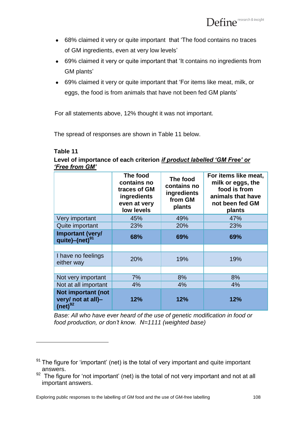- 68% claimed it very or quite important that "The food contains no traces of GM ingredients, even at very low levels"
- 69% claimed it very or quite important that "It contains no ingredients from GM plants"
- 69% claimed it very or quite important that "For items like meat, milk, or eggs, the food is from animals that have not been fed GM plants"

For all statements above, 12% thought it was not important.

The spread of responses are shown in Table 11 below.

#### **Table 11**

 $\overline{a}$ 

**Level of importance of each criterion** *if product labelled 'GM Free' or 'Free from GM'*

|                                                          | The food<br>contains no<br>traces of GM<br>ingredients<br>even at very<br>low levels | The food<br>contains no<br>ingredients<br>from GM<br>plants | For items like meat,<br>milk or eggs, the<br>food is from<br>animals that have<br>not been fed GM<br>plants |
|----------------------------------------------------------|--------------------------------------------------------------------------------------|-------------------------------------------------------------|-------------------------------------------------------------------------------------------------------------|
| Very important                                           | 45%                                                                                  | 49%                                                         | 47%                                                                                                         |
| Quite important                                          | 23%                                                                                  | 20%                                                         | 23%                                                                                                         |
| <b>Important (very/</b><br>quite)-(net) <sup>91</sup>    | 68%                                                                                  | 69%                                                         | 69%                                                                                                         |
|                                                          |                                                                                      |                                                             |                                                                                                             |
| I have no feelings<br>either way                         | 20%                                                                                  | 19%                                                         | 19%                                                                                                         |
|                                                          |                                                                                      |                                                             |                                                                                                             |
| Not very important                                       | 7%                                                                                   | 8%                                                          | 8%                                                                                                          |
| Not at all important                                     | 4%                                                                                   | 4%                                                          | 4%                                                                                                          |
| Not important (not<br>very/ not at all)-<br>$(net)^{92}$ | 12%                                                                                  | 12%                                                         | 12%                                                                                                         |

*Base: All who have ever heard of the use of genetic modification in food or food production, or don't know. N=1111 (weighted base)*

 $91$  The figure for 'important' (net) is the total of very important and quite important answers.

 $92$  The figure for 'not important' (net) is the total of not very important and not at all important answers.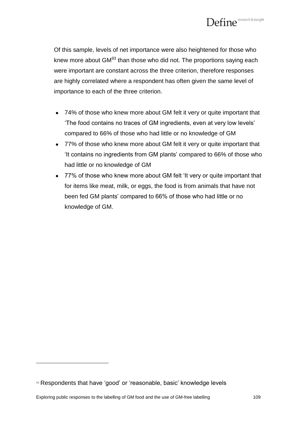

Of this sample, levels of net importance were also heightened for those who knew more about  $GM<sup>93</sup>$  than those who did not. The proportions saying each were important are constant across the three criterion, therefore responses are highly correlated where a respondent has often given the same level of importance to each of the three criterion.

- 74% of those who knew more about GM felt it very or quite important that "The food contains no traces of GM ingredients, even at very low levels" compared to 66% of those who had little or no knowledge of GM
- 77% of those who knew more about GM felt it very or quite important that "It contains no ingredients from GM plants" compared to 66% of those who had little or no knowledge of GM
- 77% of those who knew more about GM felt "It very or quite important that for items like meat, milk, or eggs, the food is from animals that have not been fed GM plants" compared to 66% of those who had little or no knowledge of GM.

 $\overline{a}$ 

<sup>&</sup>lt;sup>93</sup> Respondents that have 'good' or 'reasonable, basic' knowledge levels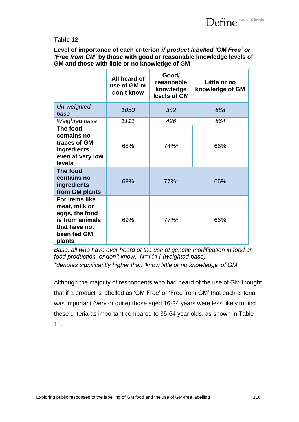**Level of importance of each criterion** *if product labelled 'GM Free' or 'Free from GM'* **by those with good or reasonable knowledge levels of GM and those with little or no knowledge of GM**

|                                                                                                                       | All heard of<br>use of GM or<br>don't know | Good/<br>reasonable<br>knowledge<br>levels of GM | Little or no<br>knowledge of GM |
|-----------------------------------------------------------------------------------------------------------------------|--------------------------------------------|--------------------------------------------------|---------------------------------|
| Un-weighted<br>base                                                                                                   | 1050                                       | 342                                              | 688                             |
| Weighted base                                                                                                         | 1111                                       | 426                                              | 664                             |
| The food<br>contains no<br>traces of GM<br>ingredients<br>even at very low<br>levels                                  | 68%                                        | 74%*                                             | 66%                             |
| The food<br>contains no<br>ingredients<br>from GM plants                                                              | 69%                                        | $77\%$ <sup>*</sup>                              | 66%                             |
| <b>For items like</b><br>meat, milk or<br>eggs, the food<br>is from animals<br>that have not<br>been fed GM<br>plants | 69%                                        | $77\%$ <sup>*</sup>                              | 66%                             |

*Base: all who have ever heard of the use of genetic modification in food or food production, or don't know. N=1111 (weighted base) \*denotes significantly higher than 'know little or no knowledge' of GM*

Although the majority of respondents who had heard of the use of GM thought that if a product is labelled as "GM Free" or "Free from GM" that each criteria was important (very or quite) those aged 16-34 years were less likely to find these criteria as important compared to 35-64 year olds, as shown in Table 13.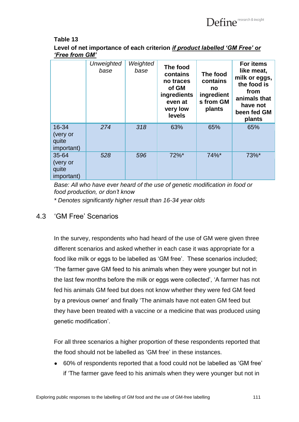

**Level of net importance of each criterion** *if product labelled 'GM Free' or 'Free from GM'*

|                                                     | <b>Unweighted</b><br>base | Weighted<br>base | The food<br>contains<br>no traces<br>of GM<br>ingredients<br>even at<br>very low<br>levels | The food<br>contains<br>no<br>ingredient<br>s from GM<br>plants | For items<br>like meat,<br>milk or eggs,<br>the food is<br>from<br>animals that<br>have not<br>been fed GM<br>plants |
|-----------------------------------------------------|---------------------------|------------------|--------------------------------------------------------------------------------------------|-----------------------------------------------------------------|----------------------------------------------------------------------------------------------------------------------|
| 16-34<br>(very or<br>quite<br><i>important)</i>     | 274                       | 318              | 63%                                                                                        | 65%                                                             | 65%                                                                                                                  |
| $35 - 64$<br>(very or<br>quite<br><i>important)</i> | 528                       | 596              | 72%*                                                                                       | 74%*                                                            | 73%*                                                                                                                 |

*Base: All who have ever heard of the use of genetic modification in food or food production, or don't know*

*\* Denotes significantly higher result than 16-34 year olds*

#### 4.3 "GM Free" Scenarios

In the survey, respondents who had heard of the use of GM were given three different scenarios and asked whether in each case it was appropriate for a food like milk or eggs to be labelled as 'GM free'. These scenarios included; "The farmer gave GM feed to his animals when they were younger but not in the last few months before the milk or eggs were collected", "A farmer has not fed his animals GM feed but does not know whether they were fed GM feed by a previous owner" and finally "The animals have not eaten GM feed but they have been treated with a vaccine or a medicine that was produced using genetic modification".

For all three scenarios a higher proportion of these respondents reported that the food should not be labelled as "GM free" in these instances.

60% of respondents reported that a food could not be labelled as "GM free"  $\bullet$ if "The farmer gave feed to his animals when they were younger but not in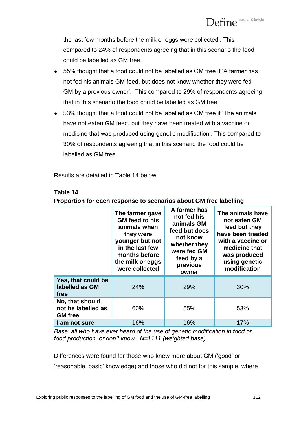the last few months before the milk or eggs were collected'. This compared to 24% of respondents agreeing that in this scenario the food could be labelled as GM free.

- 55% thought that a food could not be labelled as GM free if "A farmer has  $\bullet$ not fed his animals GM feed, but does not know whether they were fed GM by a previous owner". This compared to 29% of respondents agreeing that in this scenario the food could be labelled as GM free.
- 53% thought that a food could not be labelled as GM free if "The animals have not eaten GM feed, but they have been treated with a vaccine or medicine that was produced using genetic modification". This compared to 30% of respondents agreeing that in this scenario the food could be labelled as GM free.

Results are detailed in Table 14 below.

|                                                         | The farmer gave<br>GM feed to his<br>animals when<br>they were<br>younger but not<br>in the last few<br>months before<br>the milk or eggs<br>were collected | A farmer has<br>not fed his<br>animals GM<br>feed but does<br>not know<br>whether they<br>were fed GM<br>feed by a<br>previous<br>owner | The animals have<br>not eaten GM<br>feed but they<br>have been treated<br>with a vaccine or<br>medicine that<br>was produced<br>using genetic<br>modification |
|---------------------------------------------------------|-------------------------------------------------------------------------------------------------------------------------------------------------------------|-----------------------------------------------------------------------------------------------------------------------------------------|---------------------------------------------------------------------------------------------------------------------------------------------------------------|
| Yes, that could be<br>labelled as GM<br>free            | 24%                                                                                                                                                         | 29%                                                                                                                                     | 30%                                                                                                                                                           |
| No, that should<br>not be labelled as<br><b>GM</b> free | 60%                                                                                                                                                         | 55%                                                                                                                                     | 53%                                                                                                                                                           |
| I am not sure                                           | 16%                                                                                                                                                         | 16%                                                                                                                                     | 17%                                                                                                                                                           |

#### **Table 14**

**Proportion for each response to scenarios about GM free labelling**

*Base: all who have ever heard of the use of genetic modification in food or food production, or don't know. N=1111 (weighted base)*

Differences were found for those who knew more about GM ("good" or "reasonable, basic" knowledge) and those who did not for this sample, where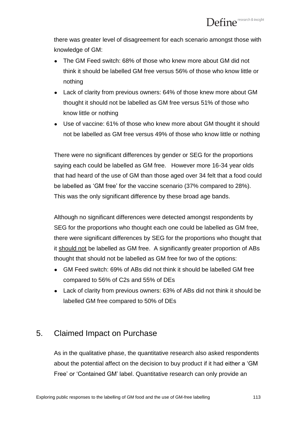there was greater level of disagreement for each scenario amongst those with knowledge of GM:

- The GM Feed switch: 68% of those who knew more about GM did not think it should be labelled GM free versus 56% of those who know little or nothing
- Lack of clarity from previous owners: 64% of those knew more about GM  $\bullet$ thought it should not be labelled as GM free versus 51% of those who know little or nothing
- Use of vaccine: 61% of those who knew more about GM thought it should not be labelled as GM free versus 49% of those who know little or nothing

There were no significant differences by gender or SEG for the proportions saying each could be labelled as GM free. However more 16-34 year olds that had heard of the use of GM than those aged over 34 felt that a food could be labelled as "GM free" for the vaccine scenario (37% compared to 28%). This was the only significant difference by these broad age bands.

Although no significant differences were detected amongst respondents by SEG for the proportions who thought each one could be labelled as GM free, there were significant differences by SEG for the proportions who thought that it should not be labelled as GM free. A significantly greater proportion of ABs thought that should not be labelled as GM free for two of the options:

- GM Feed switch: 69% of ABs did not think it should be labelled GM free compared to 56% of C2s and 55% of DEs
- Lack of clarity from previous owners: 63% of ABs did not think it should be labelled GM free compared to 50% of DEs

## 5. Claimed Impact on Purchase

As in the qualitative phase, the quantitative research also asked respondents about the potential affect on the decision to buy product if it had either a "GM Free" or "Contained GM" label. Quantitative research can only provide an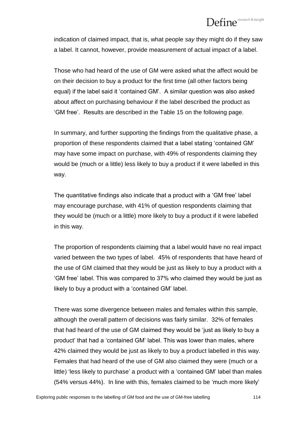# $\mathbf{Define}^{\scriptscriptstyle \sf ressearch\, \&\, insight}$

indication of claimed impact, that is, what people *say* they might do if they saw a label. It cannot, however, provide measurement of actual impact of a label.

Those who had heard of the use of GM were asked what the affect would be on their decision to buy a product for the first time (all other factors being equal) if the label said it "contained GM". A similar question was also asked about affect on purchasing behaviour if the label described the product as "GM free". Results are described in the Table 15 on the following page.

In summary, and further supporting the findings from the qualitative phase, a proportion of these respondents claimed that a label stating "contained GM" may have some impact on purchase, with 49% of respondents claiming they would be (much or a little) less likely to buy a product if it were labelled in this way.

The quantitative findings also indicate that a product with a "GM free" label may encourage purchase, with 41% of question respondents claiming that they would be (much or a little) more likely to buy a product if it were labelled in this way.

The proportion of respondents claiming that a label would have no real impact varied between the two types of label. 45% of respondents that have heard of the use of GM claimed that they would be just as likely to buy a product with a "GM free" label. This was compared to 37% who claimed they would be just as likely to buy a product with a "contained GM" label.

There was some divergence between males and females within this sample, although the overall pattern of decisions was fairly similar. 32% of females that had heard of the use of GM claimed they would be "just as likely to buy a product" that had a "contained GM" label. This was lower than males, where 42% claimed they would be just as likely to buy a product labelled in this way. Females that had heard of the use of GM also claimed they were (much or a little) 'less likely to purchase' a product with a 'contained GM' label than males (54% versus 44%). In line with this, females claimed to be "much more likely"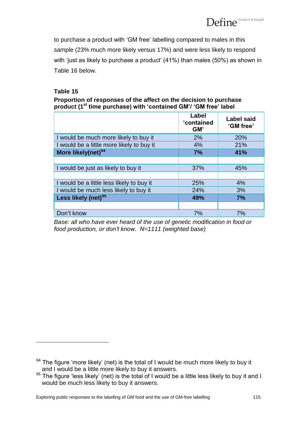to purchase a product with "GM free" labelling compared to males in this sample (23% much more likely versus 17%) and were less likely to respond with 'just as likely to purchase a product' (41%) than males (50%) as shown in Table 16 below.

### **Table 15**

 $\overline{a}$ 

**Proportion of responses of the affect on the decision to purchase product (1st time purchase) with 'contained GM'/ 'GM free' label**

|                                           | Label<br>'contained<br>GM' | <b>Label said</b><br>'GM free' |
|-------------------------------------------|----------------------------|--------------------------------|
| I would be much more likely to buy it     | 2%                         | 20%                            |
| I would be a little more likely to buy it | 4%                         | 21%                            |
| More likely(net) <sup>94</sup>            | 7%                         | 41%                            |
|                                           |                            |                                |
| I would be just as likely to buy it       | 37%                        | 45%                            |
|                                           |                            |                                |
| I would be a little less likely to buy it | 25%                        | 4%                             |
| I would be much less likely to buy it     | 24%                        | 3%                             |
| Less likely (net) <sup>95</sup>           | 49%                        | 7%                             |
|                                           |                            |                                |
| Don't know                                | 7%                         | 7%                             |

*Base: all who have ever heard of the use of genetic modification in food or food production, or don't know. N=1111 (weighted base)*

<sup>&</sup>lt;sup>94</sup> The figure 'more likely' (net) is the total of I would be much more likely to buy it and I would be a little more likely to buy it answers.

<sup>95</sup> The figure 'less likely' (net) is the total of I would be a little less likely to buy it and I would be much less likely to buy it answers.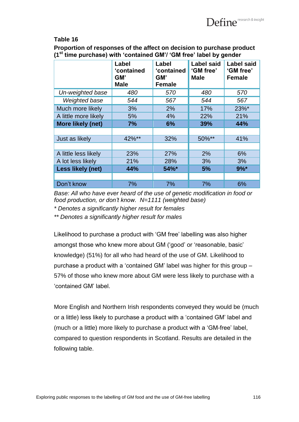**Proportion of responses of the affect on decision to purchase product (1st time purchase) with 'contained GM'/ 'GM free' label by gender**

|                      | Label<br>'contained<br>GM'<br><b>Male</b> | Label<br>'contained<br>GM'<br><b>Female</b> | <b>Label said</b><br>'GM free'<br><b>Male</b> | <b>Label said</b><br>'GM free'<br><b>Female</b> |
|----------------------|-------------------------------------------|---------------------------------------------|-----------------------------------------------|-------------------------------------------------|
| Un-weighted base     | 480                                       | 570                                         | 480                                           | 570                                             |
| Weighted base        | 544                                       | 567                                         | 544                                           | 567                                             |
| Much more likely     | 3%                                        | 2%                                          | 17%                                           | 23%*                                            |
| A little more likely | 5%                                        | 4%                                          | 22%                                           | 21%                                             |
| More likely (net)    | 7%                                        | 6%                                          | 39%                                           | 44%                                             |
|                      |                                           |                                             |                                               |                                                 |
| Just as likely       | 42%**                                     | 32%                                         | 50%**                                         | 41%                                             |
|                      |                                           |                                             |                                               |                                                 |
| A little less likely | 23%                                       | 27%                                         | 2%                                            | 6%                                              |
| A lot less likely    | 21%                                       | 28%                                         | 3%                                            | 3%                                              |
| Less likely (net)    | 44%                                       | 54%*                                        | 5%                                            | $9%$ *                                          |
|                      |                                           |                                             |                                               |                                                 |
| Don't know           | 7%                                        | 7%                                          | 7%                                            | 6%                                              |

*Base: All who have ever heard of the use of genetic modification in food or food production, or don't know. N=1111 (weighted base)*

*\* Denotes a significantly higher result for females*

*\*\* Denotes a significantly higher result for males*

Likelihood to purchase a product with "GM free" labelling was also higher amongst those who knew more about GM ("good" or "reasonable, basic" knowledge) (51%) for all who had heard of the use of GM. Likelihood to purchase a product with a "contained GM" label was higher for this group – 57% of those who knew more about GM were less likely to purchase with a "contained GM" label.

More English and Northern Irish respondents conveyed they would be (much or a little) less likely to purchase a product with a "contained GM" label and (much or a little) more likely to purchase a product with a "GM-free" label, compared to question respondents in Scotland. Results are detailed in the following table.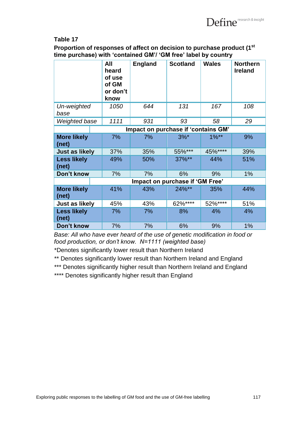**Proportion of responses of affect on decision to purchase product (1st time purchase) with 'contained GM'/ 'GM free' label by country**

|                                 | All<br>heard<br>of use<br>of GM<br>or don't<br>know | <b>England</b>                      | <b>Scotland</b> | <b>Wales</b> | <b>Northern</b><br><b>Ireland</b> |
|---------------------------------|-----------------------------------------------------|-------------------------------------|-----------------|--------------|-----------------------------------|
| Un-weighted<br>base             | 1050                                                | 644                                 | 131             | 167          | 108                               |
| Weighted base                   | 1111                                                | 931                                 | 93              | 58           | 29                                |
|                                 |                                                     | Impact on purchase if 'contains GM' |                 |              |                                   |
| <b>More likely</b><br>(net)     | 7%                                                  | 7%                                  | $3%^*$          | $1\%**$      | 9%                                |
| Just as likely                  | 37%                                                 | 35%                                 | 55%***          | 45%****      | 39%                               |
| <b>Less likely</b><br>(net)     | 49%                                                 | 50%                                 | $37\%**$        | 44%          | 51%                               |
| Don't know                      | 7%                                                  | 7%                                  | 6%              | 9%           | 1%                                |
| Impact on purchase if 'GM Free' |                                                     |                                     |                 |              |                                   |
| <b>More likely</b><br>(net)     | 41%                                                 | 43%                                 | 24%**           | 35%          | 44%                               |
| Just as likely                  | 45%                                                 | 43%                                 | 62%****         | 52%****      | 51%                               |
| <b>Less likely</b><br>(net)     | 7%                                                  | 7%                                  | 8%              | 4%           | 4%                                |
| Don't know                      | 7%                                                  | 7%                                  | 6%              | 9%           | 1%                                |

*Base: All who have ever heard of the use of genetic modification in food or food production, or don't know. N=1111 (weighted base)*

\*Denotes significantly lower result than Northern Ireland

\*\* Denotes significantly lower result than Northern Ireland and England

\*\*\* Denotes significantly higher result than Northern Ireland and England

\*\*\*\* Denotes significantly higher result than England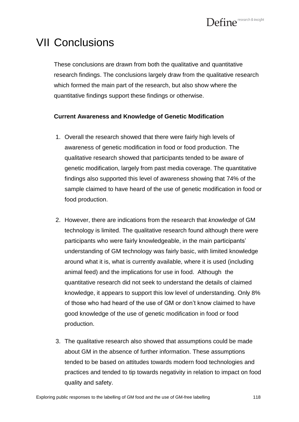# VII Conclusions

These conclusions are drawn from both the qualitative and quantitative research findings. The conclusions largely draw from the qualitative research which formed the main part of the research, but also show where the quantitative findings support these findings or otherwise.

#### **Current Awareness and Knowledge of Genetic Modification**

- 1. Overall the research showed that there were fairly high levels of awareness of genetic modification in food or food production. The qualitative research showed that participants tended to be aware of genetic modification, largely from past media coverage. The quantitative findings also supported this level of awareness showing that 74% of the sample claimed to have heard of the use of genetic modification in food or food production.
- 2. However, there are indications from the research that *knowledge* of GM technology is limited. The qualitative research found although there were participants who were fairly knowledgeable, in the main participants' understanding of GM technology was fairly basic, with limited knowledge around what it is, what is currently available, where it is used (including animal feed) and the implications for use in food. Although the quantitative research did not seek to understand the details of claimed knowledge, it appears to support this low level of understanding. Only 8% of those who had heard of the use of GM or don"t know claimed to have good knowledge of the use of genetic modification in food or food production.
- 3. The qualitative research also showed that assumptions could be made about GM in the absence of further information. These assumptions tended to be based on attitudes towards modern food technologies and practices and tended to tip towards negativity in relation to impact on food quality and safety.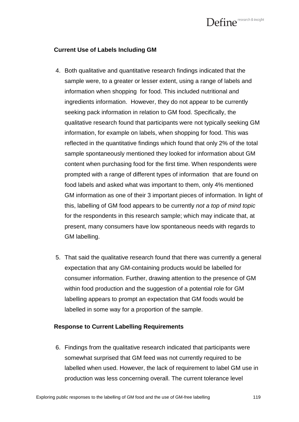#### **Current Use of Labels Including GM**

- 4. Both qualitative and quantitative research findings indicated that the sample were, to a greater or lesser extent, using a range of labels and information when shopping for food. This included nutritional and ingredients information. However, they do not appear to be currently seeking pack information in relation to GM food. Specifically, the qualitative research found that participants were not typically seeking GM information, for example on labels, when shopping for food. This was reflected in the quantitative findings which found that only 2% of the total sample spontaneously mentioned they looked for information about GM content when purchasing food for the first time. When respondents were prompted with a range of different types of information that are found on food labels and asked what was important to them, only 4% mentioned GM information as one of their 3 important pieces of information. In light of this, labelling of GM food appears to be currently *not a top of mind topic* for the respondents in this research sample; which may indicate that, at present, many consumers have low spontaneous needs with regards to GM labelling.
- 5. That said the qualitative research found that there was currently a general expectation that any GM-containing products would be labelled for consumer information. Further, drawing attention to the presence of GM within food production and the suggestion of a potential role for GM labelling appears to prompt an expectation that GM foods would be labelled in some way for a proportion of the sample.

#### **Response to Current Labelling Requirements**

6. Findings from the qualitative research indicated that participants were somewhat surprised that GM feed was not currently required to be labelled when used. However, the lack of requirement to label GM use in production was less concerning overall. The current tolerance level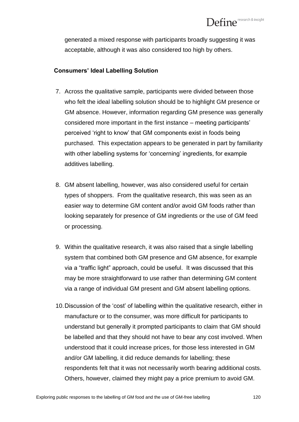generated a mixed response with participants broadly suggesting it was acceptable, although it was also considered too high by others.

#### **Consumers' Ideal Labelling Solution**

- 7. Across the qualitative sample, participants were divided between those who felt the ideal labelling solution should be to highlight GM presence or GM absence. However, information regarding GM presence was generally considered more important in the first instance – meeting participants" perceived "right to know" that GM components exist in foods being purchased. This expectation appears to be generated in part by familiarity with other labelling systems for 'concerning' ingredients, for example additives labelling.
- 8. GM absent labelling, however, was also considered useful for certain types of shoppers. From the qualitative research, this was seen as an easier way to determine GM content and/or avoid GM foods rather than looking separately for presence of GM ingredients or the use of GM feed or processing.
- 9. Within the qualitative research, it was also raised that a single labelling system that combined both GM presence and GM absence, for example via a "traffic light" approach, could be useful. It was discussed that this may be more straightforward to use rather than determining GM content via a range of individual GM present and GM absent labelling options.
- 10.Discussion of the "cost" of labelling within the qualitative research, either in manufacture or to the consumer, was more difficult for participants to understand but generally it prompted participants to claim that GM should be labelled and that they should not have to bear any cost involved. When understood that it could increase prices, for those less interested in GM and/or GM labelling, it did reduce demands for labelling; these respondents felt that it was not necessarily worth bearing additional costs. Others, however, claimed they might pay a price premium to avoid GM.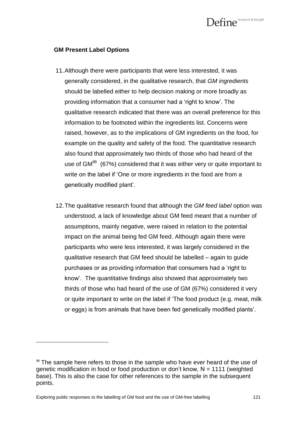#### **GM Present Label Options**

- 11.Although there were participants that were less interested, it was generally considered, in the qualitative research, that *GM ingredients*  should be labelled either to help decision making or more broadly as providing information that a consumer had a "right to know". The qualitative research indicated that there was an overall preference for this information to be footnoted within the ingredients list. Concerns were raised, however, as to the implications of GM ingredients on the food, for example on the quality and safety of the food. The quantitative research also found that approximately two thirds of those who had heard of the use of GM $96$  (67%) considered that it was either very or quite important to write on the label if "One or more ingredients in the food are from a genetically modified plant".
- 12.The qualitative research found that although the *GM feed label* option was understood, a lack of knowledge about GM feed meant that a number of assumptions, mainly negative, were raised in relation to the potential impact on the animal being fed GM feed. Although again there were participants who were less interested, it was largely considered in the qualitative research that GM feed should be labelled – again to guide purchases or as providing information that consumers had a "right to know". The quantitative findings also showed that approximately two thirds of those who had heard of the use of GM (67%) considered it very or quite important to write on the label if "The food product (e.g. meat, milk or eggs) is from animals that have been fed genetically modified plants".

 $\overline{a}$ 

<sup>&</sup>lt;sup>96</sup> The sample here refers to those in the sample who have ever heard of the use of genetic modification in food or food production or don't know,  $N = 1111$  (weighted base). This is also the case for other references to the sample in the subsequent points.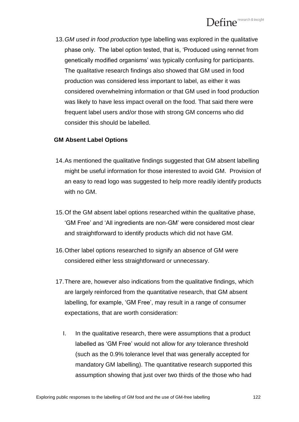13.*GM used in food production* type labelling was explored in the qualitative phase only. The label option tested, that is, "Produced using rennet from genetically modified organisms" was typically confusing for participants. The qualitative research findings also showed that GM used in food production was considered less important to label, as either it was considered overwhelming information or that GM used in food production was likely to have less impact overall on the food. That said there were frequent label users and/or those with strong GM concerns who did consider this should be labelled.

#### **GM Absent Label Options**

- 14.As mentioned the qualitative findings suggested that GM absent labelling might be useful information for those interested to avoid GM. Provision of an easy to read logo was suggested to help more readily identify products with no GM.
- 15.Of the GM absent label options researched within the qualitative phase, "GM Free" and "All ingredients are non-GM" were considered most clear and straightforward to identify products which did not have GM.
- 16.Other label options researched to signify an absence of GM were considered either less straightforward or unnecessary.
- 17.There are, however also indications from the qualitative findings, which are largely reinforced from the quantitative research, that GM absent labelling, for example, 'GM Free', may result in a range of consumer expectations, that are worth consideration:
	- I. In the qualitative research, there were assumptions that a product labelled as "GM Free" would not allow for *any* tolerance threshold (such as the 0.9% tolerance level that was generally accepted for mandatory GM labelling). The quantitative research supported this assumption showing that just over two thirds of the those who had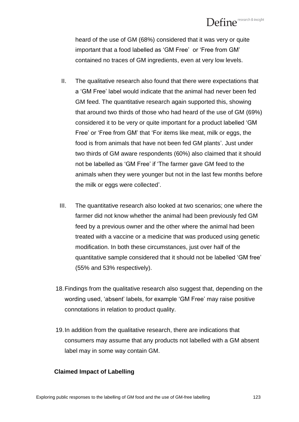heard of the use of GM (68%) considered that it was very or quite important that a food labelled as 'GM Free' or 'Free from GM' contained no traces of GM ingredients, even at very low levels.

- II. The qualitative research also found that there were expectations that a "GM Free" label would indicate that the animal had never been fed GM feed. The quantitative research again supported this, showing that around two thirds of those who had heard of the use of GM (69%) considered it to be very or quite important for a product labelled "GM Free' or 'Free from GM' that 'For items like meat, milk or eggs, the food is from animals that have not been fed GM plants'. Just under two thirds of GM aware respondents (60%) also claimed that it should not be labelled as "GM Free" if "The farmer gave GM feed to the animals when they were younger but not in the last few months before the milk or eggs were collected".
- III. The quantitative research also looked at two scenarios; one where the farmer did not know whether the animal had been previously fed GM feed by a previous owner and the other where the animal had been treated with a vaccine or a medicine that was produced using genetic modification. In both these circumstances, just over half of the quantitative sample considered that it should not be labelled "GM free" (55% and 53% respectively).
- 18.Findings from the qualitative research also suggest that, depending on the wording used, "absent" labels, for example "GM Free" may raise positive connotations in relation to product quality.
- 19.In addition from the qualitative research, there are indications that consumers may assume that any products not labelled with a GM absent label may in some way contain GM.

#### **Claimed Impact of Labelling**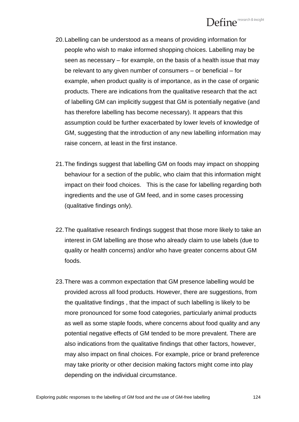- 20.Labelling can be understood as a means of providing information for people who wish to make informed shopping choices. Labelling may be seen as necessary – for example, on the basis of a health issue that may be relevant to any given number of consumers – or beneficial – for example, when product quality is of importance, as in the case of organic products. There are indications from the qualitative research that the act of labelling GM can implicitly suggest that GM is potentially negative (and has therefore labelling has become necessary). It appears that this assumption could be further exacerbated by lower levels of knowledge of GM, suggesting that the introduction of any new labelling information may raise concern, at least in the first instance.
- 21.The findings suggest that labelling GM on foods may impact on shopping behaviour for a section of the public, who claim that this information might impact on their food choices. This is the case for labelling regarding both ingredients and the use of GM feed, and in some cases processing (qualitative findings only).
- 22.The qualitative research findings suggest that those more likely to take an interest in GM labelling are those who already claim to use labels (due to quality or health concerns) and/or who have greater concerns about GM foods.
- 23.There was a common expectation that GM presence labelling would be provided across all food products. However, there are suggestions, from the qualitative findings , that the impact of such labelling is likely to be more pronounced for some food categories, particularly animal products as well as some staple foods, where concerns about food quality and any potential negative effects of GM tended to be more prevalent. There are also indications from the qualitative findings that other factors, however, may also impact on final choices. For example, price or brand preference may take priority or other decision making factors might come into play depending on the individual circumstance.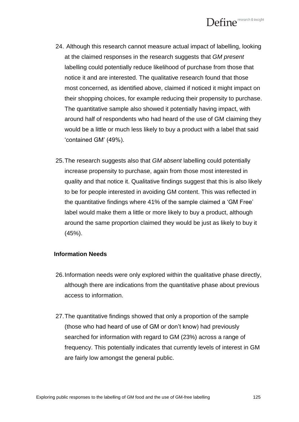

- 24. Although this research cannot measure actual impact of labelling, looking at the claimed responses in the research suggests that *GM present*  labelling could potentially reduce likelihood of purchase from those that notice it and are interested. The qualitative research found that those most concerned, as identified above, claimed if noticed it might impact on their shopping choices, for example reducing their propensity to purchase. The quantitative sample also showed it potentially having impact, with around half of respondents who had heard of the use of GM claiming they would be a little or much less likely to buy a product with a label that said 'contained GM' (49%).
- 25.The research suggests also that *GM absent* labelling could potentially increase propensity to purchase, again from those most interested in quality and that notice it. Qualitative findings suggest that this is also likely to be for people interested in avoiding GM content. This was reflected in the quantitative findings where 41% of the sample claimed a "GM Free" label would make them a little or more likely to buy a product, although around the same proportion claimed they would be just as likely to buy it (45%).

#### **Information Needs**

- 26.Information needs were only explored within the qualitative phase directly, although there are indications from the quantitative phase about previous access to information.
- 27.The quantitative findings showed that only a proportion of the sample (those who had heard of use of GM or don"t know) had previously searched for information with regard to GM (23%) across a range of frequency. This potentially indicates that currently levels of interest in GM are fairly low amongst the general public.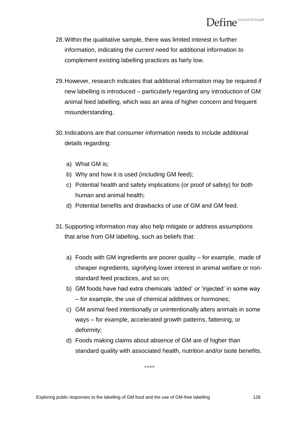- 28.Within the qualitative sample, there was limited interest in further information, indicating the *current* need for additional information to complement existing labelling practices as fairly low.
- 29.However, research indicates that additional information may be required if new labelling is introduced – particularly regarding any introduction of GM animal feed labelling, which was an area of higher concern and frequent misunderstanding.
- 30.Indications are that consumer information needs to include additional details regarding:
	- a) What GM is;
	- b) Why and how it is used (including GM feed);
	- c) Potential health and safety implications (or proof of safety) for both human and animal health;
	- d) Potential benefits and drawbacks of use of GM and GM feed.
- 31.Supporting information may also help mitigate or address assumptions that arise from GM labelling, such as beliefs that:
	- a) Foods with GM ingredients are poorer quality for example, made of cheaper ingredients, signifying lower interest in animal welfare or nonstandard feed practices, and so on;
	- b) GM foods have had extra chemicals 'added' or 'injected' in some way – for example, the use of chemical additives or hormones;
	- c) GM animal feed intentionally or unintentionally alters animals in some ways – for example, accelerated growth patterns, fattening, or deformity;
	- d) Foods making claims about absence of GM are of higher than standard quality with associated health, nutrition and/or taste benefits.

\*\*\*\*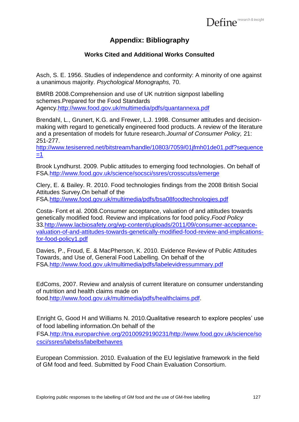## **Appendix: Bibliography**

### **Works Cited and Additional Works Consulted**

Asch, S. E. 1956. Studies of independence and conformity: A minority of one against a unanimous majority. *Psychological Monographs,* 70.

BMRB 2008.Comprehension and use of UK nutrition signpost labelling schemes.Prepared for the Food Standards Agency[.http://www.food.gov.uk/multimedia/pdfs/quantannexa.pdf](http://www.food.gov.uk/multimedia/pdfs/quantannexa.pdf)

Brendahl, L., Grunert, K.G. and Frewer, L.J. 1998. Consumer attitudes and decisionmaking with regard to genetically engineered food products. A review of the literature and a presentation of models for future research.*Journal of Consumer Policy,* 21: 251-277.

[http://www.tesisenred.net/bitstream/handle/10803/7059/01jfmh01de01.pdf?sequence](http://www.tesisenred.net/bitstream/handle/10803/7059/01jfmh01de01.pdf?sequence=1)  $=1$ 

Brook Lyndhurst. 2009. Public attitudes to emerging food technologies. On behalf of FSA[.http://www.food.gov.uk/science/socsci/ssres/crosscutss/emerge](http://www.food.gov.uk/science/socsci/ssres/crosscutss/emerge)

Clery, E. & Bailey. R. 2010. Food technologies findings from the 2008 British Social Attitudes Survey.On behalf of the

FSA[.http://www.food.gov.uk/multimedia/pdfs/bsa08foodtechnologies.pdf](http://www.food.gov.uk/multimedia/pdfs/bsa08foodtechnologies.pdf)

Costa- Font et al. 2008.Consumer acceptance, valuation of and attitudes towards genetically modified food. Review and implications for food policy.*Food Policy* 33[.http://www.lacbiosafety.org/wp-content/uploads/2011/09/consumer-acceptance](http://www.lacbiosafety.org/wp-content/uploads/2011/09/consumer-acceptance-valuation-of-and-attitudes-towards-genetically-modified-food-review-and-implications-for-food-policy1.pdf)[valuation-of-and-attitudes-towards-genetically-modified-food-review-and-implications](http://www.lacbiosafety.org/wp-content/uploads/2011/09/consumer-acceptance-valuation-of-and-attitudes-towards-genetically-modified-food-review-and-implications-for-food-policy1.pdf)[for-food-policy1.pdf](http://www.lacbiosafety.org/wp-content/uploads/2011/09/consumer-acceptance-valuation-of-and-attitudes-towards-genetically-modified-food-review-and-implications-for-food-policy1.pdf)

Davies, P., Froud, E. & MacPherson, K. 2010. Evidence Review of Public Attitudes Towards, and Use of, General Food Labelling. On behalf of the FSA[.http://www.food.gov.uk/multimedia/pdfs/labelevidressummary.pdf](http://www.food.gov.uk/multimedia/pdfs/labelevidressummary.pdf)

EdComs, 2007. Review and analysis of current literature on consumer understanding of nutrition and health claims made on food[.http://www.food.gov.uk/multimedia/pdfs/healthclaims.pdf.](http://www.food.gov.uk/multimedia/pdfs/healthclaims.pdf)

Enright G, Good H and Williams N. 2010.Qualitative research to explore peoples' use of food labelling information.On behalf of the FSA[.http://tna.europarchive.org/20100929190231/http://www.food.gov.uk/science/so](http://tna.europarchive.org/20100929190231/http:/www.food.gov.uk/science/socsci/ssres/labelss/labelbehavres) [csci/ssres/labelss/labelbehavres](http://tna.europarchive.org/20100929190231/http:/www.food.gov.uk/science/socsci/ssres/labelss/labelbehavres)

European Commission. 2010. Evaluation of the EU legislative framework in the field of GM food and feed. Submitted by Food Chain Evaluation Consortium.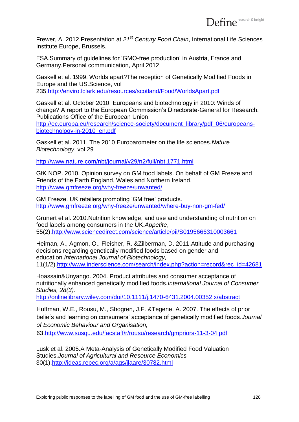Frewer, A. 2012.Presentation at *21st Century Food Chain*, International Life Sciences Institute Europe, Brussels.

FSA.Summary of guidelines for "GMO-free production" in Austria, France and Germany.Personal communication, April 2012.

Gaskell et al. 1999. Worlds apart?The reception of Genetically Modified Foods in Europe and the US.Science, vol 235[.http://enviro.lclark.edu/resources/scotland/Food/WorldsApart.pdf](http://enviro.lclark.edu/resources/scotland/Food/WorldsApart.pdf)

Gaskell et al. October 2010. Europeans and biotechnology in 2010: Winds of change? A report to the European Commission"s Directorate-General for Research. Publications Office of the European Union.

[http://ec.europa.eu/research/science-society/document\\_library/pdf\\_06/europeans](http://ec.europa.eu/research/science-society/document_library/pdf_06/europeans-biotechnology-in-2010_en.pdf)[biotechnology-in-2010\\_en.pdf](http://ec.europa.eu/research/science-society/document_library/pdf_06/europeans-biotechnology-in-2010_en.pdf)

Gaskell et al. 2011. The 2010 Eurobarometer on the life sciences.*Nature Biotechnology*, vol 29

<http://www.nature.com/nbt/journal/v29/n2/full/nbt.1771.html>

GfK NOP. 2010. Opinion survey on GM food labels. On behalf of GM Freeze and Friends of the Earth England, Wales and Northern Ireland. <http://www.gmfreeze.org/why-freeze/unwanted/>

GM Freeze. UK retailers promoting "GM free" products. <http://www.gmfreeze.org/why-freeze/unwanted/where-buy-non-gm-fed/>

Grunert et al. 2010.Nutrition knowledge, and use and understanding of nutrition on food labels among consumers in the UK.*Appetite*, 55(2)[.http://www.sciencedirect.com/science/article/pii/S0195666310003661](http://www.sciencedirect.com/science/article/pii/S0195666310003661)

Heiman, A., Agmon, O., Fleisher, R. &Zilberman, D. 2011.Attitude and purchasing decisions regarding genetically modified foods based on gender and education.*International Journal of Biotechnology,* 11(1/2)[.http://www.inderscience.com/search/index.php?action=record&rec\\_id=42681](http://www.inderscience.com/search/index.php?action=record&rec_id=42681)

Hoassain&Unyango. 2004. Product attributes and consumer acceptance of nutritionally enhanced genetically modified foods.*International Journal of Consumer Studies, 28(3).*

<http://onlinelibrary.wiley.com/doi/10.1111/j.1470-6431.2004.00352.x/abstract>

Huffman, W.E., Rousu, M., Shogren, J.F. &Tegene. A. 2007. The effects of prior beliefs and learning on consumers" acceptance of genetically modified foods.*Journal of Economic Behaviour and Organisation,*

63[.http://www.susqu.edu/facstaff/r/rousu/research/gmpriors-11-3-04.pdf](http://www.susqu.edu/facstaff/r/rousu/research/gmpriors-11-3-04.pdf)

Lusk et al. 2005.A Meta-Analysis of Genetically Modified Food Valuation Studies.*Journal of Agricultural and Resource Economics* 30(1)[.http://ideas.repec.org/a/ags/jlaare/30782.html](http://ideas.repec.org/a/ags/jlaare/30782.html)